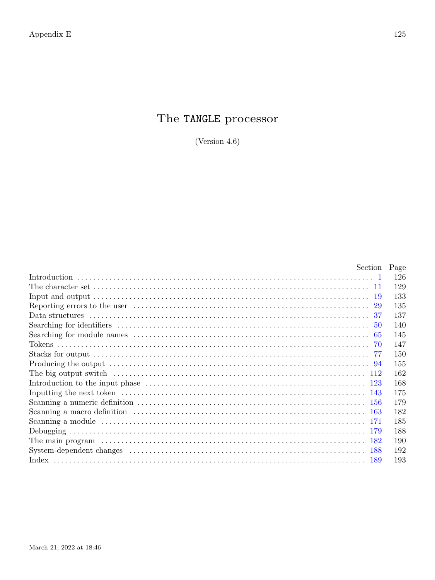## The TANGLE processor

(Version 4.6)

| Section | Page |
|---------|------|
|         | 126  |
|         | 129  |
|         | 133  |
|         | 135  |
|         | 137  |
|         | 140  |
|         | 145  |
|         | 147  |
|         | 150  |
|         | 155  |
|         | 162  |
|         | 168  |
|         | 175  |
|         | 179  |
| -163    | 182  |
| -171    | 185  |
| -179    | 188  |
|         | 190  |
| 188     | 192  |
|         | 193  |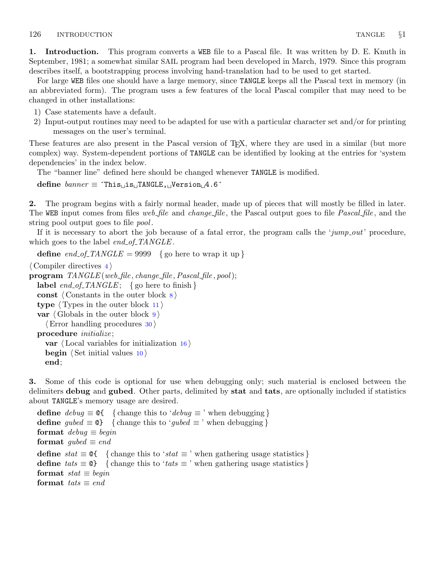<span id="page-1-0"></span>1. Introduction. This program converts a WEB file to a Pascal file. It was written by D. E. Knuth in September, 1981; a somewhat similar SAIL program had been developed in March, 1979. Since this program describes itself, a bootstrapping process involving hand-translation had to be used to get started.

For large WEB files one should have a large memory, since TANGLE keeps all the Pascal text in memory (in an abbreviated form). The program uses a few features of the local Pascal compiler that may need to be changed in other installations:

- 1) Case statements have a default.
- 2) Input-output routines may need to be adapted for use with a particular character set and/or for printing messages on the user's terminal.

These features are also present in the Pascal version of TEX, where they are used in a similar (but more complex) way. System-dependent portions of TANGLE can be identified by looking at the entries for 'system dependencies' in the index below.

The "banner line" defined here should be changed whenever TANGLE is modified.

define  $banner \equiv$  This  $is$  TANGLE, version 4.6

2. The program begins with a fairly normal header, made up of pieces that will mostly be filled in later. The WEB input comes from files web-file and change-file, the Pascal output goes to file *Pascal-file*, and the string pool output goes to file *pool*.

If it is necessary to abort the job because of a fatal error, the program calls the 'jump out' procedure, which goes to the label  $end_of\_TANCE$ .

define end of TANGLE = 9999 { go here to wrap it up }

 $\langle$  Compiler directives [4](#page-2-0)  $\rangle$  $\mathbf{program} \quad \textit{TANGLE} (\textit{web}\_\textit{file}, \textit{change}\_\textit{file}, \textit{Pascal}\_\textit{file}, \textit{pool});$ label end\_of\_TANGLE; { go here to finish } const  $\langle$  Constants in the outer block  $\langle$ type  $\langle$  Types in the outer block [11](#page-4-0)  $\rangle$ var  $\langle$  Globals in the outer block [9](#page-3-0) $\rangle$  $\langle$  Error handling procedures [30](#page-10-0)  $\rangle$ procedure *initialize*: var  $\langle$  Local variables for initialization [16](#page-7-0) $\rangle$ begin  $\langle$  Set initial values [10](#page-3-0)  $\rangle$ end;

3. Some of this code is optional for use when debugging only; such material is enclosed between the delimiters debug and gubed. Other parts, delimited by stat and tats, are optionally included if statistics about TANGLE's memory usage are desired.

define  $debug \equiv \mathcal{Q} \{ \}$  { change this to ' $debug \equiv$ ' when debugging } **define** gubed  $\equiv \mathbf{Q}$  { change this to 'gubed  $\equiv$  ' when debugging } format  $debug \equiv begin$ format gubed  $\equiv end$ define  $stat \equiv \mathcal{A}$  { change this to ' $stat \equiv$ ' when gathering usage statistics } define  $\text{tats} \equiv \text{Q}$  { change this to ' $\text{tats} \equiv$ ' when gathering usage statistics } format  $stat \equiv begin$ format tats  $\equiv end$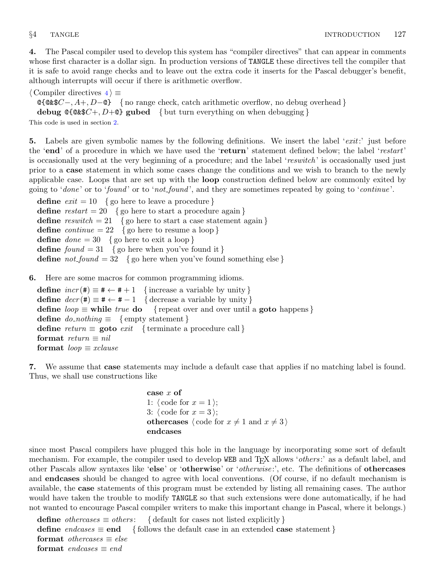<span id="page-2-0"></span>4. The Pascal compiler used to develop this system has "compiler directives" that can appear in comments whose first character is a dollar sign. In production versions of TANGLE these directives tell the compiler that it is safe to avoid range checks and to leave out the extra code it inserts for the Pascal debugger's benefit, although interrupts will occur if there is arithmetic overflow.

 $\langle$  Compiler directives  $4 \rangle \equiv$ 

 $\text{@{a}$  $\text{@c}$ ,  $A +$ ,  $D - \text{@}$  { no range check, catch arithmetic overflow, no debug overhead } debug  $\text{@G@$C+, D+@}$  gubed { but turn everything on when debugging}

This code is used in section [2](#page-1-0).

5. Labels are given symbolic names by the following definitions. We insert the label 'exit:' just before the 'end' of a procedure in which we have used the 'return' statement defined below; the label 'restart' is occasionally used at the very beginning of a procedure; and the label 'reswitch' is occasionally used just prior to a case statement in which some cases change the conditions and we wish to branch to the newly applicable case. Loops that are set up with the loop construction defined below are commonly exited by going to 'done' or to 'found' or to 'not-found', and they are sometimes repeated by going to 'continue'.

define  $exit = 10$  {go here to leave a procedure} define  $\text{restart} = 20$  { go here to start a procedure again } define reswitch = 21 { go here to start a case statement again } define *continue* = 22 { go here to resume a loop } **define**  $done = 30$  { go here to exit a loop } **define**  $found = 31$  { go here when you've found it } **define**  $not\_found = 32$  { go here when you've found something else }

6. Here are some macros for common programming idioms.

define  $incr(\#) \equiv # \leftarrow # + 1$  {increase a variable by unity } define  $decr(\texttt{\#}) \equiv \texttt{\#} \leftarrow \texttt{\#} - 1$  { decrease a variable by unity } define  $loop \equiv$  while true do { repeat over and over until a goto happens} define  $do\_nothing \equiv \{$  empty statement  $\}$ define return  $\equiv$  goto exit { terminate a procedure call } format return  $\equiv$  nil format  $loop \equiv x clause$ 

7. We assume that case statements may include a default case that applies if no matching label is found. Thus, we shall use constructions like

> case x of 1:  $\langle \text{code for } x = 1 \rangle;$ 3:  $\langle \text{code for } x = 3 \rangle$ ; **othercases**  $\langle \text{code for } x \neq 1 \text{ and } x \neq 3 \rangle$ endcases

since most Pascal compilers have plugged this hole in the language by incorporating some sort of default mechanism. For example, the compiler used to develop WEB and T<sub>EX</sub> allows '*others*:' as a default label, and other Pascals allow syntaxes like 'else' or 'otherwise' or '*otherwise*:', etc. The definitions of **othercases** and endcases should be changed to agree with local conventions. (Of course, if no default mechanism is available, the case statements of this program must be extended by listing all remaining cases. The author would have taken the trouble to modify TANGLE so that such extensions were done automatically, if he had not wanted to encourage Pascal compiler writers to make this important change in Pascal, where it belongs.)

define *othercases*  $\equiv$  *others*: { default for cases not listed explicitly } define endcases  $\equiv$  end { follows the default case in an extended case statement } format *othercases*  $\equiv$  *else* format endcases  $\equiv$  end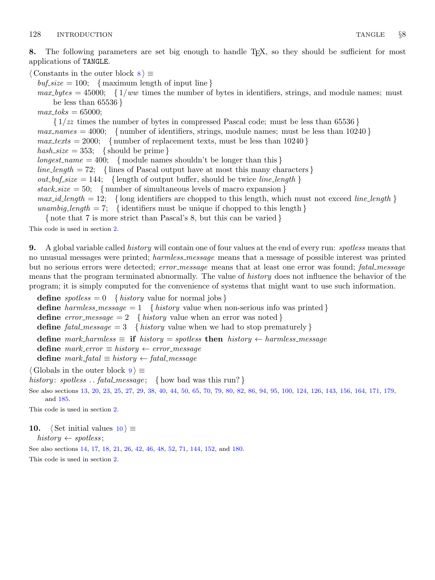<span id="page-3-0"></span>8. The following parameters are set big enough to handle T<sub>E</sub>X, so they should be sufficient for most applications of TANGLE.

 $\langle$  Constants in the outer block  $\langle$  \ended \rightarrow \rightarrow \rightarrow \rightarrow \rightarrow \rightarrow \rightarrow \rightarrow \rightarrow \rightarrow \rightarrow \rightarrow \rightarrow \rightarrow \righta

 $\text{buf\_size} = 100;$  { maximum length of input line }

 $max_b \, y \, t = 45000; \quad \{1/ww \text{ times the number of bytes in identifiers, strings, and module names; must$ be less than 65536 }

 $max\_toks = 65000;$ 

{ 1/zz times the number of bytes in compressed Pascal code; must be less than 65536 }  $max\_names = 4000;$  {number of identifiers, strings, module names; must be less than 10240 }  $max\_texts = 2000;$  { number of replacement texts, must be less than 10240 } hash size = 353; { should be prime } longest\_name = 400; { module names shouldn't be longer than this }  $line_length = 72;$  {lines of Pascal output have at most this many characters}  $out_buf\_size = 144; \{ length of output buffer, should be twice line\_length \}$  $stack\_size = 50; \{ number of simultaneous levels of macro expansion \}$  $max_id.length = 12; \{long identifiers are choped to this length, which must not exceed line_length\}$ unambig length = 7; { identifiers must be unique if chopped to this length }

{ note that 7 is more strict than Pascal's 8, but this can be varied } This code is used in section [2](#page-1-0).

9. A global variable called *history* will contain one of four values at the end of every run: *spotless* means that no unusual messages were printed; harmless message means that a message of possible interest was printed but no serious errors were detected; error\_message means that at least one error was found; fatal\_message means that the program terminated abnormally. The value of *history* does not influence the behavior of the program; it is simply computed for the convenience of systems that might want to use such information.

define spotless =  $0 \{ history value for normal jobs \}$ define harmless message  $= 1$  { history value when non-serious info was printed } define error message  $= 2 \{ history \ value \ when an error was noted\}$ define fatal message = 3 { history value when we had to stop prematurely } define mark\_harmless  $\equiv$  if history = spotless then history  $\leftarrow$  harmless\_message define mark\_error  $\equiv$  history  $\leftarrow$  error\_message define  $mark\_fatal \equiv history \leftarrow fatal\_message$ 

 $\langle$  Globals in the outer block  $9 \rangle \equiv$ 

history: spotless ...  $fatal_m \neq s$ ; {how bad was this run?}

See also sections [13,](#page-5-0) [20,](#page-8-0) [23](#page-8-0), [25](#page-8-0), [27](#page-9-0), [29,](#page-10-0) [38,](#page-12-0) [40,](#page-13-0) [44,](#page-13-0) [50](#page-15-0), [65](#page-20-0), [70](#page-22-0), [79](#page-25-0), [80,](#page-25-0) [82,](#page-25-0) [86,](#page-26-0) [94](#page-30-0), [95](#page-31-0), [100](#page-33-0), [124,](#page-43-0) [126,](#page-43-0) [143,](#page-50-0) [156,](#page-54-0) [164,](#page-57-0) [171](#page-60-0), [179](#page-63-0), and [185](#page-65-0).

This code is used in section [2](#page-1-0).

10.  $\langle$  Set initial values 10  $\rangle \equiv$ 

 $history \leftarrow spotless;$ 

See also sections [14](#page-6-0), [17,](#page-7-0) [18](#page-7-0), [21](#page-8-0), [26,](#page-9-0) [42](#page-13-0), [46,](#page-13-0) [48,](#page-14-0) [52](#page-15-0), [71,](#page-22-0) [144,](#page-50-0) [152,](#page-52-0) and [180](#page-63-0).

This code is used in section [2](#page-1-0).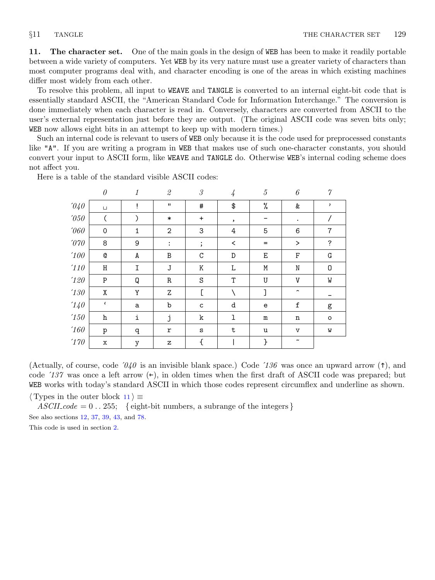<span id="page-4-0"></span>11. The character set. One of the main goals in the design of WEB has been to make it readily portable between a wide variety of computers. Yet WEB by its very nature must use a greater variety of characters than most computer programs deal with, and character encoding is one of the areas in which existing machines differ most widely from each other.

To resolve this problem, all input to WEAVE and TANGLE is converted to an internal eight-bit code that is essentially standard ASCII, the "American Standard Code for Information Interchange." The conversion is done immediately when each character is read in. Conversely, characters are converted from ASCII to the user's external representation just before they are output. (The original ASCII code was seven bits only; WEB now allows eight bits in an attempt to keep up with modern times.)

Such an internal code is relevant to users of WEB only because it is the code used for preprocessed constants like "A". If you are writing a program in WEB that makes use of such one-character constants, you should convert your input to ASCII form, like WEAVE and TANGLE do. Otherwise WEB's internal coding scheme does not affect you.

|                       | $\theta$       | 1            | $\it 2$            | $\mathcal{S}$ | $\overline{4}$ | 5                 | $\boldsymbol{\mathit{6}}$ | $\gamma$       |
|-----------------------|----------------|--------------|--------------------|---------------|----------------|-------------------|---------------------------|----------------|
| $\partial\mathcal{U}$ | $\sqcup$       | Ţ            | $\pmb{\mathsf{H}}$ | #             | \$             | $\%$              | &                         | ,              |
| $^\prime\!050$        | $\overline{C}$ | ⟩            | $\ast$             | $\ddot{}$     | ,              |                   | $\bullet$                 | 7              |
| $^\prime\!060$        | $\mathbf 0$    | 1            | 2                  | 3             | 4              | 5                 | 6                         | $\overline{7}$ |
| $\it 070$             | 8              | 9            | :                  | $\cdot$       | $\,<\,$        | $\qquad \qquad =$ | $\, >$                    | ?              |
| $^\prime\!100$        | $\mathbb{Q}$   | A            | B                  | C             | D              | Е                 | F                         | G              |
| $^\prime\!110$        | $\, {\rm H}$   | I            | J                  | Κ             | Г              | M                 | N                         | 0              |
| $^\prime\!120$        | $\mathbf P$    | Q            | R                  | $\rm S$       | T              | U                 | V                         | W              |
| $^\prime\!130$        | X              | Y            | Z                  | C             |                | J                 | $\hat{\phantom{a}}$       |                |
| $'140$                | $\pmb{\zeta}$  | $\mathbf{a}$ | $\mathbf b$        | $\mathsf{C}$  | d              | $\mathsf{e}$      | $\mathtt f$               | g              |
| $^\prime\!150$        | h              | i            | j                  | k             | $\mathbf{I}$   | ${\tt m}$         | $\mathbf n$               | $\circ$        |
| $^\prime\!160$        | p              | q            | r                  | S             | $\mathbf t$    | u                 | $\mathtt{V}$              | W              |
| $^\prime 170$         | $\mathbf x$    | y            | z                  | €             |                | }                 | $\tilde{\phantom{a}}$     |                |

Here is a table of the standard visible ASCII codes:

(Actually, of course, code  $\partial \mathcal{U}$  is an invisible blank space.) Code  $\partial \mathcal{U}$  was once an upward arrow ( $\uparrow$ ), and code  $137$  was once a left arrow  $(\leftarrow)$ , in olden times when the first draft of ASCII code was prepared; but WEB works with today's standard ASCII in which those codes represent circumflex and underline as shown.

 $\langle$  Types in the outer block 11  $\rangle \equiv$ 

 $ASCII\_code = 0$ ...255; { eight-bit numbers, a subrange of the integers } See also sections [12](#page-5-0), [37,](#page-12-0) [39](#page-12-0), [43](#page-13-0), and [78](#page-25-0).

This code is used in section [2](#page-1-0).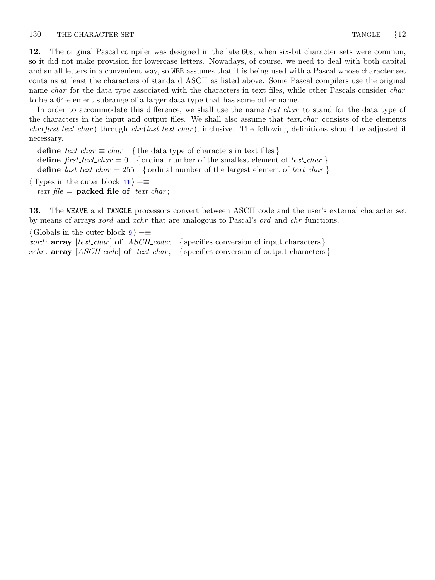<span id="page-5-0"></span>12. The original Pascal compiler was designed in the late 60s, when six-bit character sets were common, so it did not make provision for lowercase letters. Nowadays, of course, we need to deal with both capital and small letters in a convenient way, so WEB assumes that it is being used with a Pascal whose character set contains at least the characters of standard ASCII as listed above. Some Pascal compilers use the original name *char* for the data type associated with the characters in text files, while other Pascals consider *char* to be a 64-element subrange of a larger data type that has some other name.

In order to accommodate this difference, we shall use the name *text\_char* to stand for the data type of the characters in the input and output files. We shall also assume that text char consists of the elements  $chr(first.text\_char)$  through  $chr(last.text\_char)$ , inclusive. The following definitions should be adjusted if necessary.

define  $text\_char \equiv char$  { the data type of characters in text files } define first text char = 0 { ordinal number of the smallest element of text char } define *last\_text\_char* = 255 { ordinal number of the largest element of *text\_char* }  $\langle$  Types in the outer block [11](#page-4-0)  $\rangle$  +≡

text\_file = packed file of text\_char;

13. The WEAVE and TANGLE processors convert between ASCII code and the user's external character set by means of arrays *xord* and *xchr* that are analogous to Pascal's *ord* and *chr* functions.

| $\langle$ Globals in the outer block $9$ $\rangle + \equiv$ |                                                                                                    |
|-------------------------------------------------------------|----------------------------------------------------------------------------------------------------|
|                                                             | <i>xord</i> : $array [text{\,}of\,ASCII_code; \{species conversion of input characters \} ]$       |
|                                                             | xchr: <b>array</b> [ASCII_code] <b>of</b> text_char: { specifies conversion of output characters } |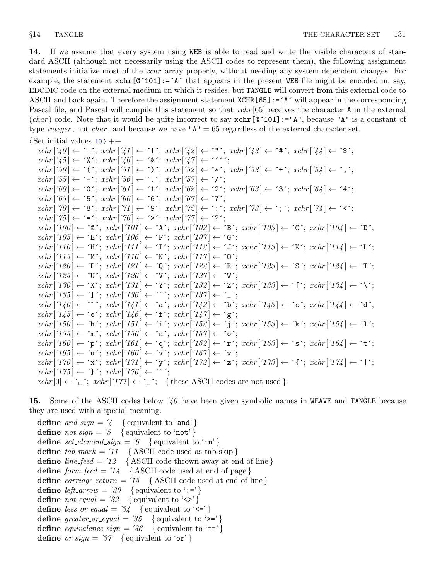<span id="page-6-0"></span>14. If we assume that every system using WEB is able to read and write the visible characters of standard ASCII (although not necessarily using the ASCII codes to represent them), the following assignment statements initialize most of the xchr array properly, without needing any system-dependent changes. For example, the statement  $\text{xchr}[\mathbb{Q}^{\dagger}101]:=\mathbb{A}^{\dagger}$  that appears in the present WEB file might be encoded in, say, EBCDIC code on the external medium on which it resides, but TANGLE will convert from this external code to ASCII and back again. Therefore the assignment statement XCHR[65]:=´A´ will appear in the corresponding Pascal file, and Pascal will compile this statement so that xchr [65] receives the character A in the external (char) code. Note that it would be quite incorrect to say  $xchr[@'101]:= "A",$  because "A" is a constant of type *integer*, not *char*, and because we have " $A'' = 65$  regardless of the external character set.

$$
\langle
$$
 Set initial values 10 $\rangle$  +

 $xchr\left[\left(40\right] \leftarrow \left[1\right]; xchr\left[\left(41\right] \leftarrow \left[1\right]; xchr\left[\left(42\right] \leftarrow \left[1\right]; xchr\left[\left(43\right] \leftarrow \left[4\right]; xchr\left[\left(44\right] \leftarrow \left[3\right]; xchr\left[\left[44\right] \leftarrow \left[3\right]; xchr\left[\left[44\right] \leftarrow \left[3\right]; xchr\left[\left[44\right] \leftarrow \left[3\right]; xchr\left[\left[44\right] \leftarrow \left[3\right]; xchr\left[\left[44\right] \leftarrow \left[3\right];$  $xchr['45] \leftarrow \sqrt[k]{\cdot}$ ;  $xchr['46] \leftarrow \sqrt[k]{\cdot}$ ;  $xchr['47] \leftarrow \cdots$ ;  $xchr[750] \leftarrow \checkmark$ ;  $xchr[751] \leftarrow \checkmark$ ;  $xchr[752] \leftarrow \checkmark$ ;  $xchr[753] \leftarrow \checkmark$ ;  $xchr[754] \leftarrow \checkmark$ ;  $xchr['55] \leftarrow -$ ;  $xchr['56] \leftarrow -$ ;  $xchr['57] \leftarrow '$  $xchr[60] \leftarrow 0$ ';  $xchr[61] \leftarrow 1$ ';  $xchr[62] \leftarrow 2$ ';  $xchr[63] \leftarrow 3$ ';  $xchr[64] \leftarrow 4$ ';  $xchr['65] \leftarrow 5$ ;  $xchr['66] \leftarrow 6$ ;  $xchr['67] \leftarrow 7$ ;  $xchr[70] \leftarrow$  '8';  $xchr[71] \leftarrow$  '9';  $xchr[72] \leftarrow$  ':';  $xchr[73] \leftarrow$ '; ';  $xchr[74] \leftarrow$ '';  $xchr['75] \leftarrow \{^1; xchr['76] \leftarrow^1; xchr['77] \leftarrow^1; xchr['77]$  $xchr['100] \leftarrow$   $\infty$ ;  $xchr['101] \leftarrow$   $\infty$ ;  $xchr['102] \leftarrow \infty$ ;  $xchr['103] \leftarrow \infty$ ;  $xchr['104] \leftarrow \infty$ ;  $xchr['105] \leftarrow \text{`E'}; xchr['106] \leftarrow \text{`F'}; xchr['107] \leftarrow \text{`G'};$  $xchr['110] \leftarrow \text{`H'}; xchr['111] \leftarrow \text{`I'}; xchr['112] \leftarrow \text{`J'}; xchr['113] \leftarrow \text{`K'}; xchr['114] \leftarrow \text{`L'};$  $xchr['115] \leftarrow \gamma'$ ;  $xchr['116] \leftarrow \gamma'$ ;  $xchr['117] \leftarrow \gamma'$ ;  $xchr[120] \leftarrow \text{`P'}; xchr[121] \leftarrow \text{`Q'}; xchr[122] \leftarrow \text{`R'}; xchr[123] \leftarrow \text{`S'}; xchr[124] \leftarrow \text{`T'};$  $xchr['125] \leftarrow \text{`U'}$ ;  $xchr['126] \leftarrow \text{`V'}$ ;  $xchr['127] \leftarrow \text{`W'}$ ;  $xchr['130] \leftarrow \text{`X'}; xchr['131] \leftarrow \text{`Y'}; xchr['132] \leftarrow \text{`Z'}; xchr['133] \leftarrow \text{`C'}; xchr['134] \leftarrow \text{`V'};$  $xchr['135] \leftarrow$  '];  $xchr['136] \leftarrow$  '^';  $xchr['137] \leftarrow$  '\_';  $xchr[140] \leftarrow \cdots$ ;  $xchr[141] \leftarrow a$ ;  $xchr[142] \leftarrow b$ ;  $xchr[143] \leftarrow c$ ;  $xchr[144] \leftarrow d$ ;  $xchr['145] \leftarrow \text{`e'}; xchr['146] \leftarrow \text{`f'}; xchr['147] \leftarrow \text{`g'};$  $xchr['150] \leftarrow \text{`h'}; xchr['151] \leftarrow \text{`i'}; xchr['152] \leftarrow \text{`j'}; xchr['153] \leftarrow \text{`k'}; xchr['154] \leftarrow \text{`1'};$  $xchr['155] \leftarrow \text{`m'}; xchr['156] \leftarrow \text{`n'}; xchr['157] \leftarrow \text{`o'};$  $xchr[160] \leftarrow \text{`p'}; xchr[161] \leftarrow \text{`q'}; xchr[162] \leftarrow \text{`r'}; xchr[163] \leftarrow \text{`s'}; xchr[164] \leftarrow \text{`t'};$  $xchr['165] \leftarrow \text{`u'}; xchr['166] \leftarrow \text{`v'}; xchr['167] \leftarrow \text{`w'};$  $xchr['170] \leftarrow x$ ;  $xchr['171] \leftarrow y$ ;  $xchr['172] \leftarrow z$ ;  $xchr['173] \leftarrow \{x; xchr['174] \leftarrow 1$ ;  $xchr['175] \leftarrow {\text{```}}; xchr['176] \leftarrow {\text{````}};$  $xchr[0] \leftarrow \sim \sim \text{char}[177] \leftarrow \sim \sim \sim \text{#}$  {these ASCII codes are not used}

15. Some of the ASCII codes below  $40$  have been given symbolic names in WEAVE and TANGLE because they are used with a special meaning.

define and  $sign = 4$  { equivalent to 'and' } **define**  $not\_sign = 5 \{$  equivalent to 'not'  $\}$ define set element sign =  $\hat{b}$  { equivalent to 'in' } define  $tab\_mark = '11$  { ASCII code used as tab-skip } define *line\_feed* =  $12$  { ASCII code thrown away at end of line } define  $form\_feed = '14$  { ASCII code used at end of page } define carriage\_return =  $'15$  {ASCII code used at end of line} define left\_arrow = '30 { equivalent to ':='} define  $not\text{-}equal = 32$  { equivalent to '<>' } define  $less\_or\_equal = 34$  { equivalent to ' $\leftarrow$ '} define greater\_or\_equal = '35 { equivalent to '>='} define equivalence sign =  $36 \{$  equivalent to '==' } define  $\text{or}\,\text{-}\text{sign} = 37$  { equivalent to 'or' }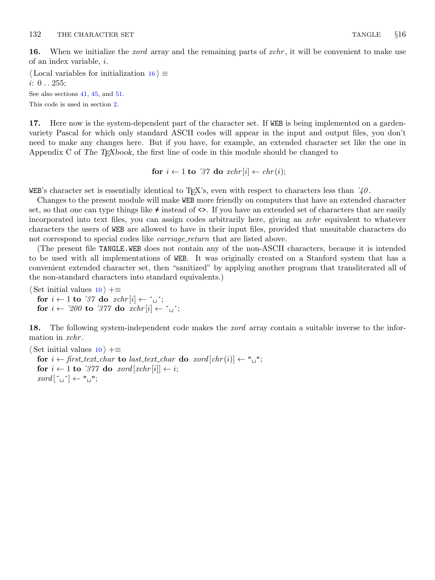<span id="page-7-0"></span>16. When we initialize the *xord* array and the remaining parts of *xchr*, it will be convenient to make use of an index variable, i.

 $\langle$  Local variables for initialization 16 $\rangle \equiv$  $i: 0 \ldots 255;$ See also sections [41](#page-13-0), [45,](#page-13-0) and [51.](#page-15-0)

This code is used in section [2](#page-1-0).

17. Here now is the system-dependent part of the character set. If WEB is being implemented on a gardenvariety Pascal for which only standard ASCII codes will appear in the input and output files, you don't need to make any changes here. But if you have, for example, an extended character set like the one in Appendix C of The T<sub>E</sub>Xbook, the first line of code in this module should be changed to

for  $i \leftarrow 1$  to '37 do  $xchr[i] \leftarrow chr(i);$ 

WEB's character set is essentially identical to T<sub>E</sub>X's, even with respect to characters less than  $40$ .

Changes to the present module will make WEB more friendly on computers that have an extended character set, so that one can type things like  $\neq$  instead of  $\lt\gt$ . If you have an extended set of characters that are easily incorporated into text files, you can assign codes arbitrarily here, giving an xchr equivalent to whatever characters the users of WEB are allowed to have in their input files, provided that unsuitable characters do not correspond to special codes like *carriage\_return* that are listed above.

(The present file TANGLE.WEB does not contain any of the non-ASCII characters, because it is intended to be used with all implementations of WEB. It was originally created on a Stanford system that has a convenient extended character set, then "sanitized" by applying another program that transliterated all of the non-standard characters into standard equivalents.)

 $\langle$  Set initial values [10](#page-3-0)  $\rangle$  +≡ for  $i \leftarrow 1$  to '37 do  $xchr[i] \leftarrow \gamma_{i}$ ; for  $i \leftarrow 200$  to '377 do  $xchr[i] \leftarrow \gamma$ ;

18. The following system-independent code makes the *xord* array contain a suitable inverse to the information in *xchr*.

 $\langle$  Set initial values [10](#page-3-0)  $\rangle$  +≡ for  $i \leftarrow$  first\_text\_char to last\_text\_char do xord  $[chr(i)] \leftarrow "\sqcup"$ ; for  $i \leftarrow 1$  to '377 do xord  $[xchr[i]] \leftarrow i$ ;  $\mathit{word}[\ulcorner \sqcup \ulcorner] \leftarrow " \sqcup"$ ;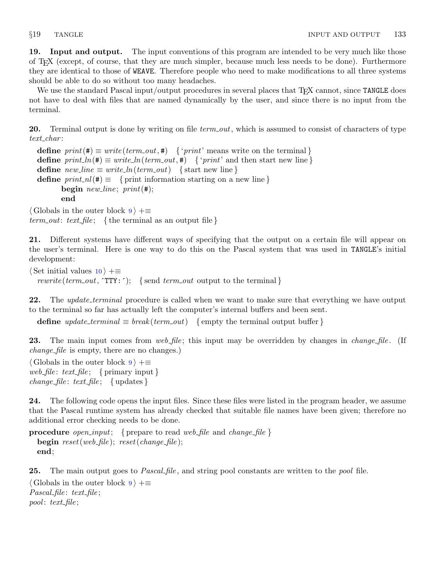<span id="page-8-0"></span>19. Input and output. The input conventions of this program are intended to be very much like those of TEX (except, of course, that they are much simpler, because much less needs to be done). Furthermore they are identical to those of WEAVE. Therefore people who need to make modifications to all three systems should be able to do so without too many headaches.

We use the standard Pascal input/output procedures in several places that T<sub>E</sub>X cannot, since TANGLE does not have to deal with files that are named dynamically by the user, and since there is no input from the terminal.

**20.** Terminal output is done by writing on file  $term\_out$ , which is assumed to consist of characters of type  $text_{.char}$ :

**define**  $print(\textbf{\#}) \equiv write(term\_out, \textbf{\#})$  { '*print*' means write on the terminal } define  $print_{\mu}(\textbf{m}) \equiv write_{\mu} (term_{\mu}, \textbf{m})$  { 'print' and then start new line } define  $new\_line \equiv write\_ln(term\_out)$  { start new line } define  $print\_nl(\#) \equiv \{$  print information starting on a new line } begin new line;  $print(\#);$ end

 $\langle$  Globals in the outer block [9](#page-3-0)  $\rangle$  += term\_out: text\_file; { the terminal as an output file }

21. Different systems have different ways of specifying that the output on a certain file will appear on the user's terminal. Here is one way to do this on the Pascal system that was used in TANGLE's initial development:

 $\langle$  Set initial values [10](#page-3-0)  $\rangle$  +≡ rewrite (term\_out,  $TTY:$ ); {send term\_out output to the terminal}

22. The update\_terminal procedure is called when we want to make sure that everything we have output to the terminal so far has actually left the computer's internal buffers and been sent.

define  $update\_terminal \equiv break(term.out)$  {empty the terminal output buffer }

23. The main input comes from web file; this input may be overridden by changes in *change* file. (If change file is empty, there are no changes.)

 $\langle$  Globals in the outer block [9](#page-3-0)  $\rangle$  += web file: text file; { primary input }  $change_{\text{file}}$ :  $text_{\text{file}}$ ; {updates}

24. The following code opens the input files. Since these files were listed in the program header, we assume that the Pascal runtime system has already checked that suitable file names have been given; therefore no additional error checking needs to be done.

```
procedure open_input; { prepare to read web_file and change_file }
  begin reset(web_file); reset(change_file);
  end;
```
25. The main output goes to *Pascal file*, and string pool constants are written to the *pool* file.

 $\langle$  Globals in the outer block [9](#page-3-0)  $\rangle$  + $\equiv$  $Pascal$ -file: text-file; pool: text\_file;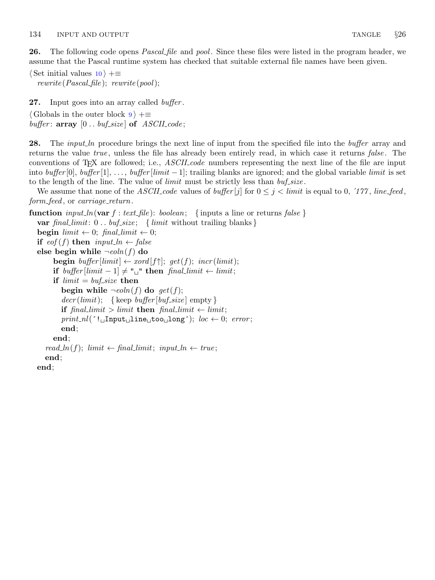<span id="page-9-0"></span>26. The following code opens *Pascal file* and *pool*. Since these files were listed in the program header, we assume that the Pascal runtime system has checked that suitable external file names have been given.

 $\langle$  Set initial values [10](#page-3-0)  $\rangle$  +≡  $rewrite(Pascal_file);$   $rewrite(pool);$ 

27. Input goes into an array called *buffer*.

 $\langle$  Globals in the outer block  $9 \rangle + \equiv$  $9 \rangle + \equiv$ buffer:  $array [0..$   $buf\_size]$  of  $ASCII\_code;$ 

28. The *input ln* procedure brings the next line of input from the specified file into the *buffer* array and returns the value true, unless the file has already been entirely read, in which case it returns false. The conventions of T<sub>E</sub>X are followed; i.e., *ASCII code* numbers representing the next line of the file are input into  $buffer[0], buffer[1], ..., buffer[limit-1]$ ; trailing blanks are ignored; and the global variable limit is set to the length of the line. The value of *limit* must be strictly less than  $buf\_size$ .

We assume that none of the ASCII code values of buffer  $|j|$  for  $0 \leq j \leq l$  imit is equal to 0, '177, line feed, form\_feed, or carriage\_return.

**function** input ln(**var** f : text file): boolean; { inputs a line or returns false } var final limit:  $0$ .. buf size; { limit without trailing blanks} **begin**  $limit \leftarrow 0$ ; final limit  $\leftarrow 0$ ; if  $\operatorname{cof}(f)$  then input\_ln  $\leftarrow$  false else begin while  $\neg$ *eoln*(f) do **begin** buffer  $\left[$ *limit* $\right] \leftarrow$  *xord* $\left[$ *f* $\right]$ ; *get*(*f*); *incr*(*limit*); if buffer[limit − 1]  $\neq$  " $\sqcup$ " then final\_limit  $\leftarrow$  limit; if  $limit = but\_size$  then begin while  $\neg$ eoln(f) do get(f);  $decr (limit);$  {keep buffer [buf\_size] empty } if final limit > limit then final limit  $\leftarrow$  limit;  $print\_nl$ ( $':$  Input line too long');  $loc \leftarrow 0$ ; error; end; end;  $read\_ln(f);$  limit  $\leftarrow final\_limit;$  input\_ln  $\leftarrow true;$ end; end;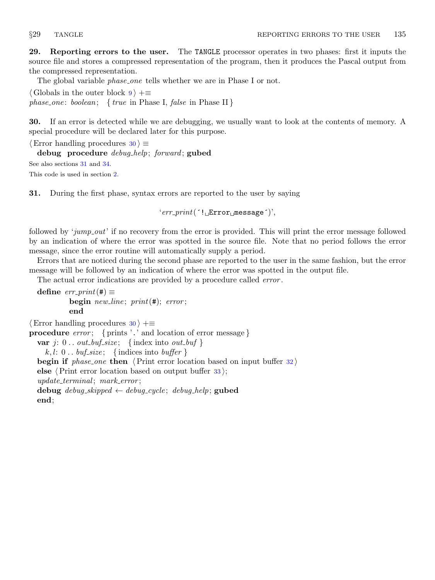<span id="page-10-0"></span>29. Reporting errors to the user. The TANGLE processor operates in two phases: first it inputs the source file and stores a compressed representation of the program, then it produces the Pascal output from the compressed representation.

The global variable *phase\_one* tells whether we are in Phase I or not.

 $\langle$  Globals in the outer block  $9$   $\rangle$  +≡ phase\_one: boolean; { true in Phase I, false in Phase II }

30. If an error is detected while we are debugging, we usually want to look at the contents of memory. A special procedure will be declared later for this purpose.

 $\langle$  Error handling procedures 30  $\rangle \equiv$ debug procedure *debug\_help*; forward; gubed See also sections 31 and [34.](#page-11-0) This code is used in section [2](#page-1-0).

31. During the first phase, syntax errors are reported to the user by saying

 $'err\_print('!$  Error message´)',

followed by 'jump\_out' if no recovery from the error is provided. This will print the error message followed by an indication of where the error was spotted in the source file. Note that no period follows the error message, since the error routine will automatically supply a period.

Errors that are noticed during the second phase are reported to the user in the same fashion, but the error message will be followed by an indication of where the error was spotted in the output file.

The actual error indications are provided by a procedure called *error*.

define  $err\_print(#) \equiv$ begin  $new\_line$ ;  $print(\#);$  error; end

 $\langle$  Error handling procedures 30  $\rangle$  +≡ **procedure** error; { prints '.' and location of error message } var j:  $0 \dots out_buf\_size$ ; {index into *out\_buf* } k, l: 0... buf\_size; {indices into buffer } begin if *phase\_one* then  $\langle$  Print error location based on input buffer  $32 \rangle$  $32 \rangle$ else  $\langle$  Print error location based on output buffer  $33$ ;  $update\_terminal; mark\_error;$ debug debug\_skipped  $\leftarrow$  debug\_cycle; debug\_help; gubed end;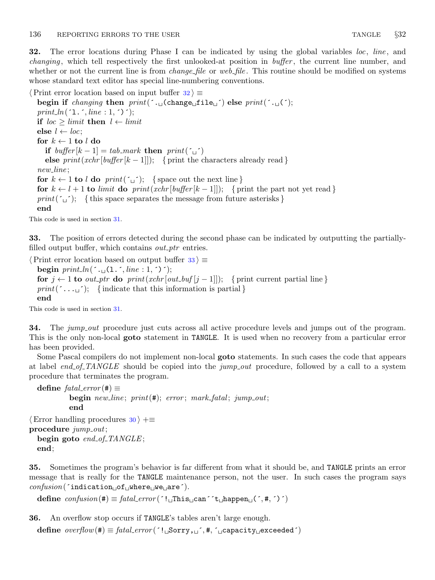<span id="page-11-0"></span>32. The error locations during Phase I can be indicated by using the global variables loc, line, and changing, which tell respectively the first unlooked-at position in buffer, the current line number, and whether or not the current line is from *change-file* or *web-file*. This routine should be modified on systems whose standard text editor has special line-numbering conventions.

 $\langle$  Print error location based on input buffer  $32$   $\equiv$ 

begin if changing then  $print(\cdot, \text{diag}(char \text{diag}(time))$  else  $print(\cdot, \text{diag}(c))$ ;  $print\_ln($  ^1.  $\cdot$ , line : 1, ^)  $\cdot$ ); if  $loc \geq limit$  then  $l \leftarrow limit$ else  $l \leftarrow loc;$ for  $k \leftarrow 1$  to  $l$  do if  $buffer[k-1] = tab\_mark$  then  $print('_1')$ else  $print(xchr[buffer[k-1]]);$  { print the characters already read } new\_line; for  $k \leftarrow 1$  to l do  $print('_1')$ ; {space out the next line} for  $k \leftarrow l + 1$  to limit do print(xchr [buffer  $[k-1]$ ]); { print the part not yet read } print( $\omega$ ); {this space separates the message from future asterisks} end

This code is used in section [31](#page-10-0).

33. The position of errors detected during the second phase can be indicated by outputting the partiallyfilled output buffer, which contains  $out\_ptr$  entries.

 $\langle$  Print error location based on output buffer 33  $\rangle \equiv$ begin  $print\_ln($   $\cdot$   $\cdot$   $\cup$   $(1 \cdot \cdot, line : 1, \cdot) \cdot$ ; for  $j \leftarrow 1$  to *out\_ptr* do *print*(*xchr*[*out\_buf*[ $j - 1$ ]]); { print current partial line }  $print(\hat{\ldots}, \hat{\ldots})$ ; { indicate that this information is partial } end

This code is used in section [31](#page-10-0).

34. The jump out procedure just cuts across all active procedure levels and jumps out of the program. This is the only non-local goto statement in TANGLE. It is used when no recovery from a particular error has been provided.

Some Pascal compilers do not implement non-local goto statements. In such cases the code that appears at label end of TANGLE should be copied into the jump out procedure, followed by a call to a system procedure that terminates the program.

```
define fatal_error (#) \equivbegin new line; print(\texttt{#}); error; mark fatal; jump out;
          end
\langle30 \rangle +≡
procedure jump_out;
```
begin goto  $end_of_TANGLE$ ; end;

35. Sometimes the program's behavior is far different from what it should be, and TANGLE prints an error message that is really for the TANGLE maintenance person, not the user. In such cases the program says  $\mathit{confusion}(\text{'indication\_of\_where\_we\_are'})$ .

define  $\text{confusion}(\texttt{\#}) \equiv \text{fatal\_error}(\texttt{':} \text{``This} \text{''} \text{can} \texttt{``t} \text{``has} \text{''} \text{then} (\texttt{',\#}, \texttt{')'})$ 

36. An overflow stop occurs if TANGLE's tables aren't large enough.

define  $overflow(\texttt{\#}) \equiv \text{fatal_error}(\texttt{':} \text{``Sorry}, \text{``}, \texttt{\#}, \texttt{``} \text{``capacity} \text{``eexceeded''})$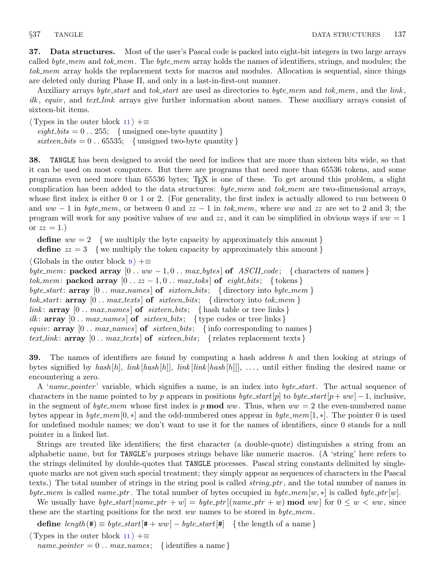<span id="page-12-0"></span>37. Data structures. Most of the user's Pascal code is packed into eight-bit integers in two large arrays called *byte\_mem* and *tok\_mem*. The *byte\_mem* array holds the names of identifiers, strings, and modules; the tok mem array holds the replacement texts for macros and modules. Allocation is sequential, since things are deleted only during Phase II, and only in a last-in-first-out manner.

Auxiliary arrays byte-start and tok-start are used as directories to byte-mem and tok-mem, and the link, ilk, equiv, and text link arrays give further information about names. These auxiliary arrays consist of sixteen-bit items.

 $\langle$  Types in the outer block [11](#page-4-0)  $\rangle$  +≡

 $\text{eight\_bits} = 0.255; \{ \text{ unsigned one-byte quantity} \}$ sixteen bits  $= 0$ . 65535; {unsigned two-byte quantity}

38. TANGLE has been designed to avoid the need for indices that are more than sixteen bits wide, so that it can be used on most computers. But there are programs that need more than 65536 tokens, and some programs even need more than 65536 bytes; TEX is one of these. To get around this problem, a slight complication has been added to the data structures:  $byte\_mem$  and  $tok\_mem$  are two-dimensional arrays, whose first index is either 0 or 1 or 2. (For generality, the first index is actually allowed to run between 0 and ww  $-1$  in byte\_mem, or between 0 and  $zz - 1$  in tok\_mem, where ww and zz are set to 2 and 3; the program will work for any positive values of ww and zz, and it can be simplified in obvious ways if  $ww = 1$ or  $zz = 1.$ 

define  $ww = 2$  {we multiply the byte capacity by approximately this amount } define  $zz = 3$  {we multiply the token capacity by approximately this amount }

 $\langle$  Globals in the outer block [9](#page-3-0)  $\rangle$  +=

byte\_mem: packed array  $[0 \dots ww - 1, 0 \dots max_bytes]$  of  $ASCH\_code$ ; {characters of names} tok mem: packed array  $[0 \tcdot zz - 1, 0 \tcdot \tcdot max\_toks]$  of eight bits; { tokens} byte\_start:  $array \; [0.. \; max\_names]$  of sixteen\_bits; { directory into byte\_mem } tok\_start:  $array \ [0..$  max\_texts of sixteen\_bits; {directory into tok\_mem} link:  $array [0.. max\_names]$  of  $s$ ixteen\_bits; { hash table or tree links } ilk:  $array [0.. max\_names]$  of  $s$ ixteen bits; { type codes or tree links} equiv:  $array \; [0.. \; max\_names]$  of sixteen bits; { info corresponding to names} text link:  $array [0.. max{\text -}tents]$  of  $s$  integrations; {relates replacement texts}

**39.** The names of identifiers are found by computing a hash address  $h$  and then looking at strings of bytes signified by hash  $[h]$ , link  $[hash[h]]$ , link  $[link[hash[h]]]$ , ..., until either finding the desired name or encountering a zero.

A 'name pointer' variable, which signifies a name, is an index into byte start. The actual sequence of characters in the name pointed to by p appears in positions byte\_start[p] to byte\_start[p+ww] – 1, inclusive, in the segment of byte mem whose first index is p **mod** ww. Thus, when  $ww = 2$  the even-numbered name bytes appear in byte\_mem[0,  $*$ ] and the odd-numbered ones appear in byte\_mem[1,  $*$ ]. The pointer 0 is used for undefined module names; we don't want to use it for the names of identifiers, since 0 stands for a null pointer in a linked list.

Strings are treated like identifiers; the first character (a double-quote) distinguishes a string from an alphabetic name, but for TANGLE's purposes strings behave like numeric macros. (A 'string' here refers to the strings delimited by double-quotes that TANGLE processes. Pascal string constants delimited by singlequote marks are not given such special treatment; they simply appear as sequences of characters in the Pascal texts.) The total number of strings in the string pool is called *string ptr*, and the total number of names in byte mem is called name ptr. The total number of bytes occupied in byte mem $[w, *]$  is called byte ptr  $[w]$ .

We usually have *byte\_start* [name\_ptr + w] = *byte\_ptr* [(name\_ptr + w) **mod** ww] for  $0 \leq w < ww$ , since these are the starting positions for the next ww names to be stored in  $byte\_mem$ .

define  $length(\#) \equiv byte\_start[\# + ww] - byte\_start[\#]$  {the length of a name}

 $\langle$  Types in the outer block [11](#page-4-0)  $\rangle$  + $\equiv$ 

name\_pointer =  $0 \dots max\_names; \{$  identifies a name }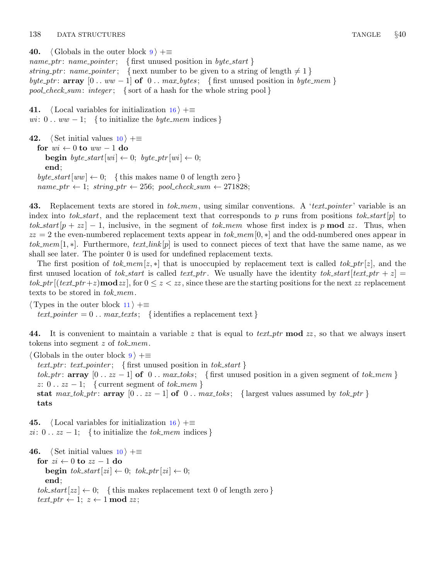<span id="page-13-0"></span>40.  $\langle$  Globals in the outer block  $9 \rangle + \equiv$  $9 \rangle + \equiv$ name\_ptr: name\_pointer; { first unused position in byte\_start } string ptr: name pointer; { next number to be given to a string of length  $\neq 1$  } byte\_ptr:  $array \; [0.. ww-1]$  of  $0.. max_b$ ytes; { first unused position in byte\_mem } pool check sum: integer; { sort of a hash for the whole string pool }

41. (Local variables for initialization  $16$ ) +≡ wi:  $0 \ldots ww - 1$ ; { to initialize the *byte\_mem* indices }

```
42. (Set initial values 10) +≡
  for wi \leftarrow 0 to ww - 1 do
     begin byte_start[wi] \leftarrow 0; byte_ptr[wi] \leftarrow 0;
     end;
  byte_start [ww] \leftarrow 0; {this makes name 0 of length zero }
  name\_ptr ← 1; string_ptr ← 256; pool_check_sum ← 271828;
```
43. Replacement texts are stored in tok\_mem, using similar conventions. A 'text\_pointer' variable is an index into tok-start, and the replacement text that corresponds to p runs from positions tok-start p to tok\_start  $[p + zz] - 1$ , inclusive, in the segment of tok\_mem whose first index is p **mod** zz. Thus, when  $zz = 2$  the even-numbered replacement texts appear in tok\_mem[0,  $*$ ] and the odd-numbered ones appear in tok mem[1, \*]. Furthermore, text link [p] is used to connect pieces of text that have the same name, as we shall see later. The pointer 0 is used for undefined replacement texts.

The first position of tok mem[z, \*] that is unoccupied by replacement text is called tok ptr [z], and the first unused location of tok\_start is called text\_ptr. We usually have the identity tok\_start  $|text_ptr + z|$  =  $tok\_ptr[(text\_ptr + z) \textbf{mod} zz]$ , for  $0 \leq z \leq zz$ , since these are the starting positions for the next zz replacement texts to be stored in  $tok\_mem$ .

 $\langle$  Types in the outer block [11](#page-4-0)  $\rangle$  + $\equiv$ text pointer =  $0$ . max texts; { identifies a replacement text}

44. It is convenient to maintain a variable z that is equal to text-ptr mod zz, so that we always insert tokens into segment  $z$  of  $tok_mem$ .

 $\langle$  Globals in the outer block  $9$   $\rangle$  += text\_ptr: text\_pointer; { first unused position in tok\_start } tok ptr: array  $[0 \tcdot zz - 1]$  of  $0 \tcdot max\_toks$ ; { first unused position in a given segment of tok mem} z:  $0 \ldots zz-1$ ; { current segment of tok\_mem } stat max\_tok\_ptr: array  $[0 \dots zz-1]$  of  $[0 \dots max\_toks; \{ \text{largest values assumed by } tok\_ptr \}$ tats

45. (Local variables for initialization  $16$ ) +≡  $zi: 0 \ldots zz-1;$  { to initialize the  $tok\_mem$  indices }

46. (Set initial values  $10$ ) +≡ for  $zi \leftarrow 0$  to  $zz - 1$  do **begin**  $tok\_start[zi] \leftarrow 0$ ;  $tok\_ptr[zi] \leftarrow 0$ ; end;  $tok\_start[zz] \leftarrow 0;$  {this makes replacement text 0 of length zero } text\_ptr  $\leftarrow$  1;  $z \leftarrow$  1 mod zz;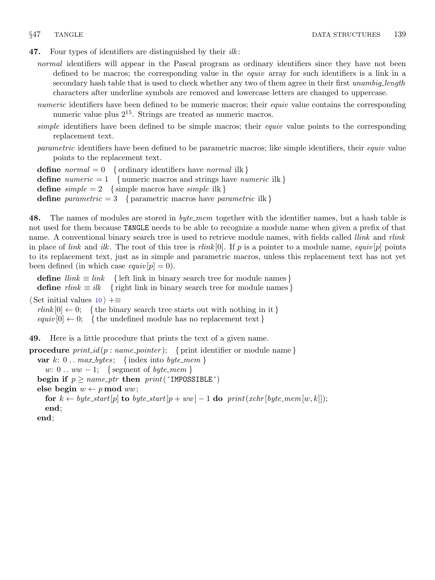<span id="page-14-0"></span>47. Four types of identifiers are distinguished by their  $ilk$ :

normal identifiers will appear in the Pascal program as ordinary identifiers since they have not been defined to be macros; the corresponding value in the *equiv* array for such identifiers is a link in a secondary hash table that is used to check whether any two of them agree in their first unambig length characters after underline symbols are removed and lowercase letters are changed to uppercase.

numeric identifiers have been defined to be numeric macros; their equiv value contains the corresponding numeric value plus  $2^{15}$ . Strings are treated as numeric macros.

simple identifiers have been defined to be simple macros; their equiv value points to the corresponding replacement text.

parametric identifiers have been defined to be parametric macros; like simple identifiers, their equiv value points to the replacement text.

**define** normal  $= 0$  { ordinary identifiers have normal ilk } define *numeric* = 1 { numeric macros and strings have *numeric* ilk } define  $simple = 2$  { simple macros have *simple* ilk } define *parametric* = 3 { parametric macros have *parametric* ilk }

48. The names of modules are stored in *byte\_mem* together with the identifier names, but a hash table is not used for them because TANGLE needs to be able to recognize a module name when given a prefix of that name. A conventional binary search tree is used to retrieve module names, with fields called *llink* and *rlink* in place of link and ilk. The root of this tree is rlink  $[0]$ . If p is a pointer to a module name, equiv  $[p]$  points to its replacement text, just as in simple and parametric macros, unless this replacement text has not yet been defined (in which case  $equiv[p] = 0$ ).

**define**  $\text{link} \equiv \text{link}$  { left link in binary search tree for module names } **define**  $rlink \equiv ilk$  { right link in binary search tree for module names }

 $\langle$  Set initial values [10](#page-3-0)  $\rangle$  +≡

 $rlink[0] \leftarrow 0; \{$  the binary search tree starts out with nothing in it }

 $equiv[0] \leftarrow 0; \{$  the undefined module has no replacement text }

49. Here is a little procedure that prints the text of a given name.

**procedure**  $print_id(p : name\_pointer);$  { print identifier or module name} var k:  $0 \ldots max_b \, y \, t \in \{ \text{index into } byte\_mem \}$ 

w:  $0 \ldots ww - 1$ ; { segment of *byte\_mem* }

begin if  $p \geq name\_ptr$  then  $print('IMPOSIBLE')$ 

else begin  $w \leftarrow p \mod{ww}$ ;

for  $k \leftarrow byte\_start[p]$  to byte\_start $[p + ww] - 1$  do print(xchr[byte\_mem[w, k]]); end;

end;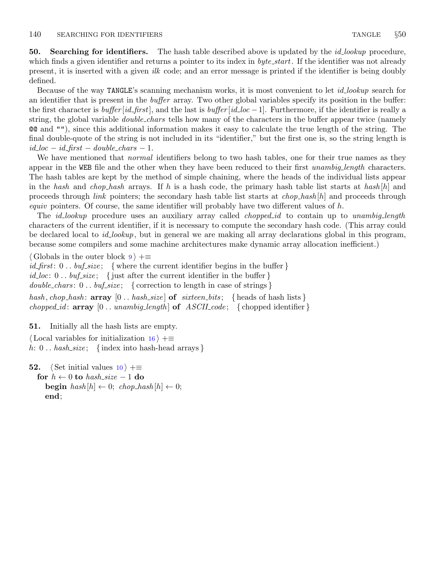<span id="page-15-0"></span>50. Searching for identifiers. The hash table described above is updated by the *id-lookup* procedure, which finds a given identifier and returns a pointer to its index in *byte\_start*. If the identifier was not already present, it is inserted with a given ilk code; and an error message is printed if the identifier is being doubly defined.

Because of the way TANGLE's scanning mechanism works, it is most convenient to let *id*-lookup search for an identifier that is present in the *buffer* array. Two other global variables specify its position in the buffer: the first character is *buffer* [id\_first], and the last is *buffer* [id\_loc –1]. Furthermore, if the identifier is really a string, the global variable *double\_chars* tells how many of the characters in the buffer appear twice (namely @@ and ""), since this additional information makes it easy to calculate the true length of the string. The final double-quote of the string is not included in its "identifier," but the first one is, so the string length is  $id\_loc - id\_first - double\_chars - 1.$ 

We have mentioned that *normal* identifiers belong to two hash tables, one for their true names as they appear in the WEB file and the other when they have been reduced to their first unambig length characters. The hash tables are kept by the method of simple chaining, where the heads of the individual lists appear in the hash and chop hash arrays. If h is a hash code, the primary hash table list starts at hash  $[h]$  and proceeds through *link* pointers; the secondary hash table list starts at *chop\_hash*  $[h]$  and proceeds through *equiv* pointers. Of course, the same identifier will probably have two different values of  $h$ .

The *id lookup* procedure uses an auxiliary array called *chopped id* to contain up to *unambig length* characters of the current identifier, if it is necessary to compute the secondary hash code. (This array could be declared local to *id\_lookup*, but in general we are making all array declarations global in this program, because some compilers and some machine architectures make dynamic array allocation inefficient.)

 $\langle$  Globals in the outer block [9](#page-3-0)  $\rangle$  +≡

*id\_first*:  $0 \ldots \text{buf\_size}$ ; {where the current identifier begins in the buffer } id loc:  $0 \ldots$  buf size; { just after the current identifier in the buffer }  $double\_chars: 0..$  buf\_size; { correction to length in case of strings} hash, chop hash:  $array \vert 0 \ldots has \text{--size} \vert$  of  $s$ ixteen bits; { heads of hash lists } chopped id:  $array \; | 0 \ldots unambig.length |$  of  $ASCII_code; \{ \text{choped identifier } \}$ 

51. Initially all the hash lists are empty.

 $\langle$  Local variables for initialization [16](#page-7-0)  $\rangle$  +≡ h:  $0$ .. hash\_size; {index into hash-head arrays}

**52.**  $\langle$  Set initial values  $10 \rangle$  $10 \rangle$  +≡ for  $h \leftarrow 0$  to hash\_size – 1 do **begin**  $hash[h] \leftarrow 0$ ;  $chop\_hash[h] \leftarrow 0$ ; end;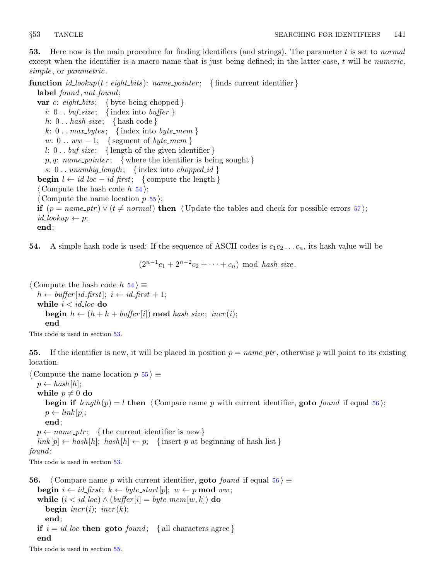<span id="page-16-0"></span>53. Here now is the main procedure for finding identifiers (and strings). The parameter  $t$  is set to normal except when the identifier is a macro name that is just being defined; in the latter case,  $t$  will be numeric, simple, or parametric.

function  $id\_lookup(t : eight\_bits): name\_ pointer; \{ finds current identifier \}$ label found, not\_found;

var c: eight\_bits; { byte being chopped } i:  $0 \ldots \text{buf\_size}$ ; {index into buffer } h:  $0 \ldots hash\_size; \{ hash code\}$  $k: 0...max_b \; \{ \text{index into } byte\_mem \}$ w:  $0 \ldots ww - 1$ ; { segment of *byte\_mem* } l: 0...  $buf\_size$ ; {length of the given identifier} p, q: name\_pointer; { where the identifier is being sought } s:  $0 \ldots$  unambig\_length; {index into chopped\_id} **begin**  $l \leftarrow id\_loc - id\_first;$  { compute the length }  $\langle$  Compute the hash code h 54 $\rangle$ ;  $\langle$  Compute the name location p 55 $\rangle$ ; if  $(p = name\_ptr) \vee (t \neq normal)$  then  $\langle$  Update the tables and check for possible errors [57](#page-17-0);  $id\_lookup \leftarrow p;$ 

end;

**54.** A simple hash code is used: If the sequence of ASCII codes is  $c_1c_2...c_n$ , its hash value will be

 $(2^{n-1}c_1 + 2^{n-2}c_2 + \cdots + c_n) \text{ mod } hash\_size.$ 

 $\langle$  Compute the hash code  $h$  54 $\rangle \equiv$  $h \leftarrow \text{buffer}[\text{id\_first}]; i \leftarrow \text{id\_first} + 1;$ while  $i < i d$ <sub>-loc</sub> do **begin**  $h \leftarrow (h + h + \text{buffer}[i]) \text{ mod } \text{hash\_size}; \text{incr}(i);$ end

This code is used in section 53.

55. If the identifier is new, it will be placed in position  $p = name\_ptr$ , otherwise p will point to its existing location.

 $\langle$  Compute the name location p 55  $\rangle \equiv$  $p \leftarrow hash[h]$ ; while  $p \neq 0$  do begin if  $length(p) = l$  then  $\langle$  Compare name p with current identifier, goto found if equal 56  $\rangle$ ;  $p \leftarrow link |p|$ ; end;  $p \leftarrow name\_ptr; \text{ { the current identifier is new }}$  $link[p] \leftarrow hash[h]$ ;  $hash[h] \leftarrow p$ ; {insert p at beginning of hash list} found: This code is used in section 53.

56. (Compare name p with current identifier, goto found if equal 56)  $\equiv$ **begin**  $i \leftarrow id\_first$ ;  $k \leftarrow byte\_start[p]$ ;  $w \leftarrow p \mod ww$ ; while  $(i < id\_loc) \wedge (buffer[i] = byte\_mem[w, k])$  do begin  $\text{incr}(i)$ ;  $\text{incr}(k)$ ; end; if  $i = id\_loc$  then goto  $found$ ; { all characters agree } end

This code is used in section 55.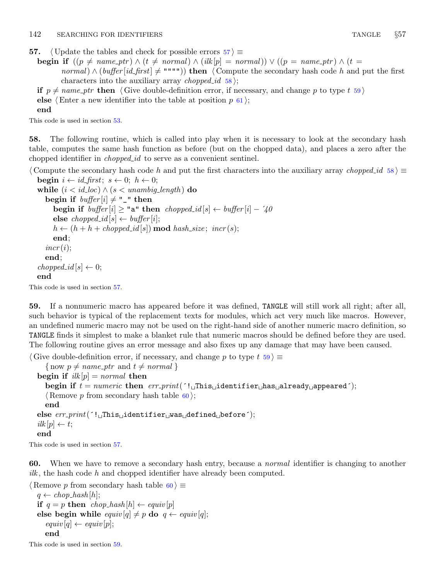<span id="page-17-0"></span>57. (Update the tables and check for possible errors  $57 \ge$ 

**begin if**  $((p \neq name\_ptr) \land (t \neq normal) \land (ilk[p] = normal)) \lor ((p = name\_ptr) \land (t =$ normal)  $\wedge$  (buffer [id\_first]  $\neq$  """")) then  $\langle$  Compute the secondary hash code h and put the first characters into the auxiliary array *chopped id*  $58$ ;

if  $p \neq name\_ptr$  then  $\langle$  Give double-definition error, if necessary, and change p to type t 59 i else  $\langle$  Enter a new identifier into the table at position p [61](#page-18-0) $\rangle$ ;

end

This code is used in section [53](#page-16-0).

58. The following routine, which is called into play when it is necessary to look at the secondary hash table, computes the same hash function as before (but on the chopped data), and places a zero after the chopped identifier in *chopped id* to serve as a convenient sentinel.

(Compute the secondary hash code h and put the first characters into the auxiliary array chopped id 58)  $\equiv$ 

```
begin i \leftarrow id_{\text{first}}; s \leftarrow 0; h \leftarrow 0;
   while (i < id\_loc) \wedge (s < unambig\_length) do
      begin if buffer[i] \neq "_" then
         begin if buffer[i] \geq "a" then choped_id[s] \leftarrow buffer[i] - 740else choped_id[s] \leftarrow buffer[i];h \leftarrow (h + h + \text{choped}_i[d[s]) \text{ mod } \text{hash}_\text{size}; \text{ incr}(s);end;
      incr(i);end;
   choped_id[s] \leftarrow 0;end
This code is used in section 57.
```
59. If a nonnumeric macro has appeared before it was defined, TANGLE will still work all right; after all, such behavior is typical of the replacement texts for modules, which act very much like macros. However, an undefined numeric macro may not be used on the right-hand side of another numeric macro definition, so TANGLE finds it simplest to make a blanket rule that numeric macros should be defined before they are used. The following routine gives an error message and also fixes up any damage that may have been caused.

(Give double-definition error, if necessary, and change p to type t  $59$ )  $\equiv$ {now  $p \neq name\_ptr$  and  $t \neq normal$ } begin if  $ilk[p] = normal$  then begin if  $t = numeric$  then  $err\_print($  '...,This identifier has already appeared');  $\langle$  Remove p from secondary hash table 60 $\rangle$ ; end else err print(´! This identifier was defined before´);  $ilk[p] \leftarrow t;$ end

This code is used in section 57.

60. When we have to remove a secondary hash entry, because a normal identifier is changing to another ilk, the hash code h and chopped identifier have already been computed.

```
\langle Remove p from secondary hash table 60 \rangle \equivq \leftarrow chop\_hash[h];if q = p then chop_hash [h] \leftarrow equiv[p]else begin while equiv[q] \neq p do q \leftarrow equiv[q];
     equiv[q] \leftarrow equiv[p];end
```
This code is used in section 59.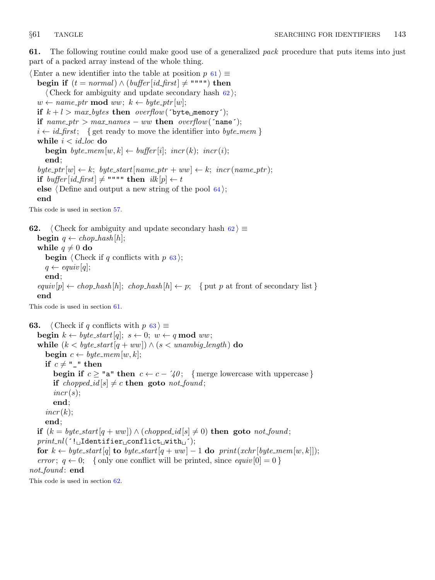<span id="page-18-0"></span>61. The following routine could make good use of a generalized *pack* procedure that puts items into just part of a packed array instead of the whole thing.

 $\langle$  Enter a new identifier into the table at position  $p \ge 1$ begin if  $(t = normal) \wedge (buffer [id\_first] \neq """")$  then  $\langle$  Check for ambiguity and update secondary hash 62 $\rangle$ ;  $w \leftarrow name\_ptr \mod ww; k \leftarrow byte\_ptr[w];$ if  $k + l > max_b \$  then overflow ('byte memory'); if  $name\_ptr > max\_names - ww$  then overflow('name');  $i \leftarrow id_{\text{first}}$ ; { get ready to move the identifier into byte\_mem } while  $i < i d$ <sub>-loc</sub> do **begin** byte\_mem[w, k]  $\leftarrow$  buffer[i]; incr(k); incr(i); end; byte\_ptr  $[w] \leftarrow k$ ; byte\_start  $[name\_ptr + ww] \leftarrow k$ ; incr(name\_ptr); if buffer  $(id\_first] \neq$  """" then  $ilk[p] \leftarrow t$ else  $\langle$  Define and output a new string of the pool [64](#page-19-0) $\rangle$ ; end This code is used in section [57](#page-17-0).

62. (Check for ambiguity and update secondary hash 62)  $\equiv$ begin  $q \leftarrow chop\_hash[h];$ while  $q \neq 0$  do **begin**  $\langle$  Check if q conflicts with p 63 $\rangle$ ;  $q \leftarrow \text{equiv}[q];$ end;  $equiv[p] \leftarrow chop\_hash[h]; chop\_hash[h] \leftarrow p;$  { put p at front of secondary list } end

This code is used in section 61.

**63.**  $\langle$  Check if q conflicts with  $p \ge 63$  i **begin**  $k \leftarrow byte\_start[q]; s \leftarrow 0; w \leftarrow q \mod ww;$ while  $(k < byte\_start[q + ww]) \wedge (s < unambig\_length)$  do begin  $c \leftarrow byte\_mem[w, k]$ ; if  $c \neq$  "\_" then **begin if**  $c \geq$  "a" then  $c \leftarrow c - 40$ ; { merge lowercase with uppercase } if chopped id  $[s] \neq c$  then goto not found;  $incr(s);$ end;  $incr(k);$ end; if  $(k = byte\_start[q + ww]) \wedge (choped_id[s] \neq 0)$  then goto not found;  $print\_nl($  '!<br>
identifier
conflict
with for  $k \leftarrow byte\_start[q]$  to byte\_start $[q + ww] - 1$  do print(xchr[byte\_mem[w,k]]); error;  $q \leftarrow 0$ ; { only one conflict will be printed, since equiv  $[0] = 0$ } not\_found: end

This code is used in section 62.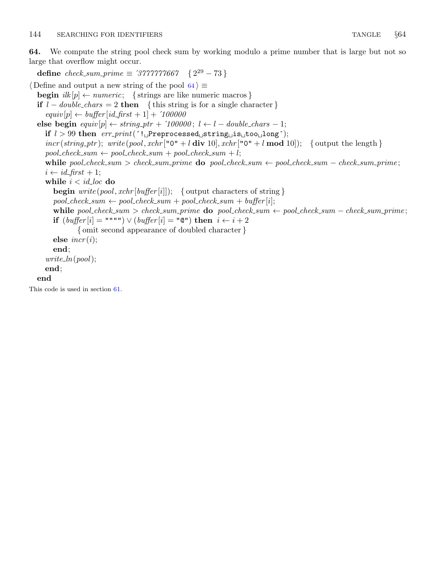<span id="page-19-0"></span>64. We compute the string pool check sum by working modulo a prime number that is large but not so large that overflow might occur.

define  $check\_sum\_prime \equiv$  '3777777667 {  $2^{29} - 73$  }  $\langle$  Define and output a new string of the pool 64 $\rangle \equiv$ **begin**  $ilk[p] \leftarrow numeric; \{ strings are like numeric macros\}$ if  $l - double\_chars = 2$  then { this string is for a single character }  $\text{equiv}[p] \leftarrow \text{buffer}[id\_first + 1] + '100000$ else begin  $\text{equiv } [p] \leftarrow \text{string\_ptr} + \text{100000}; \ l \leftarrow \text{l}-\text{double\_chars} - 1;$ if  $l > 99$  then  $err\_print('! \perp$ Preprocessed $\perp$ string $\perp$ is $\perp$ too $\perp$ long');  $inc(r (string\_ptr);$  write  $(pool, xchr['0" + l div 10], xchr['0" + l mod 10]);$  { output the length }  $pool\_check\_sum \leftarrow pool\_check\_sum + pool\_check\_sum + l;$ while pool check sum > check sum prime do pool check sum  $\leftarrow$  pool check sum – check sum prime;  $i \leftarrow id\_first + 1;$ while  $i < i d$ <sub>-loc</sub> do **begin**  $write(pool, xchr[buffer[i]])$ ; { output characters of string }  $pool\_check\_sum \leftarrow pool\_check\_sum + pool\_check\_sum + buffer[i];$ while pool\_check\_sum > check\_sum\_prime do pool\_check\_sum  $\leftarrow$  pool\_check\_sum – check\_sum\_prime; if  $(buffer[i] = """") \vee (buffer[i] = "@")$  then  $i \leftarrow i + 2$ { omit second appearance of doubled character } else  $\text{incr}(i)$ ; end;  $write\_ln(pool);$ end; end

This code is used in section [61](#page-18-0).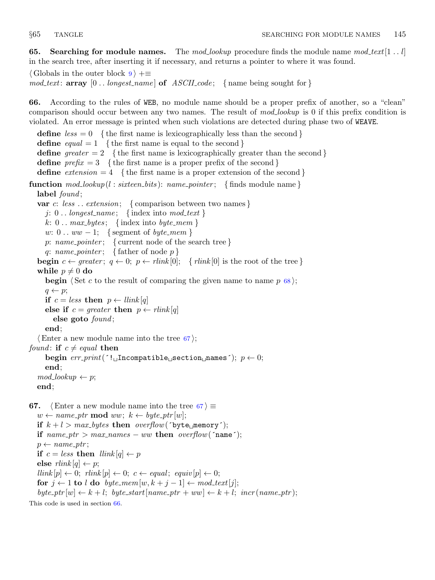<span id="page-20-0"></span>**65.** Searching for module names. The mod-lookup procedure finds the module name mod-text [1.1] in the search tree, after inserting it if necessary, and returns a pointer to where it was found.

```
\langle9 \rangle +≡
mod\_text: \text{array} [0... longest_name] of ASCH\_code; { name being sought for }
```
66. According to the rules of WEB, no module name should be a proper prefix of another, so a "clean" comparison should occur between any two names. The result of mod<sub>-lookup</sub> is 0 if this prefix condition is violated. An error message is printed when such violations are detected during phase two of WEAVE.

define  $less = 0$  {the first name is lexicographically less than the second} define  $equal = 1$  { the first name is equal to the second } define greater  $= 2$  {the first name is lexicographically greater than the second} define  $prefix = 3$  { the first name is a proper prefix of the second } define  $extension = 4$  { the first name is a proper extension of the second} **function**  $mod\_lookup (l: sixteen\_bits): name\_ pointer; \{ finds module name\}$ label found; var c: less ... extension; { comparison between two names } j:  $0 \ldots$  longest\_name; {index into mod\_text} k:  $0 \ldots \text{max_bytes};$  {index into byte\_mem} w:  $0 \ldots ww - 1$ ; { segment of *byte\_mem* } p: name\_pointer; { current node of the search tree } q: name\_pointer; { father of node  $p$  } **begin**  $c \leftarrow greater$ ;  $q \leftarrow 0$ ;  $p \leftarrow rlink[0]$ ; { $rlink[0]$  is the root of the tree} while  $p \neq 0$  do **begin**  $\langle$  Set c to the result of comparing the given name to name p  $\langle$  [68](#page-21-0) $\rangle$ ;  $q \leftarrow p;$ if  $c = less$  then  $p \leftarrow$  llink [q] else if  $c = greater$  then  $p \leftarrow$  rlink [q] else goto  $found;$ end;  $\langle$  Enter a new module name into the tree 67 $\rangle$ ; found: if  $c \neq equal$  then begin  $err\_print($  '!  $\Box$ Incompatible $\Box$ section $\Box$ names');  $p \leftarrow 0$ ; end;  $mod\_lookup \leftarrow p;$ end; **67.**  $\langle$  Enter a new module name into the tree 67  $\rangle \equiv$  $w \leftarrow name\_ptr \mod ww; k \leftarrow byte\_ptr[w];$ if  $k + l > max_b$  bytes then overflow ('byte memory'); if  $name\_ptr > max\_names - ww$  then  $overflow('name');$  $p \leftarrow name\_ptr;$ if  $c = less$  then  $\text{link}[q] \leftarrow p$ else  $\text{rlink }[q] \leftarrow p$ ;  $\text{link}[p] \leftarrow 0; \text{ rlink}[p] \leftarrow 0; \text{ } c \leftarrow \text{ equal}; \text{ } \text{equiv}[p] \leftarrow 0;$ for  $j \leftarrow 1$  to l do byte\_mem[w,  $k + j - 1$ ]  $\leftarrow \text{mod}\text{.text}[j]$ ;

 $byte\_ptr[w] \leftarrow k + l$ ;  $byte\_start(name\_ptr + ww] \leftarrow k + l$ ;  $incr(name\_ptr)$ ;

This code is used in section 66.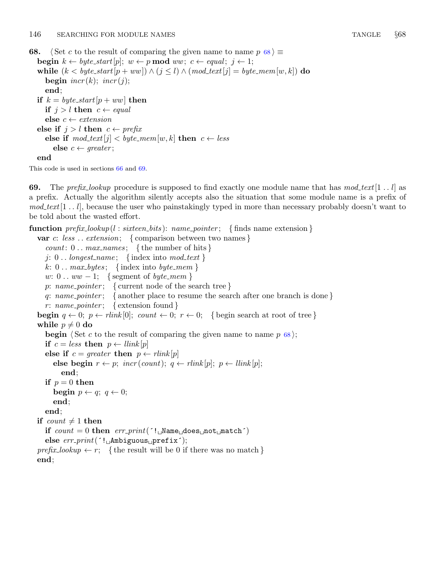<span id="page-21-0"></span>68. Set c to the result of comparing the given name to name  $p \, 68$  i ≡ **begin**  $k \leftarrow byte\_start[p]$ ;  $w \leftarrow p \mod ww$ ;  $c \leftarrow equal$ ;  $j \leftarrow 1$ ; while  $(k < byte.start[p + ww]) \wedge (j < l) \wedge (mod.text[j] = byte_mean[w, k])$  do begin  $\text{incr}(k)$ ;  $\text{incr}(j)$ ; end; if  $k = byte\_start[p + ww]$  then if  $j > l$  then  $c \leftarrow equal$ else  $c \leftarrow extension$ else if  $j > l$  then  $c \leftarrow prefix$ else if  $mod\_text[j] < byte\_mem[w, k]$  then  $c \leftarrow less$ else  $c \leftarrow \text{greater};$ end

This code is used in sections [66](#page-20-0) and 69.

69. The prefix lookup procedure is supposed to find exactly one module name that has  $mod\_text[1.. l]$  as a prefix. Actually the algorithm silently accepts also the situation that some module name is a prefix of  $mod\_text[1...l]$ , because the user who painstakingly typed in more than necessary probably doesn't want to be told about the wasted effort.

**function**  $prefix\_lookup(l : sixteen\_bits)$ : name\_pointer; { finds name extension } var c: less ... extension; { comparison between two names } *count*:  $0 \ldots max\_names;$  { the number of hits } j:  $0 \ldots$  longest\_name; {index into mod\_text} k:  $0 \ldots \text{max_b}{\text{y}}$  { index into byte\_mem } w:  $0 \ldots ww - 1$ ; { segment of *byte\_mem* } p: name\_pointer; { current node of the search tree } q: name\_pointer; { another place to resume the search after one branch is done } r: name\_pointer; { extension found } **begin**  $q \leftarrow 0$ ;  $p \leftarrow$  rlink [0]; count  $\leftarrow 0$ ;  $r \leftarrow 0$ ; { begin search at root of tree } while  $p \neq 0$  do **begin**  $\langle$  Set c to the result of comparing the given name to name p  $\langle 68 \rangle$ ; if  $c = less$  then  $p \leftarrow \text{link}[p]$ else if  $c = greater$  then  $p \leftarrow$  rlink  $[p]$ else begin  $r \leftarrow p$ ;  $incr(count); q \leftarrow rlink[p]; p \leftarrow llink[p]$ ; end; if  $p = 0$  then begin  $p \leftarrow q$ ;  $q \leftarrow 0$ ; end; end; if count  $\neq 1$  then if  $count = 0$  then  $err\_print($  '!
Name
does
not
match  $)$ else  $err\_print($  '!  $\Delta$ Ambiguous
prefix<sup>'</sup>);  $prefix\_lookup \leftarrow r$ ; {the result will be 0 if there was no match} end;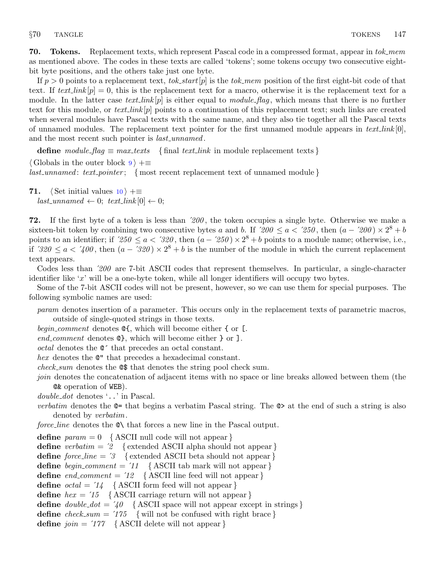<span id="page-22-0"></span>**70.** Tokens. Replacement texts, which represent Pascal code in a compressed format, appear in tok\_mem as mentioned above. The codes in these texts are called 'tokens'; some tokens occupy two consecutive eightbit byte positions, and the others take just one byte.

If  $p > 0$  points to a replacement text, tok\_start  $[p]$  is the tok\_mem position of the first eight-bit code of that text. If text link  $[p] = 0$ , this is the replacement text for a macro, otherwise it is the replacement text for a module. In the latter case text link  $[p]$  is either equal to module flag, which means that there is no further text for this module, or text link  $[p]$  points to a continuation of this replacement text; such links are created when several modules have Pascal texts with the same name, and they also tie together all the Pascal texts of unnamed modules. The replacement text pointer for the first unnamed module appears in text link  $[0]$ , and the most recent such pointer is *last\_unnamed*.

define module\_flag  $\equiv$  max\_texts { final text\_link in module replacement texts }

 $\langle$  Globals in the outer block [9](#page-3-0)  $\rangle$  +≡

 $last\_unnamed: text\_pointer; \{ most recent replacement text of unnamed module \}$ 

71.  $\langle$  Set initial values [10](#page-3-0)  $\rangle$  +≡  $last\_unnamed \leftarrow 0; text\_link[0] \leftarrow 0;$ 

72. If the first byte of a token is less than ´200 , the token occupies a single byte. Otherwise we make a sixteen-bit token by combining two consecutive bytes a and b. If  $200 \le a \le 250$ , then  $(a - 200) \times 2^8 + b$ points to an identifier; if  $250 \le a < 320$ , then  $(a - 250) \times 2^8 + b$  points to a module name; otherwise, i.e., if  $320 \le a \le 400$ , then  $(a - 320) \times 2^8 + b$  is the number of the module in which the current replacement text appears.

Codes less than ´200 are 7-bit ASCII codes that represent themselves. In particular, a single-character identifier like 'x' will be a one-byte token, while all longer identifiers will occupy two bytes.

Some of the 7-bit ASCII codes will not be present, however, so we can use them for special purposes. The following symbolic names are used:

param denotes insertion of a parameter. This occurs only in the replacement texts of parametric macros, outside of single-quoted strings in those texts.

begin\_comment denotes  $\mathcal{Q}\{\,$ , which will become either  $\{\,\text{or}\,\,$ [.

end comment denotes  $\mathbb{Q}$ , which will become either } or ].

octal denotes the @´ that precedes an octal constant.

hex denotes the  $\mathbb{Q}^n$  that precedes a hexadecimal constant.

check sum denotes the @\$ that denotes the string pool check sum.

join denotes the concatenation of adjacent items with no space or line breaks allowed between them (the @& operation of WEB).

double\_dot denotes '...' in Pascal.

verbatim denotes the @= that begins a verbatim Pascal string. The @> at the end of such a string is also denoted by verbatim.

*force line* denotes the  $\mathbb{Q}$  that forces a new line in the Pascal output.

define  $param = 0$  { ASCII null code will not appear }

define verbatim =  $2 \{$  extended ASCII alpha should not appear  $\}$ 

define  $force\_{line} = 3$  { extended ASCII beta should not appear }

define begin comment = ´11 { ASCII tab mark will not appear }

define end\_comment =  $12 \{$  { ASCII line feed will not appear }

define  $\text{octal} = 14$  { ASCII form feed will not appear }

define  $hex = 75$  {ASCII carriage return will not appear }

define  $double\_dot = 40$  {ASCII space will not appear except in strings}

define  $check\_sum = 175$  { will not be confused with right brace }

define  $join = 177$  { ASCII delete will not appear }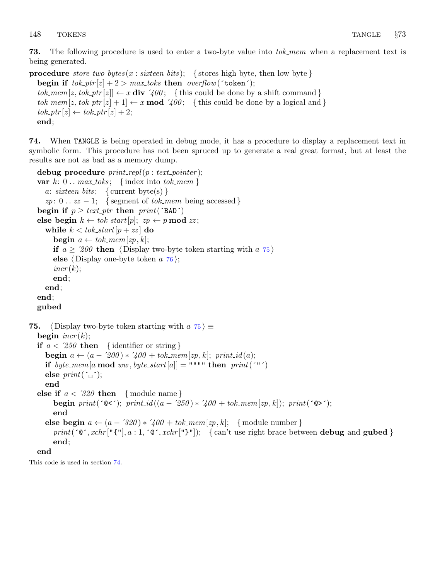<span id="page-23-0"></span>73. The following procedure is used to enter a two-byte value into tok\_mem when a replacement text is being generated.

**procedure** store two bytes  $(x : sixteen\_bits)$ ; { stores high byte, then low byte } begin if  $tok\_ptr[z] + 2 > max\_toks$  then *overflow* ('token'); tok\_mem[z, tok\_ptr[z]]  $\leftarrow x$  div '400; {this could be done by a shift command} tok mem[z, tok ptr  $[z] + 1$ ]  $\leftarrow x \mod 400$ ; {this could be done by a logical and}  $tok\_ptr[z] \leftarrow tok\_ptr[z] + 2;$ end;

74. When TANGLE is being operated in debug mode, it has a procedure to display a replacement text in symbolic form. This procedure has not been spruced up to generate a real great format, but at least the results are not as bad as a memory dump.

```
debug procedure print\_repl(p:text\_pointer);var k: 0... max\_toks; {index into tok\_mem}
    a: \textit{six} is; { current byte(s) }
    zp: 0. zz - 1; { segment of tok_mem being accessed }
  begin if p \geq text\_ptr then print('BAD')else begin k \leftarrow \text{tok\_start}[p]; zp \leftarrow p \mod zz;
    while k < \text{tok\_start}[p + zz] do
      begin a \leftarrow tok\_mem[zp, k];if a \geq 200 then (Display two-byte token starting with a 75)
      else \langle76\rangle;
       incr(k);end;
    end;
  end;
  gubed
75. (Display two-byte token starting with a 75) \equiv
```

```
begin \text{incr}(k);
if a < 250 then { identifier or string }
  begin a \leftarrow (a - 200) * 400 + tok\_mem[zp, k]; print_id(a);if byte_mem[a mod ww, byte_start[a]] = """" then print('")else print(\ulcorner \_ \cdot);
  end
else if a < 320 then { module name}
     begin print(^{\circ}@<^{\circ}); print_id((a - '250) * '400 + tok_mem[zp, k]); print(^{\circ}@>^{\circ});
     end
  else begin a \leftarrow (a - 320) * 400 + tok_mem[zp, k]; {module number}
     print'([\mathcal{C}], xchr[''[\cdot], a : 1, [\mathcal{C}], xchr[''\cdot]')]; { can't use right brace between debug and gubed }
     end;
```
## end

This code is used in section 74.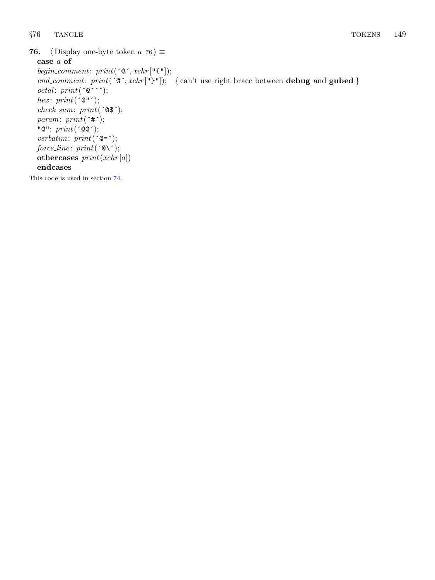<span id="page-24-0"></span>76. (Display one-byte token  $a \ 76$ )  $\equiv$ case a of  $begin\_c{minip} \left( \left( \begin{smallmatrix} \bullet & \bullet \\ \bullet & \bullet \end{smallmatrix} \right), \\ \left( \begin{smallmatrix} \bullet & \bullet \\ \bullet & \bullet \end{smallmatrix} \right), \\ \left( \begin{smallmatrix} \bullet & \bullet \\ \bullet & \bullet \end{smallmatrix} \right), \\ \left( \begin{smallmatrix} \bullet & \bullet \\ \bullet & \bullet \end{smallmatrix} \right), \\ \left( \begin{smallmatrix} \bullet & \bullet \\ \bullet & \bullet \end{smallmatrix} \right), \\ \left( \begin{smallmatrix} \bullet & \bullet \\ \bullet & \bullet \end{smallmatrix} \right). \end{math}$ end\_comment:  $print(\hat{\mathcal{C}}, xchr[\mathbf{u}]\hat{\mathcal{C}})$ ; { can't use right brace between **debug** and **gubed** }  $octal: print(\lq\lq\lq\lq\ldots);$  $hex\colon\mathit{print}(\lq\mathsf{C}^{\mathsf{u}\;\text{-}});$  $check\_sum: print('@$');$ param:  $print(\hat{f}$  ; "@": print(´@@´);  $\label{eq:1} verbatim\!:\ print(\verb|^@=\verb|^|);$  $force\_line: \ print(\ulcorner\mathbb{Q}\backslash\ulcorner);$ othercases  $print(xchr[a])$ endcases

This code is used in section [74](#page-23-0).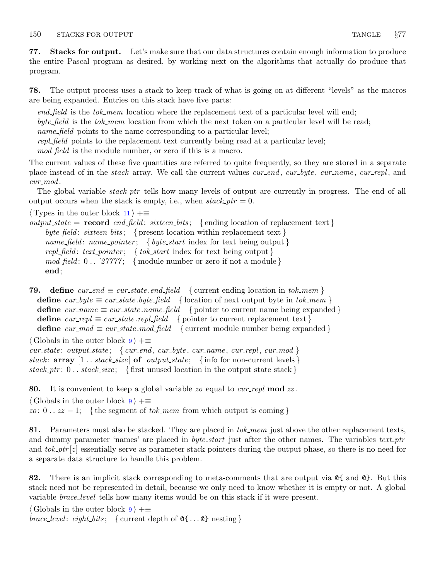<span id="page-25-0"></span>77. Stacks for output. Let's make sure that our data structures contain enough information to produce the entire Pascal program as desired, by working next on the algorithms that actually do produce that program.

78. The output process uses a stack to keep track of what is going on at different "levels" as the macros are being expanded. Entries on this stack have five parts:

end-field is the  $tok_mem$  location where the replacement text of a particular level will end; byte field is the tok mem location from which the next token on a particular level will be read; name\_field points to the name corresponding to a particular level; repl field points to the replacement text currently being read at a particular level; mod field is the module number, or zero if this is a macro.

The current values of these five quantities are referred to quite frequently, so they are stored in a separate place instead of in the *stack* array. We call the current values *cur-end*, *cur-byte*, *cur-name*, *cur-repl*, and  $cur$ -mod.

The global variable stack ptr tells how many levels of output are currently in progress. The end of all output occurs when the stack is empty, i.e., when  $stack\_ptr=0$ .

```
\langle11 \rangle +≡
```
 $output-state = record \text{ }end\_field: \text{ }sixteen\_bits; \text{ } \{ \text{ }ending \text{ }location \text{ }of \text{ }replacement \text{ }text{ }text \}$ byte field: sixteen bits; { present location within replacement text} name\_field: name\_pointer; { byte\_start index for text being output } repl\_field: text\_pointer; { tok\_start index for text being output }  $mod_{\text{field}}: 0 \ldots 27777$ ; { module number or zero if not a module} end;

**79.** define  $cur\_end \equiv cur\_state$ . end\_field { current ending location in tok\_mem } define  $cur\_byte \equiv cur\_state.\textit{byte}\_\textit{field}$  { location of next output byte in tok\_mem } define  $cur_name \equiv cur-state.name-field$  { pointer to current name being expanded } define  $cur\_rep \equiv cur\_state.\text{repl}\_\text{field}$  { pointer to current replacement text} define  $cur\_mod \equiv cur\_state$ .  $mod$ -field { current module number being expanded }  $\langle$  Globals in the outer block [9](#page-3-0)  $\rangle$  +≡

 $cur\_state:$   $output\_state: \{ cur\_end, cur\_byte, cur\_name, cur\_repl, cur\_mod\}$ stack: **array**  $[1 \tcdot$  stack\_size of output\_state; {info for non-current levels }  $stack\_ptr: 0 \dots stack\_size; \{ first$  unused location in the output state stack }

80. It is convenient to keep a global variable zo equal to cur-repl mod  $zz$ .  $\langle$  Globals in the outer block [9](#page-3-0)  $\rangle$  +≡  $z_0: 0 \ldots z_2-1;$  { the segment of tok\_mem from which output is coming }

81. Parameters must also be stacked. They are placed in tok\_mem just above the other replacement texts, and dummy parameter 'names' are placed in  $byte\_start$  just after the other names. The variables  $text\_ptr$ and  $tok\_ptr|z|$  essentially serve as parameter stack pointers during the output phase, so there is no need for a separate data structure to handle this problem.

82. There is an implicit stack corresponding to meta-comments that are output via  $\mathcal{C}\{\text{ and } \mathcal{C}\}\$ . But this stack need not be represented in detail, because we only need to know whether it is empty or not. A global variable brace level tells how many items would be on this stack if it were present.

 $\langle$  Globals in the outer block [9](#page-3-0)  $\rangle$  +≡ brace\_level: eight\_bits; { current depth of  $\mathfrak{C}\{\ldots\mathfrak{C}\}\)$  nesting }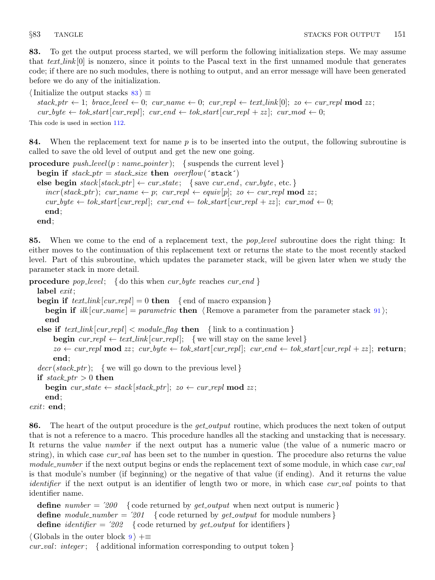<span id="page-26-0"></span>83. To get the output process started, we will perform the following initialization steps. We may assume that text link  $[0]$  is nonzero, since it points to the Pascal text in the first unnamed module that generates code; if there are no such modules, there is nothing to output, and an error message will have been generated before we do any of the initialization.

```
\langle Initialize the output stacks 83 \rangle \equiv
```

```
stack_ptr \leftarrow 1; brace_level \leftarrow 0; cur_name \leftarrow 0; cur_repl \leftarrow text_link [0]; zo \leftarrow cur_repl mod zz;
   cur\_byte \leftarrow tok\_start[cur\_rep]; cur_end \leftarrow tok\_start[cur\_rep] + zz; cur_mod \leftarrow 0;
This code is used in section 112.
```
84. When the replacement text for name  $p$  is to be inserted into the output, the following subroutine is called to save the old level of output and get the new one going.

**procedure**  $push\_level(p : name\_pointer);$  { suspends the current level } begin if  $stack\_ptr = stack\_size$  then  $overflow('stack')$ else begin stack  $[stack\_ptr] \leftarrow cur\_state;$  {save cur\_end, cur\_byte, etc.}  $incr (stack\_ptr)$ ; cur\_name  $\leftarrow p$ ; cur\_repl  $\leftarrow equiv[p]$ ; zo  $\leftarrow cur\_repl \text{ mod } zz$ ;  $cur\_byte \leftarrow tok\_start[cur\_rep]$ ; cur\_end  $\leftarrow tok\_start[cur\_rep] + zz$ ; cur\_mod  $\leftarrow 0$ ; end;

end;

85. When we come to the end of a replacement text, the *pop\_level* subroutine does the right thing: It either moves to the continuation of this replacement text or returns the state to the most recently stacked level. Part of this subroutine, which updates the parameter stack, will be given later when we study the parameter stack in more detail.

```
procedure pop-level; { do this when cur-byte reaches cur-end }
  label exit;
  begin if text_link [cur\_rep] = 0 then { end of macro expansion }
    begin if ilk[cur_name] = parametric then \langle91\rangle;
    end
  else if text\_link[cur\_reply] < module\_flag then { link to a continuation}
       begin cur\_repl \leftarrow text\_link[cur\_repl]; {we will stay on the same level}
       z_0 \leftarrow \text{cur\_repl} \mod zz; \ \text{cur\_byte} \leftarrow \text{tok\_start}[\text{cur\_repl} \leftarrow \text{tok\_start}[\text{cur\_repl} + zz]; \ \text{return};end;
  decr (stack\_ptr); {we will go down to the previous level}
  if stack\_ptr > 0 then
    begin cur_state \leftarrow stack [stack_ptr]; zo \leftarrow cur_repl mod zz;
    end;
exit: end:
```
86. The heart of the output procedure is the *get\_output* routine, which produces the next token of output that is not a reference to a macro. This procedure handles all the stacking and unstacking that is necessary. It returns the value number if the next output has a numeric value (the value of a numeric macro or string), in which case  $cur\_val$  has been set to the number in question. The procedure also returns the value module number if the next output begins or ends the replacement text of some module, in which case curval is that module's number (if beginning) or the negative of that value (if ending). And it returns the value *identifier* if the next output is an identifier of length two or more, in which case *curval* points to that identifier name.

define number =  $200 \{$  code returned by get\_output when next output is numeric } define module number =  $201 \quad$  { code returned by get output for module numbers } **define** identifier =  $202 \quad \{code$  returned by get output for identifiers }

 $\langle$  Globals in the outer block [9](#page-3-0)  $\rangle$  + $\equiv$ 

 $cur\_val:integer; \{ additional information corresponding to output token\}$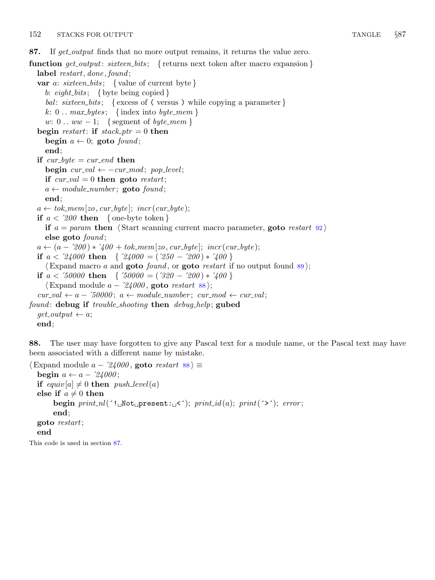<span id="page-27-0"></span>87. If get output finds that no more output remains, it returns the value zero.

```
function get output: sixteen bits; { returns next token after macro expansion }
  label restart, done, found;
  var a: sixteen_bits; { value of current byte }
    b: \{eight\} \{byte being copied \}bal: sixteen_bits; { excess of ( versus ) while copying a parameter }
    k: 0 \ldots max_b \, y \, t \, \text{s}; {index into by t \, e \, \text{mem} }
    w: 0 \ldots ww - 1; { segment of byte_mem }
  begin restart: if stack_ptr = 0 then
    begin a \leftarrow 0; goto found;
    end;
  if cur\_byte = cur\_end then
    begin cur\_val \leftarrow -cur\_mod; pop\_level;if cur\_val = 0 then goto restart;
    a \leftarrow module_number; goto found;
    end;
  a \leftarrow tok\_mem[zo, cur\_byte]; incr(cur_byte);
  if a < 200 then { one-byte token}
    if a = param then \langle92\rangleelse goto found;a \leftarrow (a - 200) * 400 + tok_mem[zo, cur_byte]; incr(cur_byte);
  if a < 24000 then \{24000 = (250 - 200) * 400\}(Expand macro a and goto found, or goto restart if no output found 89\};
  if a < 50000 then \{ 50000 = (320 - 200) * 400 \}\langle Expand module a - {'}24000\,, {\bf goto} \,\, restart\, 88\,\rangle;cur\_val \leftarrow a - 50000; a \leftarrow module_number; cur\_mod \leftarrow cur\_val;found: debug if trouble_shooting then debug_help; gubed
  get\_output \leftarrow a;end;
```
88. The user may have forgotten to give any Pascal text for a module name, or the Pascal text may have been associated with a different name by mistake.

```
\langle Expand module a − 24000, goto restart 88 \rangle \equivbegin a \leftarrow a - 24000;
  if equiv[a] \neq 0 then push_level(a)
  else if a \neq 0 then
       begin print\_nl( '!\DeltaNot\Deltapresent:\Delta'); print(a); print( '>'); error;
       end;
  goto restart;
  end
This code is used in section 87.
```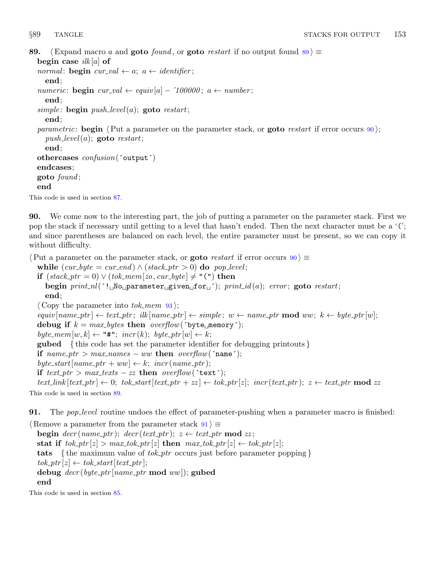```
89. (Expand macro a and goto found, or goto restart if no output found 89) \equivbegin case ilk[a] of
  normal: begin cur\_val \leftarrow a; a \leftarrow identifier;
    end;
  numeric: begin cur_val ← equiv [a] – '100000; a \leftarrow number;
    end;
  simple: begin push\_level(a); goto restart;
    end;
  parametric: begin \langle Put a parameter on the parameter stack, or goto restart if error occurs 90\rangle;
    push\_level(a); goto restart;
    end;
  othercases confusion(´output´)
  endcases;
  goto found ;
  end
```
This code is used in section [87](#page-27-0).

90. We come now to the interesting part, the job of putting a parameter on the parameter stack. First we pop the stack if necessary until getting to a level that hasn't ended. Then the next character must be a '('; and since parentheses are balanced on each level, the entire parameter must be present, so we can copy it without difficulty.

 $\text{Put a parameter on the parameter stack, or **goto** restart if error occurs 90 } \equiv$ while  $(cur\_byte = cur\_end) \wedge (stack\_ptr > 0)$  do pop\_level; if  $(s \text{tack\_ptr} = 0) \vee ( \text{tok\_mem}[zo, \text{cur\_byte}] \neq "("")$  then begin  $print\_nl('! \Delta N_Q \text{parameter}_{\text{g}} \text{given}_{\text{u}} for \text{g}$ ; print id(a); error; goto restart; end;  $\langle$  Copy the parameter into *tok\_mem* [93](#page-29-0) $\rangle$ ;  $equiv[name_ptr] \leftarrow text_ptr;$   $ilk[name_ptr] \leftarrow simple; w \leftarrow name_ptr \mod ww; k \leftarrow byte_ptr[w];$ debug if  $k = max_b y$ tes then *overflow* ('byte memory');  $byte\_mem[w, k] \leftarrow "#";\;incr(k);\;byte\_ptr[w] \leftarrow k;$ gubed { this code has set the parameter identifier for debugging printouts } if  $name\_ptr > max\_names - ww$  then overflow('name'); byte\_start  $[name\_ptr + ww] \leftarrow k$ ;  $incr(name\_ptr)$ ; if text\_ptr > max\_texts – zz then overflow('text');  $text\_link[text\_ptr] \leftarrow 0; \; \text{tok\_start[text\_ptr + zz]} \leftarrow \text{tok\_ptr[z]}; \; \text{incr}(\text{text\_ptr}); \; z \leftarrow \text{text\_ptr} \mod zz$ 

This code is used in section 89.

**91.** The *pop-level* routine undoes the effect of parameter-pushing when a parameter macro is finished:

 $\langle$  Remove a parameter from the parameter stack  $91 \rangle \equiv$ begin  $decr(name\_ptr)$ ;  $decr(text\_ptr)$ ;  $z \leftarrow text\_ptr \mod zz$ ; stat if  $tok\_ptr[z] > max\_tok\_ptr[z]$  then  $max\_tok\_ptr[z] \leftarrow tok\_ptr[z]$ ; tats { the maximum value of  $tok\_ptr$  occurs just before parameter popping }  $tok\_ptr[z] \leftarrow tok\_start[text\_ptr];$ debug  $decr(byte\_ptr|name\_ptr \mod ww)$ ; gubed end

This code is used in section [85](#page-26-0).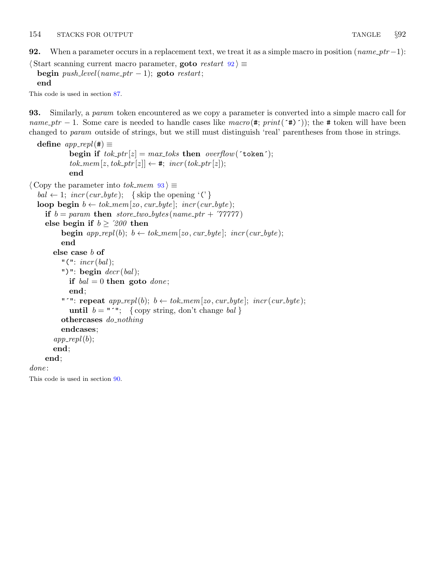<span id="page-29-0"></span>92. When a parameter occurs in a replacement text, we treat it as a simple macro in position  $(name\_ptr-1)$ :

```
\langle Start scanning current macro parameter, goto restart 92\rangle \equivbegin push\_level(name\_ptr - 1); goto restart;
  end
```
This code is used in section [87](#page-27-0).

93. Similarly, a param token encountered as we copy a parameter is converted into a simple macro call for name ptr – 1. Some care is needed to handle cases like macro(#; print( $\hat{f}$ )); the # token will have been changed to param outside of strings, but we still must distinguish 'real' parentheses from those in strings.

```
define app\_repl(\#) \equivbegin if tok\_ptr[z] = max\_toks then overflow('token');
            tok\_mem[z, tok\_ptr[z]] \leftarrow #; incr(tok\_ptr[z]);end
\langle Copy the parameter into tok mem 93 \rangle \equivbal \leftarrow 1; \; incr(cur_byte); \; \{ \text{skip the opening '(')} \}loop begin b \leftarrow tok\_mem[zo, cur\_byte]; incr(cur\_byte);
     if b = param then store_two_bytes(name_ptr + '77777)
     else begin if b \geq 200 then
          begin app\_repl(b); b \leftarrow tok\_mem[zo, cur\_byte]; incr(cur\_byte);end
       else case b of
          "(": \text{incr}(bal);
          ")": begin decr(bal);
            if bal = 0 then goto done;
            end;
          "'": repeat app\_repl(b); b \leftarrow tok\_mem[zo, cur\_byte]; incr(cur\_byte);until b = "''; {copy string, don't change bal}
          othercases do_nothing
          endcases;
       app\_repl(b);end;
     end;
done<sup>1</sup>This code is used in section 90.
```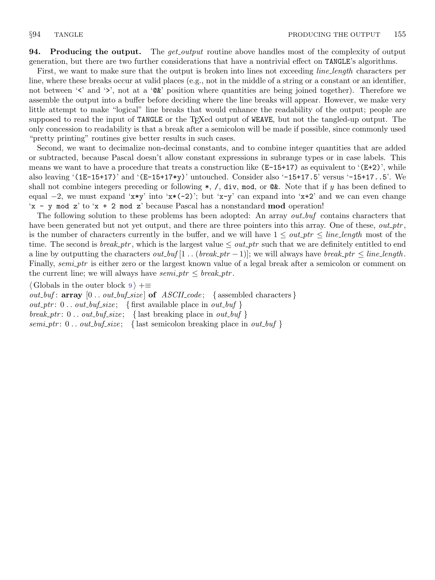<span id="page-30-0"></span>**94.** Producing the output. The *get output* routine above handles most of the complexity of output generation, but there are two further considerations that have a nontrivial effect on TANGLE's algorithms.

First, we want to make sure that the output is broken into lines not exceeding *line\_length* characters per line, where these breaks occur at valid places (e.g., not in the middle of a string or a constant or an identifier, not between '<' and '>', not at a '@&' position where quantities are being joined together). Therefore we assemble the output into a buffer before deciding where the line breaks will appear. However, we make very little attempt to make "logical" line breaks that would enhance the readability of the output; people are supposed to read the input of TANGLE or the T<sub>E</sub>Xed output of WEAVE, but not the tangled-up output. The only concession to readability is that a break after a semicolon will be made if possible, since commonly used "pretty printing" routines give better results in such cases.

Second, we want to decimalize non-decimal constants, and to combine integer quantities that are added or subtracted, because Pascal doesn't allow constant expressions in subrange types or in case labels. This means we want to have a procedure that treats a construction like (E−15+17) as equivalent to '(E+2)', while also leaving '(1E−15+17)' and '(E−15+17\*y)' untouched. Consider also '−15+17.5' versus '−15+17..5'. We shall not combine integers preceding or following  $*, \ell$ , div, mod, or  $\&$ . Note that if y has been defined to equal −2, we must expand 'x\*y' into 'x\*(−2)'; but 'x−y' can expand into 'x+2' and we can even change  $x - y$  mod z' to  $x + 2$  mod z' because Pascal has a nonstandard **mod** operation!

The following solution to these problems has been adopted: An array *out buf* contains characters that have been generated but not yet output, and there are three pointers into this array. One of these, *out\_ptr*, is the number of characters currently in the buffer, and we will have  $1 \leq out\_ptr \leq line\_length$  most of the time. The second is *break\_ptr*, which is the largest value  $\leq out{\text{-}}ptr$  such that we are definitely entitled to end a line by outputting the characters out buf [1 . . (break ptr –1)]; we will always have break ptr  $\leq$  line length. Finally, *semi-ptr* is either zero or the largest known value of a legal break after a semicolon or comment on the current line; we will always have  $\text{semi\_ptr} \leq \text{break\_ptr}$ .

 $\langle$  Globals in the outer block  $9 \rangle + \equiv$  $9 \rangle + \equiv$ 

*out buf*:  $array \n\vert 0 \ldots out_buf\_size \rvert$  of  $ASCII\_code$ ; { assembled characters } *out\_ptr*:  $0 \ldots out_buf\_size$ ; { first available place in *out\_buf* } break ptr:  $0$ .. out buf size; { last breaking place in out buf} semi-ptr:  $0$ ... out\_buf\_size; { last semicolon breaking place in out\_buf }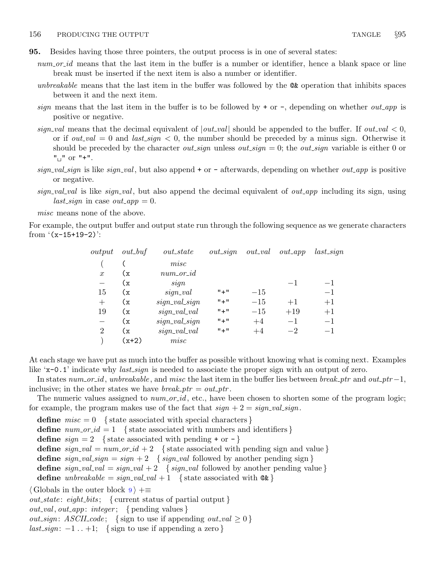<span id="page-31-0"></span>95. Besides having those three pointers, the output process is in one of several states:

- num or id means that the last item in the buffer is a number or identifier, hence a blank space or line break must be inserted if the next item is also a number or identifier.
- unbreakable means that the last item in the buffer was followed by the Q& operation that inhibits spaces between it and the next item.
- sign means that the last item in the buffer is to be followed by  $+$  or  $-$ , depending on whether *out\_app* is positive or negative.
- sign value means that the decimal equivalent of  $|out\_val|$  should be appended to the buffer. If out value of  $out\_val$ or if out value of last sign  $\leq 0$ , the number should be preceded by a minus sign. Otherwise it should be preceded by the character *out sign* unless *out sign* = 0; the *out sign* variable is either 0 or  $"''$  or  $"''$  +".
- sign\_val\_sign is like sign\_val, but also append + or afterwards, depending on whether *out\_app* is positive or negative.
- sign val value is like sign val, but also append the decimal equivalent of out app including its sign, using *last\_sign* in case  $out\_app = 0$ .

misc means none of the above.

For example, the output buffer and output state run through the following sequence as we generate characters from '(x−15+19−2)':

| output           | $out_buf$ | $out\_state$      | $out\_sign$ | $_{out\_val}$ | $out\_app$ | $last\_sign$ |
|------------------|-----------|-------------------|-------------|---------------|------------|--------------|
|                  |           | misc              |             |               |            |              |
| $\boldsymbol{x}$ | (x        | $num\_or\_id$     |             |               |            |              |
|                  | (x)       | sign              |             |               | $-1$       | $-1$         |
| 15               | (x)       | $sign\_val$       | $" + "$     | $-15$         |            | $-1$         |
| $^{+}$           | (x)       | $sign\_val\_sign$ | $" + "$     | $-15$         | $+1$       | $+1$         |
| 19               | (x        | $sign\_val\_val$  | $" +"$      | $-15$         | $+19$      | $+1$         |
|                  | (x)       | $sign\_val\_sign$ | $" +"$      | $+4$          | $-1$       | $-1$         |
| $\overline{2}$   | (x        | $sign\_val\_val$  | $" +"$      | $+4$          | $-2$       | $-1$         |
|                  | $(x+2)$   | misc              |             |               |            |              |

At each stage we have put as much into the buffer as possible without knowing what is coming next. Examples like 'x−0.1' indicate why *last\_sign* is needed to associate the proper sign with an output of zero.

In states num\_or\_id, unbreakable, and misc the last item in the buffer lies between break\_ptr and out\_ptr  $-1$ , inclusive; in the other states we have  $break\_ptr = out\_ptr$ .

The numeric values assigned to  $num\_or\_id$ , etc., have been chosen to shorten some of the program logic; for example, the program makes use of the fact that  $sign + 2 = sign\_val\_sign$ .

define  $misc = 0$  { state associated with special characters } define  $num\_or\_id = 1$  { state associated with numbers and identifiers } define  $sign = 2$  { state associated with pending + or - } define  $sign\_val = num\_or\_id + 2$  {state associated with pending sign and value} define  $sign\_val\_sign = sign + 2$  {  $sign\_val$  followed by another pending sign } define  $sign\_val\_val = sign\_val + 2$  {  $sign\_val$  followed by another pending value } define unbreakable =  $sign\_val\_val + 1$  { state associated with  $@k$  }  $\langle$  Globals in the outer block  $9 \rangle + \equiv$  $9 \rangle + \equiv$ 

 $out\_state: \; eight\_bits; \; \{ \; current \; status \; of \; partial \; output \; \}$ 

 $out\_val$ ,  $out\_app:$  integer; { pending values }

*out\_sign:* ASCII\_code; { sign to use if appending  $out\_val \geq 0$  }

 $last\_sign: -1$ .. +1; { sign to use if appending a zero }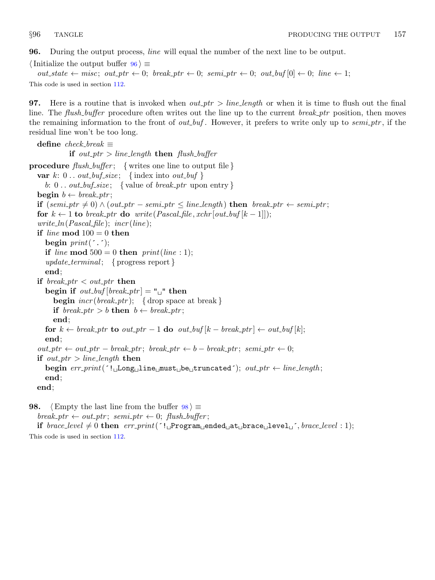**96.** During the output process, *line* will equal the number of the next line to be output.

 $\langle$  Initialize the output buffer  $96$   $\equiv$  $out\_state \leftarrow miss; out\_ptr \leftarrow 0; break\_ptr \leftarrow 0; semi\_ptr \leftarrow 0; out\_buf[0] \leftarrow 0; line \leftarrow 1;$ This code is used in section [112.](#page-37-0)

**97.** Here is a routine that is invoked when  $out\_ptr > line\_length$  or when it is time to flush out the final line. The *flush\_buffer* procedure often writes out the line up to the current *break\_ptr* position, then moves the remaining information to the front of *out\_buf*. However, it prefers to write only up to *semi\_ptr*, if the residual line won't be too long.

```
define check_break \equivif out ptr > line length then flush buffer
procedure flush_buffer; { writes one line to output file }
  var k: 0... out_buf_size; {index into out_buf }
     b: 0 \dots out_buf\_size; { value of break_ptr upon entry }
  begin b \leftarrow break\_ptr;if (semi\_ptr \neq 0) \wedge (out\_ptr - semi\_ptr \leq line\_length) then break\_ptr \leftarrow semi\_ptr;
  for k \leftarrow 1 to break ptr do write (Pascal file, xchr [out_buf [k - 1]]);
  write\_ln(Pascal\_file); incr(line);
  if line mod 100 = 0 then
     begin print(\cdot, \cdot);if line mod 500 = 0 then print(line : 1);
     update\_terminal; \{ progress report\}end;
  if break_ptr \lt out_ptr then
     begin if out_buf [break_ptr] = "\Box" then
       begin \text{incr}( \text{break\_ptr}); { drop space at break }
       if break\_ptr > b then b \leftarrow break\_ptr;end;
     for k \leftarrow break\_ptr to out\_ptr-1 do out\_buf[k-break\_ptr] \leftarrow out\_buf[k];end;
  out\_ptr \leftarrow out\_ptr - break\_ptr; break\_ptr \leftarrow b - break\_ptr; semi\_ptr \leftarrow 0;if out_ptr > line_length then
     begin err\_print('! \text{...Long } \text{__line\_must } \text{__be } \text{__truncated'}; out\_ptr \leftarrow line\_length;end;
  end;
```
98.  $\langle$  Empty the last line from the buffer  $98 \rangle \equiv$  $break\_ptr \leftarrow out\_ptr$ ;  $semi\_ptr \leftarrow 0$ ;  $flush\_buffer$ ; if brace level  $\neq 0$  then err print ( $'$ ! Program ended at brace level  $'$ , brace level : 1); This code is used in section [112.](#page-37-0)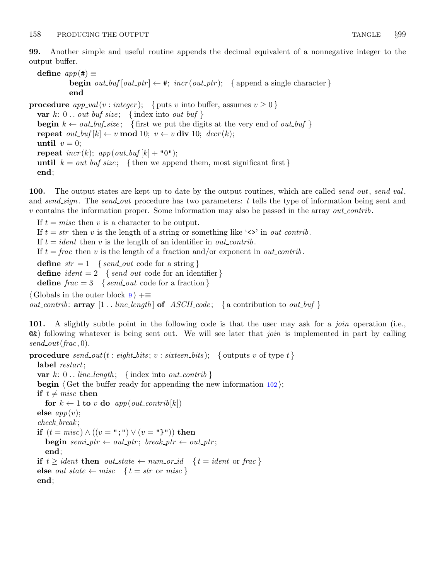<span id="page-33-0"></span>99. Another simple and useful routine appends the decimal equivalent of a nonnegative integer to the output buffer.

define  $app(\#) \equiv$ **begin** out buf  $[out\_ptr] \leftarrow #$ ;  $incr(out\_ptr)$ ; {append a single character} end **procedure**  $app\_val(v : integer);$  { puts v into buffer, assumes  $v \ge 0$  } var  $k: 0$ ... *out\_buf\_size*; {index into *out\_buf* } **begin**  $k \leftarrow out_buf\_size$ ; { first we put the digits at the very end of *out\_buf* } repeat  $out\_buf[k] \leftarrow v \mod 10; v \leftarrow v \text{ div } 10; decr(k);$ until  $v = 0$ ; repeat  $\text{incr}(k)$ ;  $\text{app}(\text{out}\text{-}\text{buf}[k] + "0")$ ; until  $k = out_buf_size;$  {then we append them, most significant first} end;

100. The output states are kept up to date by the output routines, which are called send out, send val, and send sign. The send out procedure has two parameters:  $t$  tells the type of information being sent and  $v$  contains the information proper. Some information may also be passed in the array *out\_contrib*.

If  $t = misc$  then v is a character to be output. If  $t = str$  then v is the length of a string or something like ' $\langle \rangle$  in *out contrib*. If  $t = ident$  then v is the length of an identifier in *out\_contrib*. If  $t = frac$  then v is the length of a fraction and/or exponent in *out\_contrib*. define  $str = 1$  { send\_out code for a string } define  $ident = 2$  { send\_out code for an identifier } define  $frac = 3$  { send\_out code for a fraction }  $\langle$  Globals in the outer block [9](#page-3-0)  $\rangle$  +≡ *out\_contrib*:  $array [1..] *line-length* **of** *ASCII code;* **of** a contribution to out_by **of of of** *infinite*$ 

101. A slightly subtle point in the following code is that the user may ask for a *join* operation (i.e., @&) following whatever is being sent out. We will see later that join is implemented in part by calling  $send\_out(frac, 0)$ .

**procedure** send\_out(t: eight\_bits; v: sixteen\_bits); { outputs v of type t} label restart; var k:  $0$ .. line\_length; {index into *out\_contrib* } **begin**  $\langle$  Get the buffer ready for appending the new information [102](#page-34-0) $\rangle$ ; if  $t \neq$  misc then for  $k \leftarrow 1$  to v do app(out\_contrib[k]) else  $app(v)$ ; check break ; if  $(t = misc) \wedge ((v = ";") \vee (v = "}")$  then **begin** semi\_ptr  $\leftarrow out\_ptr$ ; break\_ptr  $\leftarrow out\_ptr$ ; end; if  $t \geq \text{ident}$  then  $\text{out\_state} \leftarrow \text{num\_or\_id} \{t = \text{ident} \text{ or } \text{frac}\}$ else *out\_state*  $\leftarrow$  misc  $\{ t = str \text{ or } misc \}$ end;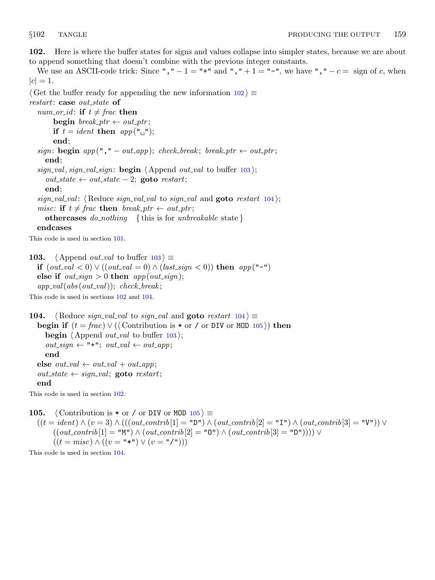<span id="page-34-0"></span>102. Here is where the buffer states for signs and values collapse into simpler states, because we are about to append something that doesn't combine with the previous integer constants.

We use an ASCII-code trick: Since ","  $-1 =$  "+" and ","  $+1 =$  "-", we have ","  $-c =$  sign of c, when  $|c| = 1.$ 

 $\langle$  Get the buffer ready for appending the new information 102 $\rangle \equiv$ restart: case out\_state of num\_or\_id: if  $t \neq frac$  then begin break\_ptr  $\leftarrow out\_ptr;$ if  $t = ident$  then  $app("_"$ <sub>1</sub>"); end; sign: **begin**  $app(", " - out\_app); check_break; break_ptr \leftarrow out\_ptr;$ end; sign\_val, sign\_val\_sign: **begin**  $\langle$  Append *out\_val* to buffer 103 $\rangle$ ;  $out\_state \leftarrow out\_state - 2$ ; goto restart; end; sign\_val\_val:  $\langle$  Reduce sign\_val\_val to sign\_val and **goto** restart 104 $\rangle$ ; misc: if  $t \neq frac$  then break ptr  $\leftarrow out\_ptr$ ; othercases *do\_nothing* { this is for *unbreakable* state } endcases This code is used in section [101.](#page-33-0)

103.  $\langle$  Append *out\_val* to buffer 103  $\rangle \equiv$ **if**  $(out\_val < 0) ∨ ((out\_val = 0) ∧ (last\_sign < 0))$  then  $app("−")$ else if  $out\_sign > 0$  then  $app(out\_sign)$ ;  $app_val(abs(out_val)); check_break;$ 

This code is used in sections 102 and 104.

104. (Reduce sign\_val\_val to sign\_val and goto restart  $104$ )  $\equiv$ begin if  $(t = \text{frac}) \vee (\text{Contribution is * or } \text{/ or DIV or MOD } 105)$  then **begin**  $\langle$  Append *out\_val* to buffer 103 $\rangle$ ;  $out\_sign \leftarrow " + "; out\_val \leftarrow out\_app;$ end else  $out\_val \leftarrow out\_val + out\_app;$  $out\_state \leftarrow sign\_val;$  goto restart; end

This code is used in section 102.

105. (Contribution is  $*$  or / or DIV or MOD 105)  $\equiv$  $((t = ident) \wedge (v = 3) \wedge (((out_{\text{contrib}}[1] = "D") \wedge (out_{\text{contrib}}[2] = "I") \wedge (out_{\text{contrib}}[3] = "V")) \vee$  $((out\_contrib[1] = "M") \land (out\_contrib[2] = "O") \land (out\_contrib[3] = "I")))) \lor$  $((t = misc) \wedge ((v = "\n") \vee (v = "\n")))$ This code is used in section 104.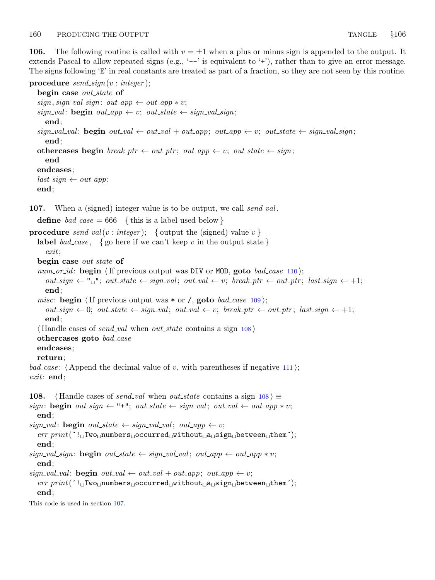106. The following routine is called with  $v = \pm 1$  when a plus or minus sign is appended to the output. It extends Pascal to allow repeated signs (e.g., '--' is equivalent to '+'), rather than to give an error message. The signs following 'E' in real constants are treated as part of a fraction, so they are not seen by this routine.

```
procedure send\_sign(v : integer);
  begin case out_state of
  sign, sign\_val\_sign: out\_app \leftarrow out\_app * v;sign\_val: begin out\_app \leftarrow v; out\_state \leftarrow sign\_val\_sign;
     end;
  sign\_val\_val: begin out\_val \leftarrow out\_val + out\_app; out\_app \leftarrow v; out\_state \leftarrow sign\_val\_sign;
     end;
  othercases begin break_ptr \leftarrow out\_ptr; out_app \leftarrow v; out_state \leftarrow sign;
     end
  endcases;
  last\_sign \leftarrow out\_app;end;
107. When a (signed) integer value is to be output, we call send_val.
  define bad\_case = 666 {this is a label used below}
procedure send val(v : integer); { output the (signed) value v}
  label bad case, { go here if we can't keep v in the output state }
     exit;
  begin case out_state of
  110);
     out\_sign \leftarrow "\sqcup"; out\_state \leftarrow sign\_val; out\_val \leftarrow v; break\_ptr \leftarrow out\_ptr; last\_sign \leftarrow +1;end;
  misc: begin (If previous output was * or l, goto bad case109);
     out\_sign \leftarrow 0; out\_state \leftarrow sign\_val; out\_val \leftarrow v; break\_ptr \leftarrow out\_ptr; last\_sign \leftarrow +1;end;
   (Handle cases of send val when out state contains a sign 108)
  othercases goto bad_case
  endcases;
  return;
bad_case: \langle111\rangle;
exit: end:
108. \langle Handle cases of send_val when out_state contains a sign 108 \rangle \equivsign: begin out_sign ← "+"; out_state ← sign_val; out_val ← out_app * v;
  end;
sign_val: begin out_state \leftarrow sign_val_val; out_app \leftarrow v;
  err\_print( \lceil \lceil \lceil \lceil \lceil \lceil \lceil \lceil \lceil \lceil \lceil \lceil \lceil \lceil \lceil \lceil \lceil \lceil \lceil \lceil \lceil \lceil \lceil \lceil \lceil \lceil \lceil \lceil \lceil \lceil \lceil \lceil \lceil \lceil \lceil \lceilend;
sign\_val\_sign: begin out_state \leftarrow sign\_val\_val; out_app \leftarrow out\_app * v;
  end;
signal: \textbf{begin} out\_val \leftarrow out\_val + out\_app; out\_app \leftarrow v;err\_print('!, 'Two, numbers, occurred, without, a, sign, between, them');
  end;
This code is used in section 107.
```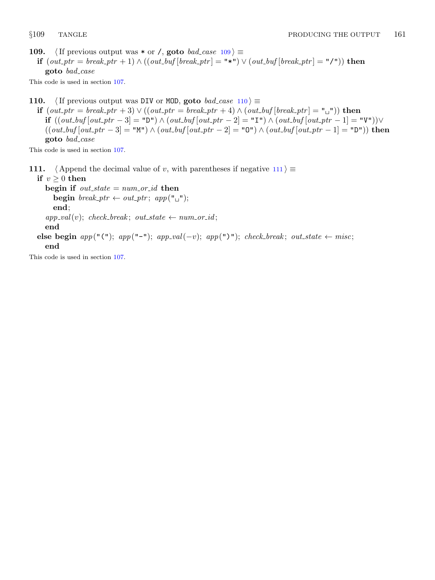<span id="page-36-0"></span>109. (If previous output was \* or /, goto bad\_case  $109$ )  $\equiv$ if  $(out\_ptr = break\_ptr + 1) \wedge ((out\_buf[break\_ptr] = "\cdot") \vee (out\_buf[break\_ptr] = "\cdot")$  then goto bad\_case

This code is used in section [107.](#page-35-0)

110. (If previous output was DIV or MOD, goto bad\_case  $110$  i ≡

**if**  $(out\_ptr = break\_ptr + 3) \vee ((out\_ptr = break\_ptr + 4) \wedge (out\_buf[break\_ptr] = "__")$  then if  $((out_buf[out_ptr - 3] = "D") \wedge (out_buf[out_ptr - 2] = "I") \wedge (out_buf[out_ptr - 1] = "V") \vee$  $((out\_buf[out\_ptr-3]= "M") \wedge (out\_buf[out\_ptr-2]= "O") \wedge (out\_buf[out\_ptr-1]= "D")$ ) then goto bad\_case

This code is used in section [107.](#page-35-0)

111.  $\langle$  Append the decimal value of v, with parentheses if negative 111 $\rangle \equiv$ 

if  $v > 0$  then begin if  $out\_state = num\_or\_id$  then **begin** break\_ptr  $\leftarrow out\_ptr$ ; app(" $\sqcup$ "); end;  $app\_val(v);$  check\_break; out\_state  $\leftarrow num\_or\_id;$ end else begin app("("); app("−"); app\_val(-v); app(")"); check\_break; out\_state ← misc; end This code is used in section [107.](#page-35-0)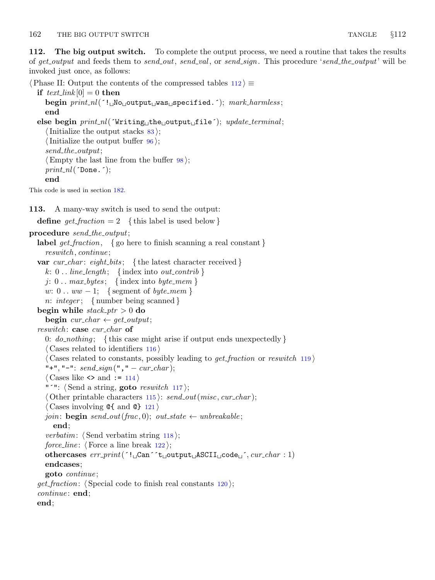<span id="page-37-0"></span>112. The big output switch. To complete the output process, we need a routine that takes the results of get\_output and feeds them to send\_out, send\_val, or send\_sign. This procedure 'send\_the\_output' will be invoked just once, as follows:

```
\langle Phase II: Output the contents of the compressed tables 112\rangle \equivif text_{link}[0] = 0 then
    begin print\_nl('!UNoUoutputUwasUspecified.'); mark_harmless;
    end
  else begin print nl(´Writing the output file´); update terminal ;
    \langle Initialize the output stacks 83;
    \langle Initialize the output buffer 96;
    send_the_output;
    \langle98\rangle;
    print\_nl( 'Done.');
    end
This code is used in section 182.
113. A many-way switch is used to send the output:
```
define get fraction = 2 { this label is used below }

```
procedure send_the_output;
```

```
label get_fraction, { go here to finish scanning a real constant }
  reswitch, continue;
var cur char: eight bits; { the latest character received }
  k: 0.. line_length; {index into out_contrib }
  j: 0 . . max_bytes; {index into byte_mem}
  w: 0 \ldots ww - 1; { segment of byte_mem }
  n: integer; { number being scanned }
begin while stack\_ptr > 0 do
  begin cur\_char \leftarrow get\_output;reswitch: case cur_char of
  0: do\_nothing; {this case might arise if output ends unexpectedly }
  \langle116\rangle\langle Cases related to constants, possibly leading to get_fraction or reswitch119\rangle"+", "−": send_sign("," – cur_char);
  \langle Cases like \langle114\rangle"'": \langle Send a string, goto117\rangle;
  \langle115\rangle: send out(misc, cur char);
  \langle Cases involving \mathcal{Q}\{\text{ and } \mathcal{Q}\}\121 \ranglejoin: begin send_out(frac, 0); out_state \leftarrow unbreakable;
    end;
  verbatim: \langle118\rangle;
  force line: \langle122\rangle;
  othercases err print(´! Can´´t output ASCII code ´, cur char : 1)
  endcases;
  goto continue ;
get_fraction: \langle120\rangle;
continue: end;end;
```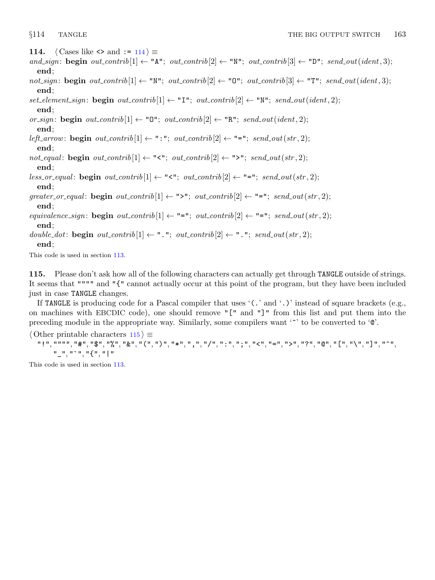<span id="page-38-0"></span>114.  $\langle$  Cases like  $\langle$  and := 114 $\rangle \equiv$ 

- and\_sign: begin  $out\_contrib[1] \leftarrow "A"; out\_contrib[2] \leftarrow "N"; out\_contrib[3] \leftarrow "D"; send\_out(ident, 3);$ end;
- $not \text{sign}$ : begin  $out \text{const}$   $[1] \leftarrow "N"$ ;  $out \text{const}$   $[2] \leftarrow "0"$ ;  $out \text{const}$   $[3] \leftarrow "T"$ ;  $send \text{out}(\text{ident}, 3)$ ; end;
- set\_element\_sign: begin out\_contrib $[1] \leftarrow "I"$ ; out\_contrib $[2] \leftarrow "N"$ ; send\_out(ident, 2); end;
- or\_sign: begin out\_contrib $[1] \leftarrow "0"$ ; out\_contrib $[2] \leftarrow "R"$ ; send\_out(ident, 2); end;
- left\_arrow: begin out\_contrib  $[1] \leftarrow$  ": "; out\_contrib  $[2] \leftarrow$  "="; send\_out(str, 2); end;
- not equal: begin out contrib  $[1] \leftarrow$  " $\leq$ "; out contrib  $[2] \leftarrow$  " $\geq$ "; send out (str, 2); end;
- less\_or\_equal: begin out\_contrib  $[1] \leftarrow$  " $\leftarrow$ "; out\_contrib  $[2] \leftarrow$  "="; send\_out(str, 2); end;
- $greater\_or\_equal$ : **begin**  $out\_contrib[1] \leftarrow "\rightarrow"$ ;  $out\_contrib[2] \leftarrow "\rightarrow" send\_out(str, 2)$ ;

end;

- equivalence\_sign: begin out\_contrib  $[1] \leftarrow$  "="; out\_contrib  $[2] \leftarrow$  "="; send\_out(str, 2); end;
- double\_dot: begin out\_contrib $[1] \leftarrow$  "."; out\_contrib $[2] \leftarrow$  "."; send\_out(str, 2);

## end;

This code is used in section [113.](#page-37-0)

115. Please don't ask how all of the following characters can actually get through TANGLE outside of strings. It seems that """" and "{" cannot actually occur at this point of the program, but they have been included just in case TANGLE changes.

If TANGLE is producing code for a Pascal compiler that uses '(.' and '.)' instead of square brackets (e.g., on machines with EBCDIC code), one should remove "[" and "]" from this list and put them into the preceding module in the appropriate way. Similarly, some compilers want '^' to be converted to '@'.

 $\langle$  Other printable characters 115 $\rangle \equiv$ 

"!", """", "#", "\$", "%", "&", "(", ")", "\*", ",", "/", ":", ";", "<", "=", ">", "?", "@", "[", "\", "]", "^", "\_", "`", "{", "|"

This code is used in section [113.](#page-37-0)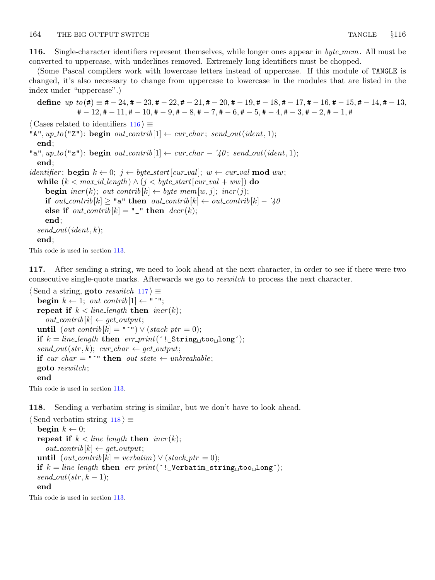<span id="page-39-0"></span>116. Single-character identifiers represent themselves, while longer ones appear in byte\_mem. All must be converted to uppercase, with underlines removed. Extremely long identifiers must be chopped.

(Some Pascal compilers work with lowercase letters instead of uppercase. If this module of TANGLE is changed, it's also necessary to change from uppercase to lowercase in the modules that are listed in the index under "uppercase".)

define  $up\_to(\texttt{\#}) = \texttt{\#} - 24$ ,  $\texttt{\#} - 23$ ,  $\texttt{\#} - 22$ ,  $\texttt{\#} - 21$ ,  $\texttt{\#} - 20$ ,  $\texttt{\#} - 19$ ,  $\texttt{\#} - 18$ ,  $\texttt{\#} - 17$ ,  $\texttt{\#} - 16$ ,  $\texttt{\#} - 15$ ,  $\texttt{\#} - 14$ ,  $\texttt{\#} - 13$ ,  $\sharp -12, \sharp -11, \sharp -10, \sharp -9, \sharp -8, \sharp -7, \sharp -6, \sharp -5, \sharp -4, \sharp -3, \sharp -2, \sharp -1, \sharp$ 

 $\langle$  Cases related to identifiers 116 $\rangle \equiv$ "A",  $up\_to$ ("Z"): begin out\_contrib $[1] \leftarrow cur\_char$ ; send\_out(ident, 1); end; "a", up\_to("z"): begin out\_contrib $[1] \leftarrow cur_{char} - 740$ ; send\_out(ident, 1); end; *identifier*: **begin**  $k \leftarrow 0$ ;  $j \leftarrow byte\_start[cur\_val]$ ;  $w \leftarrow cur\_val \mod ww$ ; while  $(k < max_id_length) \wedge (j < byte.start[cur_val + ww])$  do **begin**  $\text{incr}(k)$ ;  $\text{out\_contrib}[k] \leftarrow \text{byte\_mem}[w, j]$ ;  $\text{incr}(j)$ ; if out\_contrib  $[k] \geq$  "a" then out\_contrib  $[k] \leftarrow out{\text{-}contrib}[k] - 740$ else if  $out\_contrib[k] = "$  then  $decr(k);$ end;  $send\_out(ident, k);$ end; This code is used in section [113.](#page-37-0)

117. After sending a string, we need to look ahead at the next character, in order to see if there were two consecutive single-quote marks. Afterwards we go to reswitch to process the next character.

```
\langle Send a string, goto reswitch 117\rangle \equivbegin k \leftarrow 1; out_contrib[1] \leftarrow "'";
  repeat if k < line length then incr(k);
     out\_{contrib}[k] \leftarrow get\_output;until (out\_contrib[k] = "''') \vee (stack\_ptr = 0);if k = line\_length then err\_print('!\sqcup String\_too\_long');send\_out(str, k); \ cur\_char \leftarrow get\_output;if cur\_char = "`" then out\_state \leftarrow unbreakable;goto reswitch ;
  end
```
This code is used in section [113.](#page-37-0)

118. Sending a verbatim string is similar, but we don't have to look ahead.

 $\langle$  Send verbatim string 118 $\rangle \equiv$ begin  $k \leftarrow 0$ ; repeat if  $k < line$  length then  $incr(k)$ ;  $out\_contrib[k] \leftarrow get\_output;$ until  $(out\_contrib[k] = verbatim) \vee (stack\_ptr = 0);$ if  $k = line\_length$  then  $err\_print('! \cup$ Verbatim<sub>U</sub>string<sub>U</sub>too<sub>U</sub>long'); $send\_out(str, k-1);$ end

This code is used in section [113.](#page-37-0)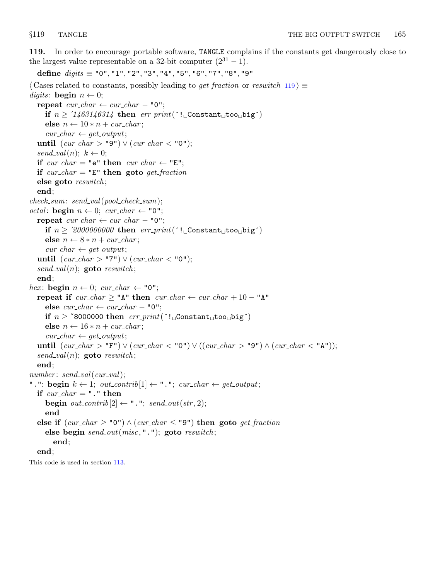<span id="page-40-0"></span>119. In order to encourage portable software, TANGLE complains if the constants get dangerously close to the largest value representable on a 32-bit computer  $(2^{31} – 1)$ .

```
define \text{ digits} \equiv "0", "1", "2", "3", "4", "5", "6", "7", "8", "9"
\langle Cases related to constants, possibly leading to get_fraction or reswitch 119\rangle \equivdigits: begin n \leftarrow 0;
  repeat cur\_char \leftarrow cur\_char - "0";if n \geq 1463146314 then err\_print('! \cup Constant \cup too \cup big')else n \leftarrow 10 * n + cur\_char;cur\_char \leftarrow get\_output;until (cur\_char > "9") \vee (cur\_char < "0");
  send\_val(n); k \leftarrow 0;if cur\_char = "e" then cur\_char \leftarrow "E";if cur\_char = "E" then goto get_fraction
  else goto reswitch ;
  end;
check\_sum: send\_val(pool\_check\_sum);octal: begin n \leftarrow 0; cur_char \leftarrow "0";
  repeat cur\_char \leftarrow cur\_char - "0";if n \geq 2000000000 then err\_print('!\cup Constant\cup too\cup big')else n \leftarrow 8 * n + cur\_char;cur\_char \leftarrow get\_output;until (cur\_char > "7") \vee (cur\_char < "0");
  send\_val(n); goto reswitch;
  end;
hex: begin n \leftarrow 0; cur_char \leftarrow "0";
  repeat if cur\_char \geq "A" then cur\_char \leftarrow cur\_char + 10 - "A"else cur\_char \leftarrow cur\_char - "0";if n \geq "8000000 then err\_print('! \cup Constant \cup too, bitg')
     else n \leftarrow 16 * n + \text{cur\_char};
     cur\_char \leftarrow get\_output;until (cur_{\text{c}}char > "F") \lor (cur_{\text{c}}char < "0") \lor ((cur_{\text{c}}char > "9") \land (cur_{\text{c}}char < "A"));
  send\_val(n); goto reswitch;
  end;
number: send\_val(cur\_val);".": begin k \leftarrow 1; out_contrib[1] \leftarrow"."; cur_char \leftarrow get\_output;
  if cur\_char = "." then
     begin out\_contrib[2] \leftarrow "."; send\_out(str, 2);
     end
  else if (cur_{char} > "0") \wedge (cur_{char} < "9") then goto get fraction
     else begin send\_out(misc, "..."); goto resultch;end;
  end;
This code is used in section 113.
```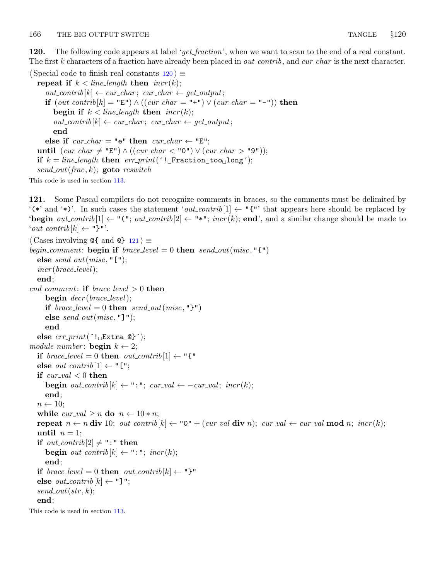<span id="page-41-0"></span>120. The following code appears at label 'get\_fraction', when we want to scan to the end of a real constant. The first k characters of a fraction have already been placed in *out\_contrib*, and *cur\_char* is the next character.

 $\langle$  Special code to finish real constants  $120 \rangle \equiv$ repeat if  $k < line$  length then  $incr(k)$ ;  $out_{\text{1}}\left[k\right] \leftarrow cur_{\text{1}}\left(\text{1}\right)$   $\leftarrow$   $cur_{\text{2}}\left(\text{1}\right)$   $\leftarrow$   $get_{\text{2}}\left(\text{1}\right)$ **if**  $(out\_control[k] = "E") \land ((cur\_char = "+") \lor (cur\_char = "−")$  then begin if  $k < line\_length$  then  $incr(k)$ ;  $out\_contrib[k] \leftarrow cur\_char; cur\_char \leftarrow get\_output;$ end else if  $cur\_char = "e"$  then  $cur\_char \leftarrow "E";$ until  $(cur\_char \neq "E") \wedge ((cur\_char < "0") \vee (cur\_char > "9"));$ if  $k = line_length$  then  $err\_print('!$  Fraction too long');  $send\_out(frac, k);$  goto reswitch

This code is used in section [113.](#page-37-0)

```
121. Some Pascal compilers do not recognize comments in braces, so the comments must be delimited by
'(*' and '*)'. In such cases the statement 'out_contrib [1] \leftarrow "{\cdot}" that appears here should be replaced by
'begin out_contrib [1] \leftarrow "("; out_contrib [2] \leftarrow "*"; incr(k); end', and a similar change should be made to
'out_{\text{1}}(k) \leftarrow "}''.
```

```
\langle Cases involving @{ and @} 121} \equivbegin_comment: begin if brace = 0 then send\_out(misc, "{\''}')else send\_out(misc, "['");incr (brace_level);
  end;
end_comment: if brace: brace_level > 0 then
     begin decr(brace\_level);if bracel evel = 0 then send\_out(misc, "}")else send\_out(misc, "]");
     end
  else err\_print( '!_LExtra_0@}');
module_number: begin k \leftarrow 2;
  if brace_level = 0 then out_contrib [1] \leftarrow "{"
  else out\_contrib[1] \leftarrow "[';
  if cur\_val < 0 then
     begin out_contrib[k] \leftarrow ":"; cur_val \leftarrow -cur\_val; incr(k);
     end;
  n \leftarrow 10;
  while \text{cur}_\text{-} \text{val} \geq n do n \leftarrow 10 * n;
  repeat n \leftarrow n div 10; out contrib[k] \leftarrow 0" + (cur val div n); cur val \leftarrow curval mod n; incr(k);
  until n = 1;
  if out_contrib [2] \neq ":" then
     begin out\_{contrib}[k] \leftarrow ":"; incr(k);
     end;
  if brace_level = 0 then out_contrib[k] \leftarrow"}"
  else out_{\text{-}contrib}[k] \leftarrow"]";
  send\_out(str, k);end;
This code is used in section 113.
```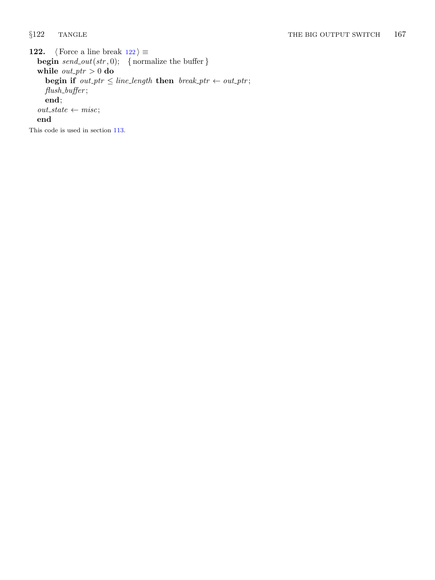<span id="page-42-0"></span>122.  $\langle$  Force a line break 122 $\rangle \equiv$ **begin**  $send\_out(str, 0)$ ; { normalize the buffer } while  $out\_ptr > 0$  do begin if  $out\_ptr \leq line\_length$  then  $break\_ptr \leftarrow out\_ptr;$  $flush_buffer;$ end;  $out\_state \leftarrow{} {misc};$ end This code is used in section [113.](#page-37-0)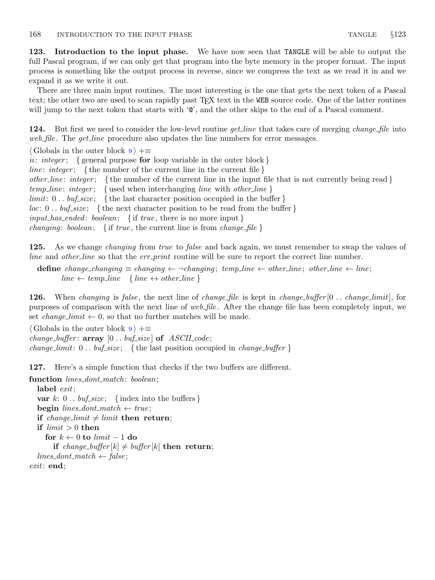<span id="page-43-0"></span>123. Introduction to the input phase. We have now seen that TANGLE will be able to output the full Pascal program, if we can only get that program into the byte memory in the proper format. The input process is something like the output process in reverse, since we compress the text as we read it in and we expand it as we write it out.

There are three main input routines. The most interesting is the one that gets the next token of a Pascal text; the other two are used to scan rapidly past TEX text in the WEB source code. One of the latter routines will jump to the next token that starts with ' $\mathbb{C}^2$ , and the other skips to the end of a Pascal comment.

124. But first we need to consider the low-level routine *get\_line* that takes care of merging *change\_file* into web file. The get line procedure also updates the line numbers for error messages.

 $\langle$  Globals in the outer block [9](#page-3-0)  $\rangle$  +≡

ii: integer; { general purpose for loop variable in the outer block } *line: integer*; {the number of the current line in the current file } other line: integer; { the number of the current line in the input file that is not currently being read }  $temp\_line:integer; \{ used when interchanging line with other\_line\}$  $limit: 0$ ..  $buf\_size$ ; {the last character position occupied in the buffer}  $loc: 0$ ..  $buf\_size$ ; {the next character position to be read from the buffer}  $input\_has\_ended:boolean; \{ \text{ if } true, \text{ there is no more input } \}$ *changing: boolean;* { if *true*, the current line is from *change\_file* }

125. As we change *changing* from true to false and back again, we must remember to swap the values of line and other line so that the err print routine will be sure to report the correct line number.

define change\_changing  $\equiv$  changing  $\leftarrow$   $\neg$ changing; temp\_line  $\leftarrow$  other\_line; other\_line  $\leftarrow$  line;  $line \leftarrow temp\_line \{ line \leftrightarrow other\_line \}$ 

**126.** When changing is false, the next line of change file is kept in change buffer  $[0 \dots change-limit]$ , for purposes of comparison with the next line of web file. After the change file has been completely input, we set *change\_limit*  $\leftarrow 0$ , so that no further matches will be made.

 $\langle$  Globals in the outer block  $9 \rangle + \equiv$  $9 \rangle + \equiv$ change buffer:  $array [0..$  buf size of ASCII code; change limit:  $0$ .. buf size; { the last position occupied in change buffer }

127. Here's a simple function that checks if the two buffers are different.

function *lines\_dont\_match*: *boolean*;

label *exit*: var k:  $0 \ldots \text{buf\_size}$ ; {index into the buffers} begin lines\_dont\_match  $\leftarrow true;$ if change\_limit  $\neq$  limit then return; if  $limit > 0$  then for  $k \leftarrow 0$  to  $limit - 1$  do if change\_buffer  $|k| \neq \text{buffer}[k]$  then return;  $lines\_dont\_match \leftarrow false;$ exit: end;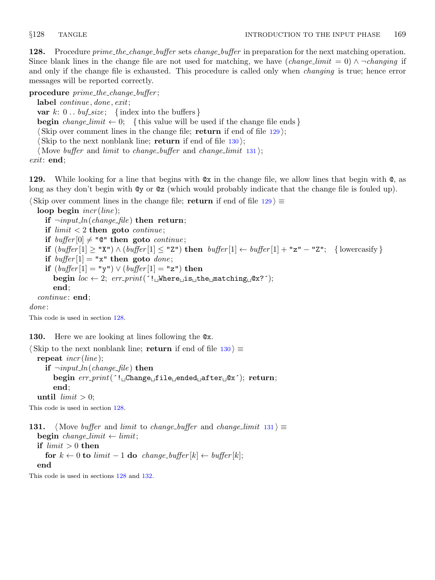<span id="page-44-0"></span>128. Procedure *prime\_the\_change\_buffer* sets *change\_buffer* in preparation for the next matching operation. Since blank lines in the change file are not used for matching, we have  $(charge\_limit = 0) \land \neg changing$  if and only if the change file is exhausted. This procedure is called only when *changing* is true; hence error messages will be reported correctly.

procedure  $prime\_the\_change\_buffer$ ;

label *continue*, *done*, *exit*;

var k:  $0 \ldots \text{buf\_size}$ ; {index into the buffers} **begin** change limit  $\leftarrow 0$ ; {this value will be used if the change file ends }

 $\langle$  Skip over comment lines in the change file; return if end of file 129 $\rangle$ ;

Skip to the next nonblank line; return if end of file  $130$ ;

(Move buffer and limit to change buffer and change limit  $131$ );

exit: end;

129. While looking for a line that begins with @x in the change file, we allow lines that begin with @, as long as they don't begin with @y or @z (which would probably indicate that the change file is fouled up).

 $\langle$  Skip over comment lines in the change file; return if end of file 129 $\rangle \equiv$ 

loop begin  $\text{incr}(line);$ 

if  $\neg input\_ln(change\_file)$  then return; if  $limit < 2$  then goto *continue*; if buffer  $[0] \neq$  " $\mathbb{Q}$ " then goto continue; **if**  $(buffer[1] \geq "X") \wedge (buffer[1] \leq "Z")$  then  $buffer[1] \leftarrow buffer[1] + "z" - "Z";$  {lowercasify } if  $buffer[1] = "x" then go to done;$ if  $(buffer[1] = "y") \vee (buffer[1] = "z")$  then begin  $loc \leftarrow 2$ ;  $err\_print($  '! Where is the matching  $\mathcal{Q}x$ ?'); end;  $continue: end;$ done:

This code is used in section 128.

130. Here we are looking at lines following the  $\mathcal{Q}_x$ .

```
\langle Skip to the next nonblank line; return if end of file 130 \equivrepeat \text{incr}(line);
    if \neg input\_ln(change\_file) then
       begin err\_print( '! Change file ended after \& '); return;
       end;
  until limit > 0:
```
This code is used in section 128.

```
131. (Move buffer and limit to change buffer and change limit 131) \equivbegin change_limit \leftarrow limit;
  if limit > 0 then
     for k \leftarrow 0 to limit -1 do change_buffer[k] \leftarrow buffer[k];
  end
```
This code is used in sections 128 and [132.](#page-45-0)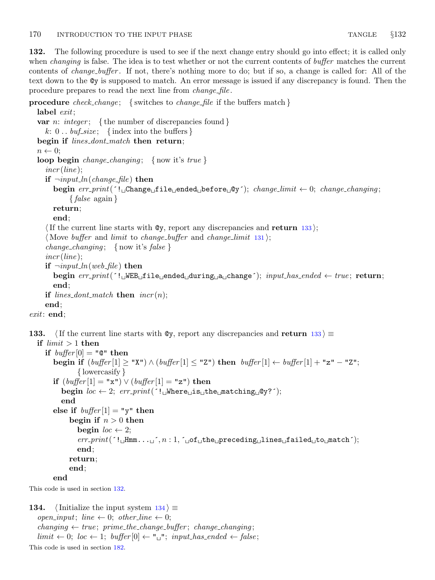<span id="page-45-0"></span>132. The following procedure is used to see if the next change entry should go into effect; it is called only when *changing* is false. The idea is to test whether or not the current contents of *buffer* matches the current contents of change buffer . If not, there's nothing more to do; but if so, a change is called for: All of the text down to the @y is supposed to match. An error message is issued if any discrepancy is found. Then the procedure prepares to read the next line from *change-file*.

**procedure** check change; { switches to change file if the buffers match }

```
label exit;
  var n: integer; { the number of discrepancies found }
     k: 0 \ldots \text{buf\_size}; {index into the buffers}
  begin if lines_dont_match then return;
  n \leftarrow 0;
  loop begin change_changing; { now it's true }
     incr (line):
     if \neg input\_ln(change\_file) then
        begin err\_print(\lceil \cdot \cdot \rceilChange<sub>U</sub>file<sub>U</sub>ended<sub>U</sub>before<sub>U</sub>@y<sup>\cdot</sup>); change_limit \leftarrow 0; change_changing;
              \{false \text{ again }\}return;
        end;
     If the current line starts with \mathbb{Q}_y, report any discrepancies and return 133;
     (Move buffer and limit to change_buffer and change_limit131);
     change_changing; { now it's false }
     incr (line);
     if \neg input\_ln(web\_file) then
        begin err\_print(': \exists \existsEB\existsfile\existsended\existsduring\existsa\existschange`); input\_has\_ended \leftarrow true; return;
        end;
     if lines_dont_match then \text{incr}(n);end;
exit: end;
```
133.  $\langle$  If the current line starts with  $\mathbb{Q}y$ , report any discrepancies and return 133 $\rangle \equiv$ if  $limit > 1$  then

```
if buffer[0] = "Q" thenbegin if (\text{buffer}[1] \geq "X") \land (\text{buffer}[1] \leq "Z") then \text{buffer}[1] \leftarrow \text{buffer}[1] + "z" - "Z";{ lowercasify }
   if (buffer[1] = "x") \vee (buffer[1] = "z") then
       begin loc \leftarrow 2; err\_print( '! Where is the matching \mathfrak{g}_1?');
       end
   else if buffer[1] = "y" then
          begin if n > 0 then
              begin loc \leftarrow 2;
              err\_print( \lceil Hmm... \lceil \cdot \lceil \cdot \lceil \cdot \lceil \cdot \lceil \cdot \lceil \cdot \lceil \cdot \lceil \cdot \lceil \cdot \lceil \cdot \lceil \cdot \lceil \cdot \lceil \cdot \lceil \cdot \lceil \cdot \lceil \cdot \lceil \cdot \lceil \cdot \lend;
          return;
          end;
   end
```
This code is used in section 132.

```
134. (Initialize the input system 134) \equivopen_input; line \leftarrow 0; other_line \leftarrow 0;
   changing \leftarrow true; prime\_the\_change\_buffer; change\_changing;limit \leftarrow 0; loc \leftarrow 1; buffer[0] \leftarrow "\text{ } "uput\_has\_ended \leftarrow false;This code is used in section 182.
```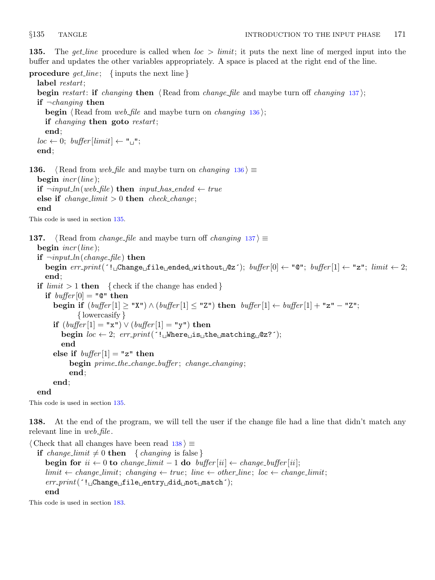<span id="page-46-0"></span>135. The get line procedure is called when  $loc > limit$ ; it puts the next line of merged input into the buffer and updates the other variables appropriately. A space is placed at the right end of the line.

procedure  $get\_line$ ; {inputs the next line} label restart; begin restart: if changing then  $\langle$  Read from change file and maybe turn off changing 137 $\rangle$ ; if  $\neg changing$  then **begin**  $\langle$  Read from *web file* and maybe turn on *changing* 136 $\rangle$ ; if changing then goto restart; end;  $loc \leftarrow 0$ ; buffer [limit]  $\leftarrow$  " $\Box$ "; end; 136. {Read from web file and maybe turn on changing  $136$   $\equiv$ begin  $\text{incr}($ line); **if**  $\neg input\_ln(web\_file)$  **then**  $input\_has\_ended ← true$ else if  $change\_limit > 0$  then check change; end This code is used in section 135. 137. (Read from *change\_file* and maybe turn off *changing*  $137$ )  $\equiv$ begin  $\text{incr}(line);$ if  $\neg input\_ln(change\_file)$  then begin  $err\_print$ ( $'! \Box$ Change $\Box$ file $\Box$ ended $\Box$ without $\Box$ @z $')$ ; buffer $[0] \leftarrow "0"$ ; buffer $[1] \leftarrow "z"$ ; limit  $\leftarrow 2$ ; end; if  $limit > 1$  then { check if the change has ended } if  $buffer[0] = "Q" then$ begin if  $(buffer[1] \geq "X") \wedge (buffer[1] \leq "Z")$  then  $buffer[1] \leftarrow buffer[1] + "z" - "Z";$ { lowercasify } if  $(buffer[1] = "x") \vee (buffer[1] = "y")$  then begin  $loc \leftarrow 2$ ;  $err\_print($  '! Where is the matching  $@z$ ?'); end else if  $buffer[1] = "z"$  then begin prime\_the\_change\_buffer; change\_changing; end; end; end

This code is used in section 135.

138. At the end of the program, we will tell the user if the change file had a line that didn't match any relevant line in  $web$ -file.

 $\langle$  Check that all changes have been read 138 $\rangle \equiv$ if change limit  $\neq 0$  then { changing is false } begin for  $ii \leftarrow 0$  to change\_limit – 1 do buffer [ii]  $\leftarrow$  change\_buffer [ii];  $limit \leftarrow change\_limit$ ; changing  $\leftarrow true$ ; line  $\leftarrow other\_line$ ; loc  $\leftarrow change\_limit$ ;  $err\_print($   $':$   $\Box$ Change $\Box$ file $\Box$ entry $\Box$ did $\Box$ not $\Box$ match $\Box$ ; end

This code is used in section [183.](#page-65-0)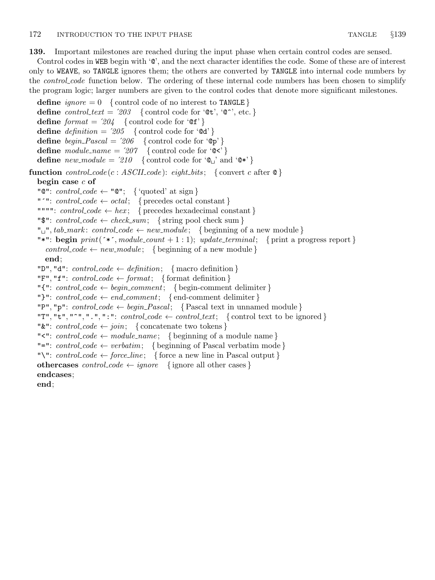<span id="page-47-0"></span>139. Important milestones are reached during the input phase when certain control codes are sensed.

Control codes in WEB begin with '@', and the next character identifies the code. Some of these are of interest only to WEAVE, so TANGLE ignores them; the others are converted by TANGLE into internal code numbers by the *control<sub>code</sub>* function below. The ordering of these internal code numbers has been chosen to simplify the program logic; larger numbers are given to the control codes that denote more significant milestones.

```
define \text{ignore} = 0 { control code of no interest to TANGLE}
  define control_text = 203 \{ control code for '\mathfrak{C}t', '\mathfrak{C}^*', etc. }
  define format = 204 { control code for '\mathfrak{C}f'}
  define definition = 205 {control code for '\mathcal{A}'}
  define begin_Psgin\_Pascal = '206 \{ \text{control code for 'Op'} \}define module\_name = '207 { control code for '\mathbb{Q}<'}
  define new\_module = '210 {control code for '\mathbb{Q}_1' and '\mathbb{Q}^*'}
function control\_code(c : ASCII\_code): eight\_bits; { convert c after \&}
  begin case c of
  "\mathbb{C}": control_code \leftarrow "\mathbb{C}"; { 'quoted' at sign }
  "'": control\_code \leftarrow octal; { precedes octal constant }
  """": control\_code \leftarrow hex; { precedes hexadecimal constant }
  "\mathcal{F}": control_code \leftarrow check_sum; {string pool check sum}
  "\Box", tab_mark: control_code \leftarrow new_module; { beginning of a new module }
  "*": begin print(\checkmark, module_count + 1 : 1); update_terminal; { print a progress report }
     control_code \leftarrow new_model; \{beginning of a new module \}end;
  "D", "d": control\_code \leftarrow definition; \{ macro definition\}"F", "f": control\_code \leftarrow format; \{ format \ definition\}"{\{\cdot\}}: control\_code \leftarrow begin\_comment; \{begin} comment delimiter
  "}": control\_code \leftarrow end\_comment; \{ end-component \text{ }delimiter \}"P", "p": control\_code \leftarrow begin\_Pascal; { Pascal text in unnamed module }
  "T", "t", "<sup>o</sup>", ".", ":": control_code ← control_text; { control text to be ignored }
  "\&": control_code \leftarrow join; { concatenate two tokens}
  "\leq": control_code \leftarrow module_name; { beginning of a module name}
  "=": control_code \leftarrow verbatim; { beginning of Pascal verbatim mode }
  "\": control_code \leftarrow force_line; { force a new line in Pascal output }
  othercases control\_code \leftarrow ignore \{ ignore all other cases\}endcases;
  end;
```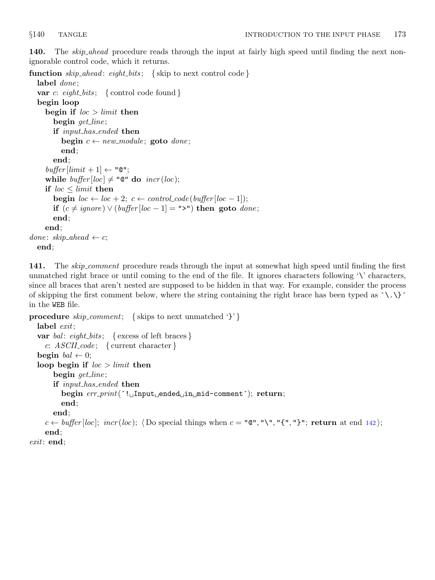<span id="page-48-0"></span>140. The *skip ahead* procedure reads through the input at fairly high speed until finding the next nonignorable control code, which it returns.

function  $skip\_shape$  : eight bits; { skip to next control code }

```
label done;
  var c: eight_bits; { control code found }
  begin loop
    begin if loc > limit then
       begin get line;
       if input_has_ended then
          begin c \leftarrow new\_module; goto done;
          end;
       end;
    buffer[limit + 1] \leftarrow "Q";while buffer[loc] \neq "Q" do incr(loc);
    if loc \leq limit then
       begin loc \leftarrow loc + 2; c \leftarrow control\_code(buffer[loc - 1]);
       if (c ≠ ignore) ∨ (buffer[loc - 1] = ">") then goto done;
       end;
    end;
done: skip\_ahead \leftarrow c;end;
```
141. The *skip-comment* procedure reads through the input at somewhat high speed until finding the first unmatched right brace or until coming to the end of the file. It ignores characters following '\' characters, since all braces that aren't nested are supposed to be hidden in that way. For example, consider the process of skipping the first comment below, where the string containing the right brace has been typed as  $\setminus \setminus$ in the WEB file.

```
procedure skip_comment; { skips to next unmatched '}' }
 label exit;
 var bal: eight_bits; { excess of left braces }
   c: ASCII\_{code}; \{ current character \}begin bal \leftarrow 0;
 loop begin if loc > limit then
     begin get line;
     if input_has_ended then
       begin err_print(^! Input ended in mid-comment^); return;
       end;
     end;
   142};end;
exit: end;
```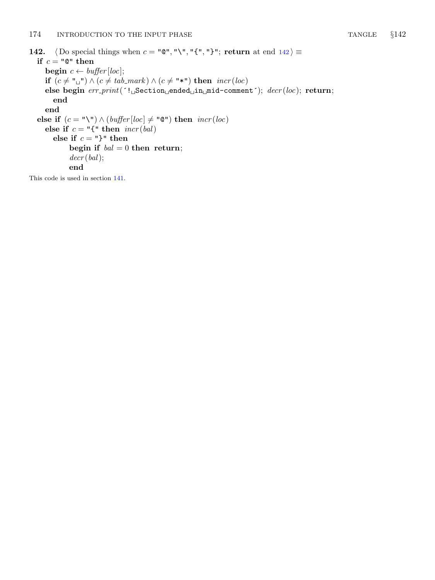<span id="page-49-0"></span>142.  $\langle$  Do special things when  $c = "Q", "\", "{\", "}\",$  return at end  $142 \rangle \equiv$ if  $c = "\mathbb{Q}"$  then begin  $c \leftarrow \text{buffer} [\text{loc}];$ if  $(c ≠ "µ") \land (c ≠ tab\_mark) \land (c ≠ "*")$  then  $incr(loc)$ else begin err\_print(´! Section ended in mid-comment´); decr(loc); return; end end else if  $(c = "\"\) \land (buffer[loc] \neq "\mathbb{Q}")$  then  $\text{incr}(loc)$ else if  $c = "\{\mathsf{``} \text{ then } \text{incr}(\text{bal})\}$ else if $\,c=\text{``} \} \text{''}$  then begin if  $bal = 0$  then return;  $decr(bal);$ end

This code is used in section [141.](#page-48-0)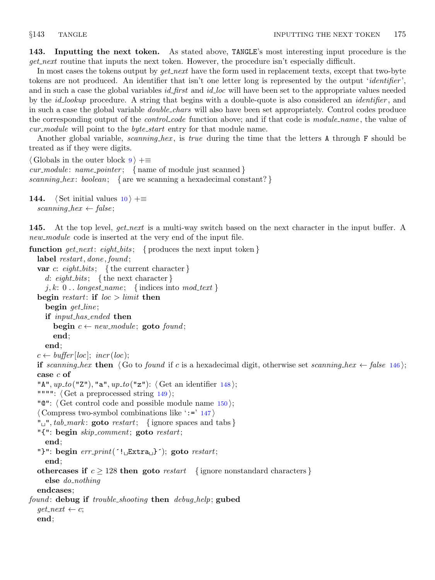<span id="page-50-0"></span>143. Inputting the next token. As stated above, TANGLE's most interesting input procedure is the get next routine that inputs the next token. However, the procedure isn't especially difficult.

In most cases the tokens output by *get\_next* have the form used in replacement texts, except that two-byte tokens are not produced. An identifier that isn't one letter long is represented by the output 'identifier ', and in such a case the global variables *id-first* and *id-loc* will have been set to the appropriate values needed by the *id*-lookup procedure. A string that begins with a double-quote is also considered an *identifier*, and in such a case the global variable *double\_chars* will also have been set appropriately. Control codes produce the corresponding output of the *control<sub>-code</sub>* function above; and if that code is *module\_name*, the value of cur module will point to the *byte\_start* entry for that module name.

Another global variable, *scanning hex*, is true during the time that the letters **A** through **F** should be treated as if they were digits.

 $\langle$  Globals in the outer block [9](#page-3-0)  $\rangle$  +=  $cur_model: name\_pointer; \{ name of module just scanned\}$ scanning hex: boolean; { are we scanning a hexadecimal constant?}

144. (Set initial values  $10$ ) +≡ scanning hex  $\leftarrow$  false;

145. At the top level, get next is a multi-way switch based on the next character in the input buffer. A new module code is inserted at the very end of the input file.

```
function get\_next: eight\_bits; { produces the next input token }
  label restart, done, found;
  var c: eight_bits; { the current character }
    d: \text{eight\_bits}; {the next character}
    j, k: 0... longest_name; {indices into mod_text}
  begin restart: if loc > limit then
    begin get line;
    if input_has_ended then
       begin c \leftarrow new\_module; goto found;
       end;
    end;
  c \leftarrow \text{buffer} [\text{loc}]; \text{incr} (\text{loc});if scanning hex then \langle Go to found if c is a hexadecimal digit, otherwise set scanning hex \leftarrow146 \rangle;
  case c of
  "A", up\_to ("Z"), "a", up\_to ("z"): \langle148\rangle;
  """": \langle149\rangle;
  "\mathbb{C}": \langle Get control code and possible module name 150 ;
  \langle Compress two-symbol combinations like \langle147\rangle"\Box", tab_mark: goto restart; {ignore spaces and tabs}
  "{": begin skip_comment; goto restart;
    end;
  "}": begin err\_print('! \sqcup \text{Extra} \sqcup \text{'}); goto restart;end;
  othercases if c \geq 128 then goto restart { ignore nonstandard characters }
    else do nothing
  endcases;
found: debug if trouble-shooting then debug-help; gubed
  get\_next \leftarrow c;end;
```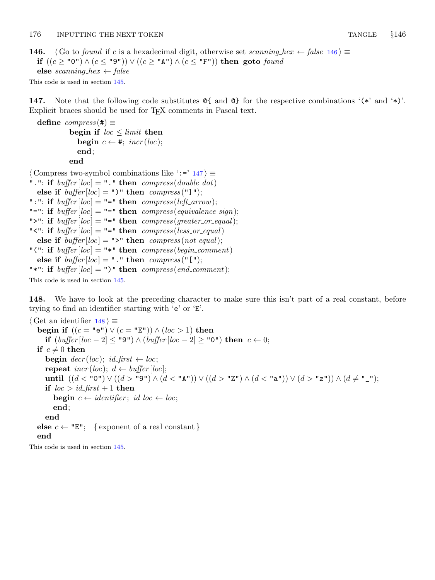<span id="page-51-0"></span>**146.**  $\langle$  Go to *found* if c is a hexadecimal digit, otherwise set scanning hex  $\leftarrow$  false 146  $\rangle \equiv$ if  $((c \geq "0") \land (c \leq "9") \lor ((c \geq "A") \land (c \leq "F")$  then goto found else scanning hex  $\leftarrow$  false

This code is used in section [145.](#page-50-0)

147. Note that the following code substitutes @{ and @} for the respective combinations '(\*' and '\*)'. Explicit braces should be used for T<sub>E</sub>X comments in Pascal text.

```
define compress(\#) \equivbegin if loc < limit then
             begin c \leftarrow \#; \textit{incr}(loc);
             end;
           end
```
 $\langle$  Compress two-symbol combinations like ':=' 147 $\rangle \equiv$ ".": if  $buffer[loc] = "$ ." then  $compress(double\_dot)$ else if  $buffer[loc] = "$ )" then  $compress("]$ "); ":": if  $buffer[loc] = "=" then compress(left_arrow);$ "=": if  $buffer[loc] = "=" then compress(equivalence\_sign);$ ">": if  $buffer[loc] = "=" then compress(greater_or_equal);$ " $\leq$ ": if buffer  $[loc] =$  "=" then compress (less\_or\_equal) else if  $buffer[loc] = ">" then compress(not\_equal);$ "(": if  $buffer[loc] = "*"$  then  $compress(begin_{com} + commut)$ else if  $buffer[loc] = "." then compress("["");$ "\*": if  $buffer[loc] = "$ " then compress (end\_comment); This code is used in section [145.](#page-50-0)

148. We have to look at the preceding character to make sure this isn't part of a real constant, before trying to find an identifier starting with 'e' or 'E'.

 $\langle$  Get an identifier 148  $\rangle \equiv$ begin if  $((c = "e") \vee (c = "E") \wedge (loc > 1)$  then if  $(buffer[loc - 2] ≤ "9") \wedge (buffer[loc - 2] ≥ "0")$  then  $c \leftarrow 0;$ if  $c \neq 0$  then **begin**  $decr(loc); id\_first \leftarrow loc;$ repeat  $\text{incr}(loc); d \leftarrow \text{buffer}(loc);$ until  $((d < "0") \lor ((d > "9") \land (d < "A") \lor ((d > "Z") \land (d < "a") \lor (d > "z") \land (d ≠ "_");$ if  $loc > id$  first + 1 then **begin**  $c \leftarrow identifier$ ; *id\_loc*  $\leftarrow loc$ ; end; end else  $c \leftarrow "E";$  {exponent of a real constant} end

This code is used in section [145.](#page-50-0)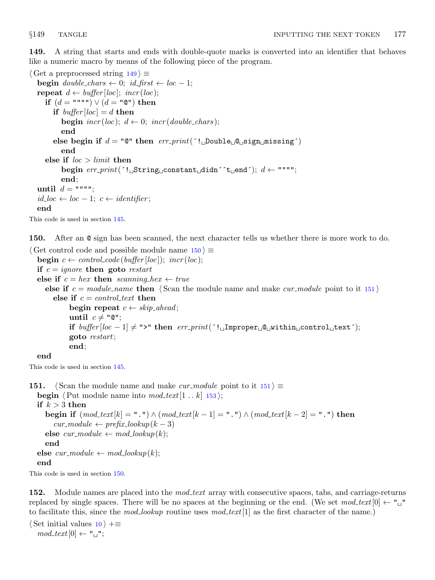<span id="page-52-0"></span>149. A string that starts and ends with double-quote marks is converted into an identifier that behaves like a numeric macro by means of the following piece of the program.

```
\langle Get a preprocessed string 149 \rangle \equivbegin double_chars \leftarrow 0; id_first \leftarrow loc -1;
  repeat d \leftarrow buffer[loc]; incr(loc);
     if (d = """") \vee (d = "@") then
        if buffer[loc] = d then
           begin \text{incr}(loc); d \leftarrow 0; \text{incr}(double{\_}chars);end
        else begin if d = "Q" then err\_print('! \Box Double \Box Q \Box sign \Box missing')end
     else if loc > limit then
           begin err\_print('!\sqcup String\sqcup constant \sqcup didn'\uparrow \sqcup end'); d \leftarrow """;end;
  until d = """";
  id\_loc \leftarrow loc - 1; c \leftarrow identifier;end
```
This code is used in section [145.](#page-50-0)

150. After an  $\mathcal Q$  sign has been scanned, the next character tells us whether there is more work to do.

 $\langle$  Get control code and possible module name  $150 \rangle \equiv$ **begin**  $c \leftarrow control\_code(buffer[loc]);$   $incr(loc);$ if  $c = \text{ignore}$  then goto restart else if  $c = hex$  then scanning hex  $\leftarrow true$ else if  $c = module_name$  then  $\langle$  Scan the module name and make *cur module* point to it 151 $\rangle$ else if  $c = control\_text$  then begin repeat  $c \leftarrow skip\_ahead;$ until  $c \neq "Q";$ if buffer  $[loc - 1]$  ≠ ">" then  $err\_print('! \Box \text{Improper}_\text{Q}$ within $\Box$ control $\Box$ text´); goto restart; end;

end

This code is used in section [145.](#page-50-0)

151. Scan the module name and make cur module point to it  $151$  i ≡

```
begin \langle Put module name into mod_text[1 \t{k}] . k153\rangle;
if k > 3 then
  begin if (mod\_text[k] = "."]) \wedge (mod\_text[k-1] = "."]) \wedge (mod\_text[k-2] = "."]) then
     cur\_module \leftarrow prefix\_lookup(k-3)else cur_model \leftarrow mod\_lookup(k);end
else cur\_module \leftarrow mod\_lookup(k);end
```
This code is used in section 150.

152. Module names are placed into the *mod<sub>-text</sub>* array with consecutive spaces, tabs, and carriage-returns replaced by single spaces. There will be no spaces at the beginning or the end. (We set  $mod\_text[0] \leftarrow$ " to facilitate this, since the mod<sub>-lookup</sub> routine uses  $mod\_text[1]$  as the first character of the name.)

 $\langle$  Set initial values [10](#page-3-0)  $\rangle$  +≡  $mod\_text[0] \leftarrow "\sqcup"$ ;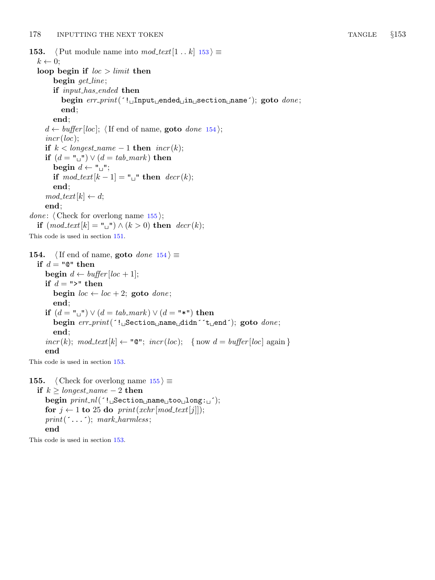<span id="page-53-0"></span>**153.**  $\langle$  Put module name into mod\_text[1 . . k]  $153$   $\equiv$  $k \leftarrow 0$ ; loop begin if  $loc > limit$  then begin get\_line; if *input\_has\_ended* then begin  $err\_print($  '! $\text{Input} \cup \text{Indeed} \cup \text{in} \cup \text{section} \cup \text{name}$ '); goto  $done$ ; end; end;  $d \leftarrow \text{buffer} [\text{loc}]$ ; (If end of name, **goto** done 154);  $incr(loc);$ if  $k <$  longest\_name - 1 then  $\text{incr}(k)$ ; if  $(d = "_1") \vee (d = tab\_mark)$  then begin  $d \leftarrow "\sqcup"$ ; if  $mod\_text[k-1] = "^"$  then  $decr(k);$ end;  $mod\_text[k] \leftarrow d;$ end; *done:*  $\langle$  Check for overlong name 155 $\rangle$ ; if  $(mod\_text[k] = "\sqcup" \wedge (k > 0)$  then  $decr(k);$ This code is used in section [151.](#page-52-0) 154. (If end of name, goto done  $154$ )  $\equiv$ if  $d = "Q"$  then **begin**  $d \leftarrow \text{buffer} [\text{loc} + 1];$ if  $d =$ ">" then begin  $loc \leftarrow loc + 2$ ; goto  $done$ ; end; if  $(d = "\cdot"|\vee (d = tab\_mark) \vee (d = "\cdot")$  then begin  $err\_print($  '! $_$ Section name didn 't end'); goto  $done$ ; end;  $incr(k); \text{ mod\_text}[k] \leftarrow \text{``} \text{@''}; \text{ } incr(loc); \text{ } \{ \text{ now } d = buffer[loc] \text{ again } \}$ end

This code is used in section 153.

155.  $\langle$  Check for overlong name 155  $\rangle \equiv$ if  $k ≥ longer_name - 2$  then  $begin *begin min\_nl*(<sup>-!</sup> <sub>L</sub>Section<sub>u</sub>name<sub>u</sub> too<sub>u</sub> long: <sub>u</sub>');$ for  $j \leftarrow 1$  to 25 do print(xchr[mod\_text[j]]);  $print(\ulcorner \ldots \ulcorner); mark_harmless;$ end

This code is used in section 153.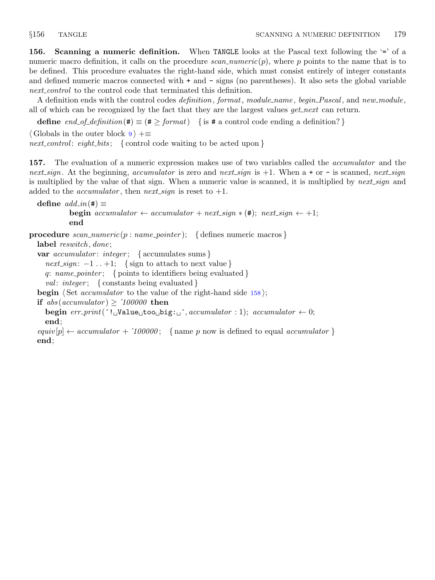<span id="page-54-0"></span>156. Scanning a numeric definition. When TANGLE looks at the Pascal text following the '=' of a numeric macro definition, it calls on the procedure  $scan_number(c(p)$ , where p points to the name that is to be defined. This procedure evaluates the right-hand side, which must consist entirely of integer constants and defined numeric macros connected with + and − signs (no parentheses). It also sets the global variable next control to the control code that terminated this definition.

A definition ends with the control codes *definition*, format, module name, begin Pascal, and new module, all of which can be recognized by the fact that they are the largest values  $get\_next$  can return.

**define** end\_of\_definition( $\sharp$ )  $\equiv$  ( $\sharp$   $\geq$  format) { is  $\sharp$  a control code ending a definition?}

 $\langle$  Globals in the outer block  $9 \rangle + \equiv$  $9 \rangle + \equiv$ 

*next\_control: eight\_bits*; { control code waiting to be acted upon }

157. The evaluation of a numeric expression makes use of two variables called the *accumulator* and the next sign. At the beginning, accumulator is zero and next sign is  $+1$ . When a + or − is scanned, next sign is multiplied by the value of that sign. When a numeric value is scanned, it is multiplied by next sign and added to the *accumulator*, then *next\_sign* is reset to  $+1$ .

```
define add_in(\#) \equivbegin accumulator \leftarrow accumulator + next\_sign * (\textbf{\#}); next\_sign \leftarrow +1;end
```
**procedure** scan numeric(p : name pointer); { defines numeric macros }

label  $resultch, done;$ 

var *accumulator: integer*; { $\{$  accumulates sums}

 $next\_sign: -1...+1; \{ sign to attach to next value \}$ q: name\_pointer; { points to identifiers being evaluated } *val: integer*; { constants being evaluated }

**begin**  $\langle$  Set *accumulator* to the value of the right-hand side [158](#page-55-0) $\rangle$ ;

if abs (accumulator)  $\geq$  '100000 then

begin err print(´! Value too big: ´, accumulator : 1); accumulator ← 0; end;

equiv  $[p] \leftarrow accumulatedor + '100000; \{name p \n} now is defined to equal *accumulator* \}$ end;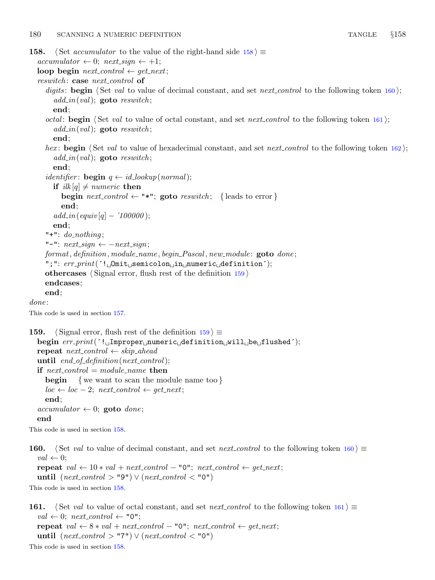```
158. \langle Set accumulator to the value of the right-hand side 158 \rangle \equivaccumulator \leftarrow 0; next\_sign \leftarrow +1;loop begin next_{control} \leftarrow get_{next};reswitch: case next-control of
     digits: begin \langle Set val to value of decimal constant, and set next control to the following token 160 i;
       add_in(val); goto reswitch;
       end;
     octal: begin \langle Set val to value of octal constant, and set next control to the following token 161\rangle;
        add\_in(val); goto reswitch;
       end;
     hex: begin \langle162\rangle;
       add\_in(val); goto reswitch;
       end;
     identifier: begin q \leftarrow id\_lookup(normal);if ilk[q] \neq numeric then
          begin next\_control \leftarrow "*"; goto reswitch; { leads to error }
          end;
       add\_in\left( \text{equiv}\left[ q\right] - 100000\right);end;
     "+": do_nothing;
     "<sup>-"</sup>: next_sign \leftarrow -next_sign;
     format, definition, module_name, begin\_Pascal, new\_module: <b>goto</b> done;";": err\_print( '!
{\sf Limit} comit
{\sf I}semicolon
{\sf un}_{{\sf un}}numeric
{\sf d}efinition ');
     othercases \langle Signal error, flush rest of the definition 159 \rangleendcases;
     end;
done:
This code is used in section 157.
159. Signal error, flush rest of the definition 159 \equivbeginer_{\perp} err_{\perp} \frac{1}{\text{Im}} error_{\perp} numeric_{\perp} definition \text{dim}_{\perp} will \text{dim}_{\perp} flushed´);
  repeat next_{control} \leftarrow skip_{}\}until end_{of\_definition}(next_{control});if next_{control} = module_{name} then
     begin { we want to scan the module name too }
     loc \leftarrow loc - 2; next-control \leftarrow get.next;end;
  accumulator \leftarrow 0; goto done;
  end
This code is used in section 158.
160. (Set val to value of decimal constant, and set next control to the following token 160 i \equiv
```
 $val \leftarrow 0;$ repeat val  $\leftarrow$  10 \* val + next\_control – "0"; next\_control  $\leftarrow$  get\_next; until  $(next_{control} > "9") \vee (next_{control} < "0")$ 

This code is used in section 158.

161. (Set val to value of octal constant, and set next control to the following token  $161$  i ≡  $val \leftarrow 0$ ; next\_control  $\leftarrow$  "0"; repeat val  $\leftarrow$  8 \* val + next\_control – "0"; next\_control  $\leftarrow$  get\_next; until  $(next_{control} > "7") \vee (next_{control} < "0")$ This code is used in section 158.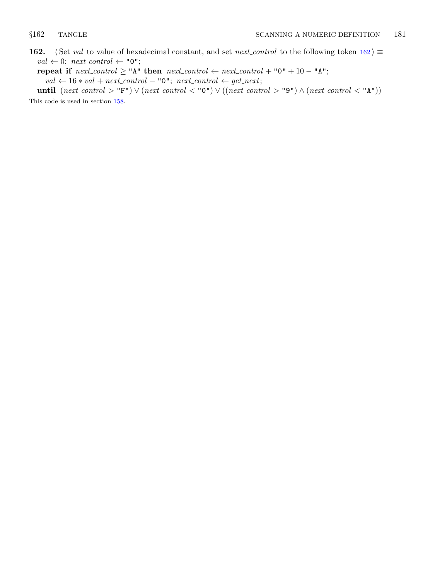<span id="page-56-0"></span>162. Set val to value of hexadecimal constant, and set next control to the following token  $162$  i ≡  $val \leftarrow 0; next\_control \leftarrow "0";$ 

repeat if  $next-control \ge "A"$  then  $next-control \leftarrow next-control + "0" + 10 - "A";$ 

 $val \leftarrow 16 * val + next-control - "0"; \ next-control \leftarrow get.next;$ until  $(next_{control} > "F") \vee (next_{control} < "0") \vee ((next_{control} > "9") \wedge (next_{control} < "A")$ 

This code is used in section [158.](#page-55-0)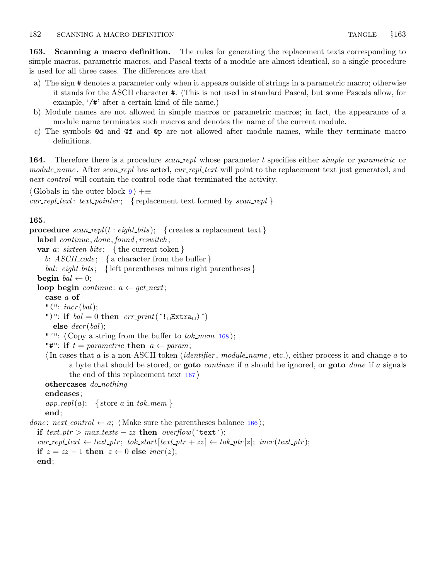<span id="page-57-0"></span>163. Scanning a macro definition. The rules for generating the replacement texts corresponding to simple macros, parametric macros, and Pascal texts of a module are almost identical, so a single procedure is used for all three cases. The differences are that

- a) The sign # denotes a parameter only when it appears outside of strings in a parametric macro; otherwise it stands for the ASCII character #. (This is not used in standard Pascal, but some Pascals allow, for example, '/#' after a certain kind of file name.)
- b) Module names are not allowed in simple macros or parametric macros; in fact, the appearance of a module name terminates such macros and denotes the name of the current module.
- c) The symbols @d and @f and @p are not allowed after module names, while they terminate macro definitions.

**164.** Therefore there is a procedure *scan\_repl* whose parameter t specifies either *simple* or *parametric* or module name. After scan repl has acted, cur repl text will point to the replacement text just generated, and next-control will contain the control code that terminated the activity.

```
\langle9 \rangle +≡
cur\_repl\_text: text\_poster; { replacement text formed by scan\_repl}
```
## 165.

```
procedure scan_repl(t: eight_bits); { creates a replacement text}
  label continue, done, found, reswitch;
  var a: sixteen_bits; { the current token }
    b: ASCH\_{code}; { a character from the buffer }
    bal: \epsilon \text{ right\_bits}; { left parentheses minus right parentheses }
  begin bal \leftarrow 0;
  loop begin continue: a \leftarrow get\_next;
```
case a of

```
"(": \textit{incr}(\textit{bal}):
")": if bal = 0 then err\_print('! Extra ) )
```
else  $decr(bal)$ ;

```
"'": \langle Copy a string from the buffer to tok_mem168\rangle;
```

```
"#": if t = parametric then a \leftarrow param;
```
In cases that a is a non-ASCII token *(identifier, module name, etc.)*, either process it and change a to a byte that should be stored, or **goto** *continue* if a should be ignored, or **goto** done if a signals the end of this replacement text  $167$ 

othercases do nothing

endcases;

 $app\_repl(a);$  {store a in tok\_mem} end;

done: next\_control  $\leftarrow a$ ; (Make sure the parentheses balance [166](#page-58-0));

if  $text\_ptr > max\_texts - zz$  then overflow('text');  $cur\_repl\_text\_ptr; tok\_start|text\_ptr + zz| \leftarrow tok\_ptr|z|; incr(text\_ptr);$ if  $z = zz - 1$  then  $z \leftarrow 0$  else  $\text{incr}(z)$ ; end;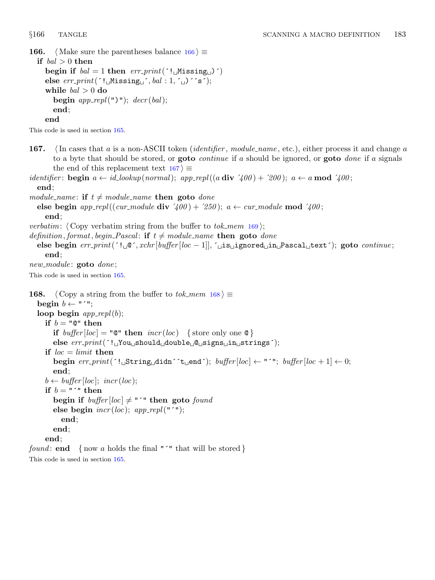```
166. \langle Make sure the parentheses balance 166\rangle \equiv
```

```
if bal > 0 then
  begin if bal = 1 then err\_print('! \Delta N)else err\_print('! \Delta\text{Missing}_\Box \text{A}, bal : 1, \Delta \text{A} \text{B};
  while bal > 0 do
     begin app\_repl(")"); decr(bal);
     end;
  end
```
This code is used in section [165.](#page-57-0)

167. (In cases that a is a non-ASCII token *(identifier, module name, etc.), either process it and change a* to a byte that should be stored, or **goto** *continue* if a should be ignored, or **goto** done if a signals the end of this replacement text  $167$  i ≡

```
identifier: begin a \leftarrow id\_lookup(normal); app_repl((a div '400) + '200); a \leftarrow a \mod 400;
  end;
module_name: if t \neq module_name then goto done
```
else begin app\_repl((cur\_module div '400) + '250); a  $\leftarrow$  cur\_module mod '400; end;

verbatim:  $\langle$  Copy verbatim string from the buffer to tok mem [169](#page-59-0) $\rangle$ ;

definition, format, begin Pascal: if  $t \neq module$ -name then goto done

else begin  $err\_print('![\mathcal{A}^c, xchr[buffer[loc-1]], 'q isq isq inqPaseal_ttext');$  goto continue; end;

 $new_model: \textbf{goto}$  done;

This code is used in section [165.](#page-57-0)

```
168. \langle Copy a string from the buffer to tok_mem 168\rangle \equivbegin b \leftarrow "\cdot";
  loop begin app\_repl(b);if b = "Q" then
        if buffer[loc] = "Q" then <math>incr(loc) {store only one Q}
        else err\_print('!<sub>\cup</sub>You\cupshould\cupdouble\cupQ\cupsigns\cupin\cupstrings');
     if loc = limit then
        begin err\_print('! \text{``String\_didn''t\_end'); buffer [loc] \leftarrow "'"; buffer [loc + 1] \leftarrow 0;
        end;
     b \leftarrow \text{buffer} [\text{loc}]; \ \text{incr} (\text{loc});if b = "'" then
        begin if buffer[loc] \neq " " then go to foundelse begin \text{incr}(\text{loc}); \text{app\_repl}("");
           end;
        end;
     end;
found: end { now a holds the final "\lceil" that will be stored}
```
This code is used in section [165.](#page-57-0)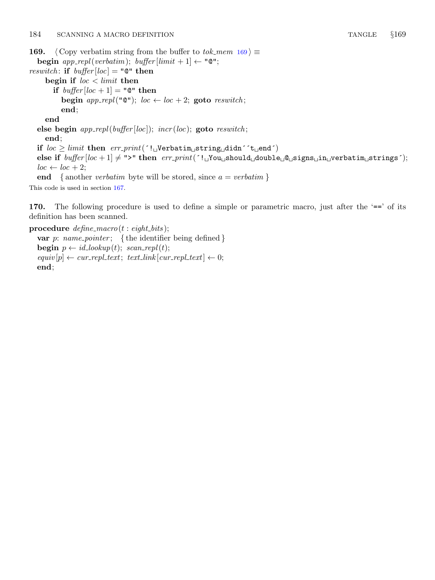<span id="page-59-0"></span>169. (Copy verbatim string from the buffer to tok\_mem  $169$ )  $\equiv$ begin app\_repl(verbatim); buffer[limit + 1]  $\leftarrow$  " $\mathbb{Q}$ "; reswitch: if  $buffer[loc] = "Q" then$ begin if  $loc < limit$  then if  $buffer[loc + 1] = "Q" then$ begin app\_repl(" $\mathbb{Q}$ "); loc  $\leftarrow$  loc + 2; goto reswitch; end; end else begin  $app\_repl(buffer[loc])$ ;  $incr(loc)$ ; goto reswitch; end; if  $loc \geq limit$  then  $err\_print('!$  Verbatim string didn<sup> $rt_{\text{U}}$ </sup>end<sup>\*</sup>) else if  $buffer[loc + 1] \neq ">"$  then  $err\_print('! \cup \text{Sou\_should} \cup double \cup @$ signs $\cup$ in $\cup$ verbatim $\cup$ strings´);  $loc \leftarrow loc + 2;$ end { another *verbatim* byte will be stored, since  $a = verbatim$ } This code is used in section [167.](#page-58-0)

170. The following procedure is used to define a simple or parametric macro, just after the '==' of its definition has been scanned.

procedure  $define\_macro(t : eight\_bits);$ var p: name\_pointer; { the identifier being defined } **begin**  $p \leftarrow id\_lookup(t); scan\_repl(t);$  $equiv[p] \leftarrow cur\_repLtext; text\_link[cur\_repLtext] \leftarrow 0;$ end;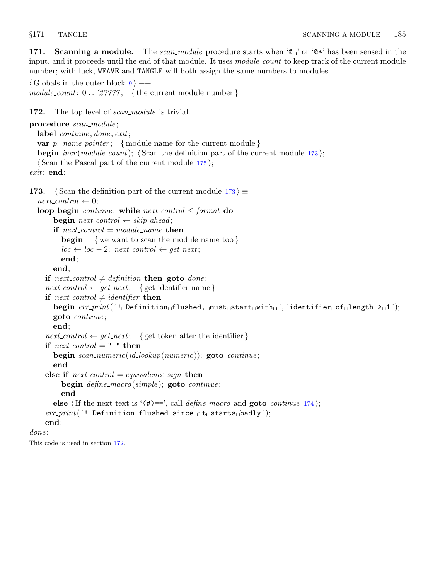<span id="page-60-0"></span>171. Scanning a module. The scan module procedure starts when  $\mathcal{C}_{\mathbb{L}}$  or  $\mathcal{C}$ \*' has been sensed in the input, and it proceeds until the end of that module. It uses *module\_count* to keep track of the current module number; with luck, WEAVE and TANGLE will both assign the same numbers to modules.

 $\langle$  Globals in the outer block  $9 \rangle + \equiv$  $9 \rangle + \equiv$ module\_count:  $0 \ldots$  27777; { the current module number }

## 172. The top level of scan\_module is trivial.

```
procedure scan\_module;
  label continue, done, exit;
  var p: name_pointer; { module name for the current module }
  begin \textit{incr}(\textit{module} \textit{count}); (Scan the definition part of the current module 173);
  \langle175\rangle;
exit: end:
173. (Scan the definition part of the current module 173) \equivnext\_control \leftarrow 0;loop begin continue: while next\_control \leq format do
       begin next_{control} \leftarrow skip_{}\text{ahead};if next_control = module_name then
         begin { we want to scan the module name too }
         loc \leftarrow loc - 2; next-control \leftarrow get.next;end;
       end;
    if next_control \neq definition then goto done;
    next_{control} \leftarrow get_{next}; \{ get \, identifier \, name\}if next control \neq identifier then
       begin err print(´! Definition flushed, must start with ´, ´identifier of length > 1´);
       goto continue ;
       end;
    next-control \leftarrow get.next; \{ get token after the identifier \}if next_{control} = "-" then
       begin scan\_numeric(id\_lookup(numeric)); goto continue;
       end
    else if next_{control} = equivalence\_sign then
         begin define\_macro(simple); goto continue;
         end
       else \langle If the next text is '(#)==', call define macro and goto continue174\rangle;
    err\_print( \lceil l<sub>u</sub>Definition flushed since it starts badly \rceil;
    end;
done:
This code is used in section 172.
```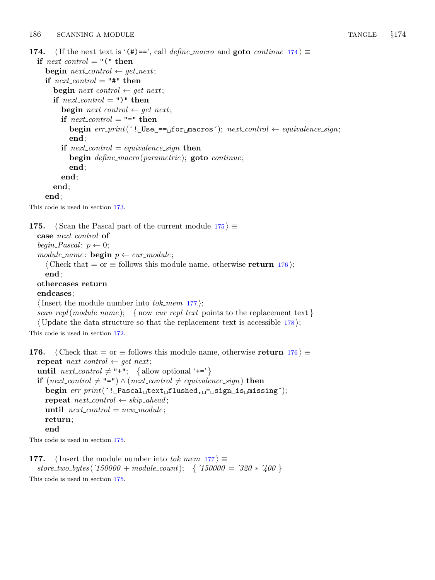```
174. \langle If the next text is '(#)==', call define_macro and goto continue 174\rangle \equivif next\_control = "("then"begin next_{control} \leftarrow get_{next};if next\_control = "#" thenbegin next_control \leftarrow get_next;
       if next\_control = ")" then
           begin next\_control \leftarrow get\_next;if next\_control = "=" thenbegin err\_print('! \cup \text{Use} \cup == \text{for} \text{max} \cup \text{sc}); next\_control \leftarrow equivalence\_sign;end;
          if next-control = equivalence sign then
```

```
begin define macro(parametric); goto continue;
end;
```
end; end;

end;

```
This code is used in section 173.
```

```
175. (Scan the Pascal part of the current module 175) \equiv
```
case next\_control of begin\_Pascal:  $p \leftarrow 0$ ;

module\_name: **begin**  $p \leftarrow cur\_module$ ;

 $\langle$  Check that = or  $\equiv$  follows this module name, otherwise return 176 $\rangle$ ; end;

othercases return

## endcases;

 $\langle$  Insert the module number into tok mem 177 $\rangle$ ;

 $scan\_repl(model_name);$  {now cur-repl-text points to the replacement text} (Update the data structure so that the replacement text is accessible  $178$ ); This code is used in section [172.](#page-60-0)

176.  $\langle$  Check that = or ≡ follows this module name, otherwise return 176 $\rangle \equiv$ repeat  $next_{control} \leftarrow get_{next};$ until  $next-control \neq "+";$  { allow optional '+=' } **if**  $(next_{control ≠ "=") \land (next_{control ≠ equivalent})$  then begin  $err\_print($   $\lceil$   $\cdot \rceil$   $\leq$   $\text{pascal_Utext_U}$  flushed,  $\lceil \cdot \rceil$   $\text{pasing'}$ ; repeat  $next\_control \leftarrow skip\_ahead;$ until  $next\_control = new\_module;$ return; end

This code is used in section 175.

177. (Insert the module number into tok mem 177)  $\equiv$ store\_two\_bytes ('150000 + module\_count); { '150000 = '320  $*$ '400 }

This code is used in section 175.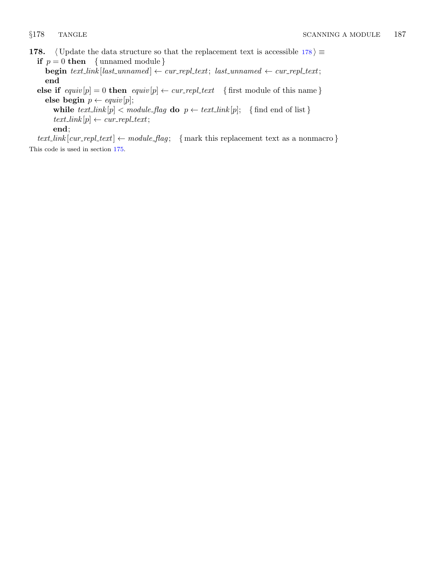<span id="page-62-0"></span>178.  $\langle$  Update the data structure so that the replacement text is accessible 178 $\rangle \equiv$ if  $p = 0$  then { unnamed module }

**begin** text\_link [last\_unnamed]  $\leftarrow$  cur\_repl\_text; last\_unnamed  $\leftarrow$  cur\_repl\_text; end

else if  $equiv[p] = 0$  then  $equiv[p] \leftarrow cur\_repl\_text$  { first module of this name} else begin  $p \leftarrow equiv[p]$ ;

while  $text\_link[p] < module\_flag$  do  $p \leftarrow text\_link[p]$ ; {find end of list}  $text\_link[p] \leftarrow cur\_repl\_text;$ 

end;

text\_link  $[cur\_repl\_text] \leftarrow module\_flag; \{ mark this replacement text as a nonmacro\}$ This code is used in section [175.](#page-61-0)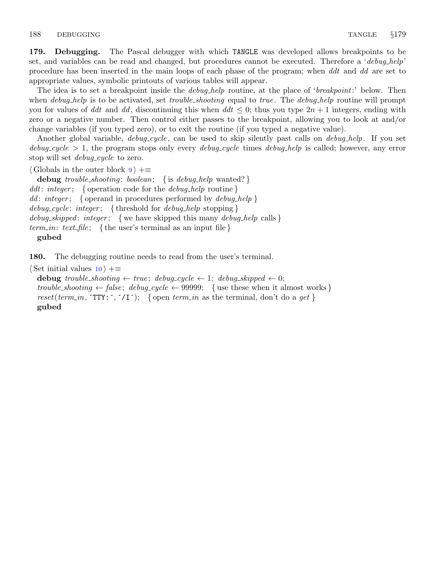<span id="page-63-0"></span>179. Debugging. The Pascal debugger with which TANGLE was developed allows breakpoints to be set, and variables can be read and changed, but procedures cannot be executed. Therefore a 'debug help' procedure has been inserted in the main loops of each phase of the program; when ddt and dd are set to appropriate values, symbolic printouts of various tables will appear.

The idea is to set a breakpoint inside the *debug-help* routine, at the place of '*breakpoint*:' below. Then when *debug-help* is to be activated, set *trouble-shooting* equal to *true*. The *debug-help* routine will prompt you for values of ddt and dd, discontinuing this when  $dd \leq 0$ ; thus you type  $2n + 1$  integers, ending with zero or a negative number. Then control either passes to the breakpoint, allowing you to look at and/or change variables (if you typed zero), or to exit the routine (if you typed a negative value).

Another global variable, *debug-cycle*, can be used to skip silently past calls on *debug-help*. If you set  $debug\_cycle > 1$ , the program stops only every  $debug\_cycle$  times  $debug\_help$  is called; however, any error stop will set *debug\_cycle* to zero.

 $\langle$  Globals in the outer block  $9 \rangle + \equiv$  $9 \rangle + \equiv$ 

debug trouble\_shooting: boolean; { is debug\_help wanted? } ddt: integer; { operation code for the *debug\_help* routine } dd: integer; { operand in procedures performed by  $\text{debug\_help}$  } debug\_cycle: integer; { threshold for debug\_help stopping } debug skipped: integer; { we have skipped this many debug help calls } term in: text file; {the user's terminal as an input file} gubed

180. The debugging routine needs to read from the user's terminal.

 $\langle$  Set initial values [10](#page-3-0)  $\rangle$  +≡

debug trouble\_shooting  $\leftarrow$  true; debug\_cycle  $\leftarrow$  1; debug\_skipped  $\leftarrow$  0; trouble\_shooting  $\leftarrow$  false; debug\_cycle  $\leftarrow$  99999; {use these when it almost works} reset(term\_in,  $\text{TTY}: \text{'I'}$ ; { open term\_in as the terminal, don't do a get } gubed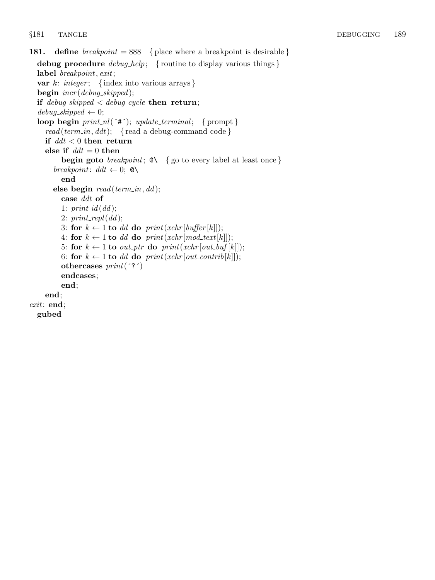```
181. define breakpoint = 888 { place where a breakpoint is desirable }
  debug procedure \text{debug\_help}; { routine to display various things }
  label breakpoint, exit;
  var k: integer; { index into various arrays }
  begin \text{incr}(debug\_skipped);if debug-skipped \langle debug-cycle then return;
  debug\_skipped \leftarrow 0;loop begin print\_nl (*#*); update_terminal; { prompt }
    read(term_in, ddt); {read a debug-command code}
    if ddt < 0 then return
    else if ddt = 0 then
         begin goto breakpoint; \&\setminus\{go to every label at least once }
       breakpoint: ddt \leftarrow 0; \mathbf{Q} \setminusend
       else begin read(term_in, dd);case ddt of
         1: print_id(dd);2: print\_repl(dd);3: for k \leftarrow 1 to dd do print(xchr[buffer[k]]);
         4: for k \leftarrow 1 to dd do print(xchr[mod\_text[k]]);
         5: for k \leftarrow 1 to out_ptr do print(xchr[out_buf[k]]);
         6: for k \leftarrow 1 to dd do print(xchr[out_contrib[k]]);
         othercases print('?')endcases;
         end;
    end;
exit: end;
  gubed
```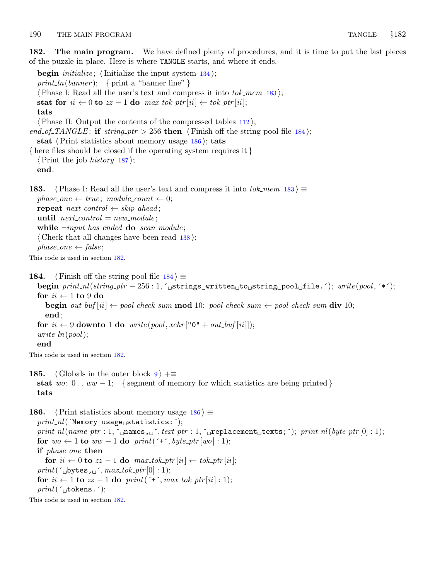<span id="page-65-0"></span>182. The main program. We have defined plenty of procedures, and it is time to put the last pieces of the puzzle in place. Here is where TANGLE starts, and where it ends.

**begin** *initialize*;  $\langle$  Initialize the input system [134](#page-45-0) $\rangle$ ; print\_ln(banner); { print a "banner line" }  $\langle$  Phase I: Read all the user's text and compress it into tok\_mem 183 $\rangle$ ; stat for  $ii \leftarrow 0$  to  $zz - 1$  do  $max\_tok\_ptr[i] \leftarrow tok\_ptr[i];$ tats  $\langle$  Phase II: Output the contents of the compressed tables [112](#page-37-0) $\rangle$ ; end of TANGLE: if string ptr > 256 then  $\langle$  Finish off the string pool file 184 $\rangle$ ; stat  $\langle$  Print statistics about memory usage 186 $\rangle$ ; tats { here files should be closed if the operating system requires it }  $\langle$  Print the job *history* [187](#page-66-0); end. **183.**  $\langle$  Phase I: Read all the user's text and compress it into tok\_mem 183  $\rangle \equiv$  $phase\_one \leftarrow true; module\_count \leftarrow 0;$ 

repeat  $next_{control} \leftarrow skip_{}\text{a}$ until  $next\_control = new\_module;$ while  $\neg input\_has\_ended$  do scan\_module;  $\langle$  Check that all changes have been read [138](#page-46-0) $\rangle$ ;  $phase\_one \leftarrow false;$ 

This code is used in section 182.

```
184. (Finish off the string pool file 184) \equivbegin print_0(\text{string\_ptr} - 256 : 1, \text{``sstrings\_written\_to\_string\_pool\_file~.'}); write (pool, *');for ii \leftarrow 1 to 9 do
     begin out\_buf[i] \leftarrow pool\_check\_sum \text{ mod } 10; pool\_check\_sum \leftarrow pool\_check\_sum \text{ div } 10;end;
  for ii \leftarrow 9 downto 1 do write (pool, xchr ["0" + out_buf [ii]]);
  write\_ln(pool);end
This code is used in section 182.
```
185. (Globals in the outer block  $9$ ) +≡ stat wo:  $0 \ldots ww - 1$ ; { segment of memory for which statistics are being printed } tats

```
186. \langle Print statistics about memory usage 186 \rangle \equivprint\_nl ('Memory usage statistics:');
   print_nl(name\_ptr : 1, \mathcal{L}_names, \mathcal{L}_n, text ptr : 1, \mathcal{L}_nreplacement \mathcal{L}_ntexts; \mathcal{L}_n; print nl(byte\_ptr[0] : 1);
  for wo \leftarrow 1 to ww - 1 do print(\rightarrow \cdot, byte\_ptr[wo]: 1);if phase_one then
      for ii \leftarrow 0 to zz - 1 do max\_tok\_ptr[i] \leftarrow tok\_ptr[i];print(\ulcorner\text{bytes}, \ulcorner, max\_tok\_ptr[0]: 1);for ii \leftarrow 1 to zz - 1 do print(\hat{\tau}^*, max\_tok\_ptr[i] : 1);print(\lceil \cdot \right]tokens.\lceil \cdot \rceil;
This code is used in section 182.
```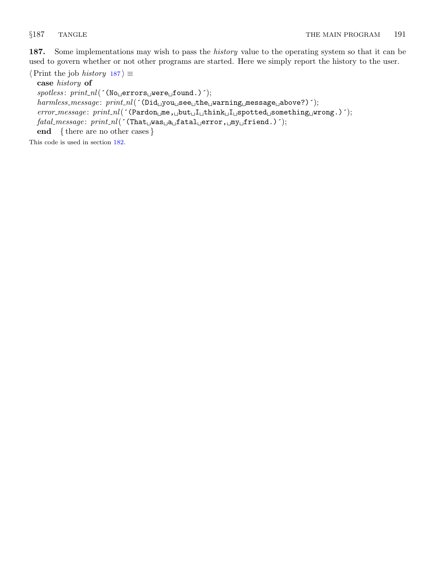<span id="page-66-0"></span>187. Some implementations may wish to pass the history value to the operating system so that it can be used to govern whether or not other programs are started. Here we simply report the history to the user.

 $\langle$  Print the job *history* 187 $\rangle \equiv$ case history of  $spotless: print\_nl($  (No<sub> $\sqcup$ </sub>errors $\sqcup$ were $\sqcup$ found.)  $\land$ );  $harmless_message: print.nl('(Did\_you\_see\_the\_warning\_message\_above?)');$  $error\_message: \; print\_nl( \; '(\texttt{Pardon\_me\_jbut\_I\_think\_I\_sported\_something\_wrong.}) \; ');$  $\mathit{fatal\_message}: \mathit{print\_nl}(\texttt{`(That} \texttt{\_was\_a} \texttt{\_fatal}\_\texttt{`error}, \texttt{\_my\_friend.})\texttt{`});$ end { there are no other cases }

This code is used in section [182.](#page-65-0)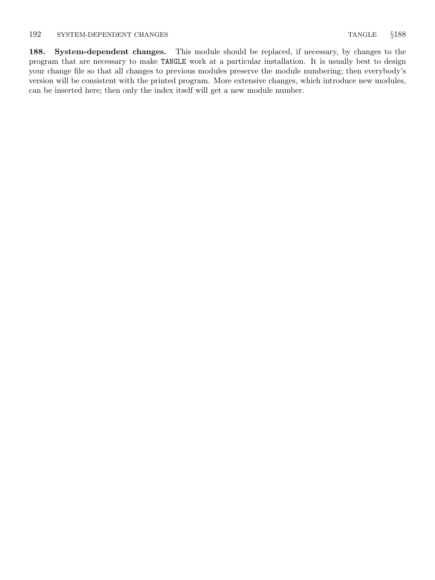<span id="page-67-0"></span>188. System-dependent changes. This module should be replaced, if necessary, by changes to the program that are necessary to make TANGLE work at a particular installation. It is usually best to design your change file so that all changes to previous modules preserve the module numbering; then everybody's version will be consistent with the printed program. More extensive changes, which introduce new modules, can be inserted here; then only the index itself will get a new module number.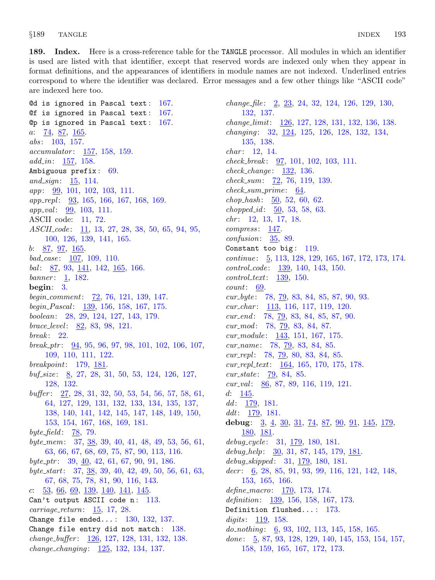189. Index. Here is a cross-reference table for the TANGLE processor. All modules in which an identifier is used are listed with that identifier, except that reserved words are indexed only when they appear in format definitions, and the appearances of identifiers in module names are not indexed. Underlined entries correspond to where the identifier was declared. Error messages and a few other things like "ASCII code" are indexed here too.

Od is ignored in Pascal text:  $167$ . Of is ignored in Pascal text:  $167$ . Op is ignored in Pascal text:  $167$ . a: [74,](#page-23-0) [87,](#page-27-0) [165](#page-57-0). abs: [103,](#page-34-0) [157.](#page-54-0) accumulator: [157](#page-54-0), [158](#page-55-0), [159.](#page-55-0) add<sub>-in:</sub> [157,](#page-54-0) [158](#page-55-0). Ambiguous prefix : [69](#page-21-0). and\_sign: [15,](#page-6-0) [114.](#page-38-0) app: [99](#page-33-0), [101](#page-33-0), [102,](#page-34-0) [103,](#page-34-0) [111](#page-36-0). app repl : [93](#page-29-0), [165,](#page-57-0) [166,](#page-58-0) [167](#page-58-0), [168](#page-58-0), [169.](#page-59-0)  $app\_val$ : [99](#page-33-0), [103,](#page-34-0) [111.](#page-36-0) ASCII code: [11,](#page-4-0) [72](#page-22-0).  $ASCH\_code: \underline{11}, 13, 27, 28, 38, 50, 65, 94, 95,$  $ASCH\_code: \underline{11}, 13, 27, 28, 38, 50, 65, 94, 95,$  $ASCH\_code: \underline{11}, 13, 27, 28, 38, 50, 65, 94, 95,$  $ASCH\_code: \underline{11}, 13, 27, 28, 38, 50, 65, 94, 95,$  $ASCH\_code: \underline{11}, 13, 27, 28, 38, 50, 65, 94, 95,$  $ASCH\_code: \underline{11}, 13, 27, 28, 38, 50, 65, 94, 95,$  $ASCH\_code: \underline{11}, 13, 27, 28, 38, 50, 65, 94, 95,$  $ASCH\_code: \underline{11}, 13, 27, 28, 38, 50, 65, 94, 95,$  $ASCH\_code: \underline{11}, 13, 27, 28, 38, 50, 65, 94, 95,$  $ASCH\_code: \underline{11}, 13, 27, 28, 38, 50, 65, 94, 95,$  $ASCH\_code: \underline{11}, 13, 27, 28, 38, 50, 65, 94, 95,$  $ASCH\_code: \underline{11}, 13, 27, 28, 38, 50, 65, 94, 95,$  $ASCH\_code: \underline{11}, 13, 27, 28, 38, 50, 65, 94, 95,$  $ASCH\_code: \underline{11}, 13, 27, 28, 38, 50, 65, 94, 95,$  $ASCH\_code: \underline{11}, 13, 27, 28, 38, 50, 65, 94, 95,$  $ASCH\_code: \underline{11}, 13, 27, 28, 38, 50, 65, 94, 95,$ [100,](#page-33-0) [126](#page-43-0), [139](#page-47-0), [141,](#page-48-0) [165](#page-57-0). b:  $87, 97, 165$  $87, 97, 165$  $87, 97, 165$  $87, 97, 165$  $87, 97, 165$ .  $bad\_case: \quad \underline{107}, \; 109, \; 110.$  $bad\_case: \quad \underline{107}, \; 109, \; 110.$  $bad\_case: \quad \underline{107}, \; 109, \; 110.$  $bad\_case: \quad \underline{107}, \; 109, \; 110.$ bal:  $87, 93, 141, 142, 165, 166.$  $87, 93, 141, 142, 165, 166.$  $87, 93, 141, 142, 165, 166.$  $87, 93, 141, 142, 165, 166.$  $87, 93, 141, 142, 165, 166.$  $87, 93, 141, 142, 165, 166.$  $87, 93, 141, 142, 165, 166.$  $87, 93, 141, 142, 165, 166.$  $87, 93, 141, 142, 165, 166.$  $87, 93, 141, 142, 165, 166.$  $87, 93, 141, 142, 165, 166.$  $87, 93, 141, 142, 165, 166.$ banner:  $\frac{1}{2}$  $\frac{1}{2}$  $\frac{1}{2}$ , [182](#page-65-0). begin: [3](#page-1-0). begin\_comment:  $\frac{72}{76}$  $\frac{72}{76}$  $\frac{72}{76}$ , [76,](#page-24-0) [121,](#page-41-0) [139](#page-47-0), [147.](#page-51-0) begin Pascal:  $\frac{139}{156}$ , [156,](#page-54-0) [158](#page-55-0), [167](#page-58-0), [175.](#page-61-0) boolean: [28](#page-9-0), [29,](#page-10-0) [124,](#page-43-0) [127,](#page-43-0) [143](#page-50-0), [179](#page-63-0). brace\_level:  $82, 83, 98, 121$  $82, 83, 98, 121$  $82, 83, 98, 121$  $82, 83, 98, 121$  $82, 83, 98, 121$  $82, 83, 98, 121$ .  $break: 22.$  $break: 22.$  $break: 22.$ break ptr:  $94, 95, 96, 97, 98, 101, 102, 106, 107,$  $94, 95, 96, 97, 98, 101, 102, 106, 107,$  $94, 95, 96, 97, 98, 101, 102, 106, 107,$  $94, 95, 96, 97, 98, 101, 102, 106, 107,$  $94, 95, 96, 97, 98, 101, 102, 106, 107,$  $94, 95, 96, 97, 98, 101, 102, 106, 107,$  $94, 95, 96, 97, 98, 101, 102, 106, 107,$  $94, 95, 96, 97, 98, 101, 102, 106, 107,$  $94, 95, 96, 97, 98, 101, 102, 106, 107,$  $94, 95, 96, 97, 98, 101, 102, 106, 107,$  $94, 95, 96, 97, 98, 101, 102, 106, 107,$  $94, 95, 96, 97, 98, 101, 102, 106, 107,$  $94, 95, 96, 97, 98, 101, 102, 106, 107,$  $94, 95, 96, 97, 98, 101, 102, 106, 107,$  $94, 95, 96, 97, 98, 101, 102, 106, 107,$  $94, 95, 96, 97, 98, 101, 102, 106, 107,$  $94, 95, 96, 97, 98, 101, 102, 106, 107,$  $94, 95, 96, 97, 98, 101, 102, 106, 107,$ [109,](#page-36-0) [110](#page-36-0), [111](#page-36-0), [122.](#page-42-0) breakpoint: [179,](#page-63-0) [181](#page-64-0).  $\textit{buf\_size}:$  [8](#page-3-0), [27,](#page-9-0) [28](#page-9-0), [31,](#page-10-0) [50,](#page-15-0) [53](#page-16-0), [124,](#page-43-0) [126](#page-43-0), [127](#page-43-0), [128,](#page-44-0) [132](#page-45-0).  $buffer: 27, 28, 31, 32, 50, 53, 54, 56, 57, 58, 61,$  $buffer: 27, 28, 31, 32, 50, 53, 54, 56, 57, 58, 61,$  $buffer: 27, 28, 31, 32, 50, 53, 54, 56, 57, 58, 61,$  $buffer: 27, 28, 31, 32, 50, 53, 54, 56, 57, 58, 61,$  $buffer: 27, 28, 31, 32, 50, 53, 54, 56, 57, 58, 61,$  $buffer: 27, 28, 31, 32, 50, 53, 54, 56, 57, 58, 61,$  $buffer: 27, 28, 31, 32, 50, 53, 54, 56, 57, 58, 61,$  $buffer: 27, 28, 31, 32, 50, 53, 54, 56, 57, 58, 61,$  $buffer: 27, 28, 31, 32, 50, 53, 54, 56, 57, 58, 61,$  $buffer: 27, 28, 31, 32, 50, 53, 54, 56, 57, 58, 61,$  $buffer: 27, 28, 31, 32, 50, 53, 54, 56, 57, 58, 61,$  $buffer: 27, 28, 31, 32, 50, 53, 54, 56, 57, 58, 61,$  $buffer: 27, 28, 31, 32, 50, 53, 54, 56, 57, 58, 61,$  $buffer: 27, 28, 31, 32, 50, 53, 54, 56, 57, 58, 61,$  $buffer: 27, 28, 31, 32, 50, 53, 54, 56, 57, 58, 61,$  $buffer: 27, 28, 31, 32, 50, 53, 54, 56, 57, 58, 61,$  $buffer: 27, 28, 31, 32, 50, 53, 54, 56, 57, 58, 61,$  $buffer: 27, 28, 31, 32, 50, 53, 54, 56, 57, 58, 61,$  $buffer: 27, 28, 31, 32, 50, 53, 54, 56, 57, 58, 61,$  $buffer: 27, 28, 31, 32, 50, 53, 54, 56, 57, 58, 61,$  $buffer: 27, 28, 31, 32, 50, 53, 54, 56, 57, 58, 61,$  $buffer: 27, 28, 31, 32, 50, 53, 54, 56, 57, 58, 61,$ [64,](#page-19-0) [127](#page-43-0), [129](#page-44-0), [131](#page-44-0), [132,](#page-45-0) [133,](#page-45-0) [134](#page-45-0), [135](#page-46-0), [137](#page-46-0), [138,](#page-46-0) [140,](#page-48-0) [141,](#page-48-0) [142,](#page-49-0) [145,](#page-50-0) [147,](#page-51-0) [148,](#page-51-0) [149](#page-52-0), [150](#page-52-0), [153,](#page-53-0) [154,](#page-53-0) [167,](#page-58-0) [168,](#page-58-0) [169,](#page-59-0) [181.](#page-64-0) byte\_field:  $\frac{78}{79}$  $\frac{78}{79}$  $\frac{78}{79}$ . byte\_mem:  $37, 38, 39, 40, 41, 48, 49, 53, 56, 61,$  $37, 38, 39, 40, 41, 48, 49, 53, 56, 61,$  $37, 38, 39, 40, 41, 48, 49, 53, 56, 61,$  $37, 38, 39, 40, 41, 48, 49, 53, 56, 61,$  $37, 38, 39, 40, 41, 48, 49, 53, 56, 61,$  $37, 38, 39, 40, 41, 48, 49, 53, 56, 61,$  $37, 38, 39, 40, 41, 48, 49, 53, 56, 61,$  $37, 38, 39, 40, 41, 48, 49, 53, 56, 61,$  $37, 38, 39, 40, 41, 48, 49, 53, 56, 61,$  $37, 38, 39, 40, 41, 48, 49, 53, 56, 61,$  $37, 38, 39, 40, 41, 48, 49, 53, 56, 61,$  $37, 38, 39, 40, 41, 48, 49, 53, 56, 61,$  $37, 38, 39, 40, 41, 48, 49, 53, 56, 61,$  $37, 38, 39, 40, 41, 48, 49, 53, 56, 61,$  $37, 38, 39, 40, 41, 48, 49, 53, 56, 61,$  $37, 38, 39, 40, 41, 48, 49, 53, 56, 61,$  $37, 38, 39, 40, 41, 48, 49, 53, 56, 61,$  $37, 38, 39, 40, 41, 48, 49, 53, 56, 61,$  $37, 38, 39, 40, 41, 48, 49, 53, 56, 61,$ [63,](#page-18-0) [66](#page-20-0), [67,](#page-20-0) [68](#page-21-0), [69,](#page-21-0) [75](#page-23-0), [87,](#page-27-0) [90](#page-28-0), [113,](#page-37-0) [116](#page-39-0). byte ptr:  $39, 40, 42, 61, 67, 90, 91, 186$  $39, 40, 42, 61, 67, 90, 91, 186$  $39, 40, 42, 61, 67, 90, 91, 186$  $39, 40, 42, 61, 67, 90, 91, 186$  $39, 40, 42, 61, 67, 90, 91, 186$  $39, 40, 42, 61, 67, 90, 91, 186$  $39, 40, 42, 61, 67, 90, 91, 186$  $39, 40, 42, 61, 67, 90, 91, 186$  $39, 40, 42, 61, 67, 90, 91, 186$  $39, 40, 42, 61, 67, 90, 91, 186$  $39, 40, 42, 61, 67, 90, 91, 186$  $39, 40, 42, 61, 67, 90, 91, 186$  $39, 40, 42, 61, 67, 90, 91, 186$  $39, 40, 42, 61, 67, 90, 91, 186$  $39, 40, 42, 61, 67, 90, 91, 186$ . byte start: [37](#page-12-0), [38,](#page-12-0) [39](#page-12-0), [40,](#page-13-0) [42,](#page-13-0) [49](#page-14-0), [50,](#page-15-0) [56](#page-16-0), [61,](#page-18-0) [63,](#page-18-0) [67,](#page-20-0) [68,](#page-21-0) [75,](#page-23-0) [78,](#page-25-0) [81](#page-25-0), [90](#page-28-0), [116](#page-39-0), [143.](#page-50-0) c:  $\frac{53}{66}$  $\frac{53}{66}$  $\frac{53}{66}$ ,  $\frac{69}{9}$ ,  $\frac{139}{140}$ ,  $\frac{141}{141}$ ,  $\frac{145}{145}$ . Can't output ASCII code n:  $113$ .  $carriage\_return: \underline{15}, 17, 28.$  $carriage\_return: \underline{15}, 17, 28.$  $carriage\_return: \underline{15}, 17, 28.$  $carriage\_return: \underline{15}, 17, 28.$  $carriage\_return: \underline{15}, 17, 28.$  $carriage\_return: \underline{15}, 17, 28.$ Change file ended...:  $130, 132, 137$  $130, 132, 137$  $130, 132, 137$  $130, 132, 137$ . Change file entry did not match:  $138$ .  $change_buffer: \quad \underline{126}, \, 127, \, 128, \, 131, \, 132, \, 138.$  $change_buffer: \quad \underline{126}, \, 127, \, 128, \, 131, \, 132, \, 138.$  $change_buffer: \quad \underline{126}, \, 127, \, 128, \, 131, \, 132, \, 138.$  $change_buffer: \quad \underline{126}, \, 127, \, 128, \, 131, \, 132, \, 138.$  $change_buffer: \quad \underline{126}, \, 127, \, 128, \, 131, \, 132, \, 138.$  $change_buffer: \quad \underline{126}, \, 127, \, 128, \, 131, \, 132, \, 138.$  $change_buffer: \quad \underline{126}, \, 127, \, 128, \, 131, \, 132, \, 138.$  $change_buffer: \quad \underline{126}, \, 127, \, 128, \, 131, \, 132, \, 138.$  $change_buffer: \quad \underline{126}, \, 127, \, 128, \, 131, \, 132, \, 138.$  $change_buffer: \quad \underline{126}, \, 127, \, 128, \, 131, \, 132, \, 138.$  $change_buffer: \quad \underline{126}, \, 127, \, 128, \, 131, \, 132, \, 138.$  $change_buffer: \quad \underline{126}, \, 127, \, 128, \, 131, \, 132, \, 138.$  $change_buffer: \quad \underline{126}, \, 127, \, 128, \, 131, \, 132, \, 138.$ change\_changing: [125](#page-43-0), [132](#page-45-0), [134,](#page-45-0) [137.](#page-46-0)

 $change_{\text{f}}$ ile:  $\frac{2}{3}, \frac{23}{24}, \frac{24}{32}, \frac{124}{126}, \frac{129}{130}, \frac{130}{30}$  $\frac{2}{3}, \frac{23}{24}, \frac{24}{32}, \frac{124}{126}, \frac{129}{130}, \frac{130}{30}$  $\frac{2}{3}, \frac{23}{24}, \frac{24}{32}, \frac{124}{126}, \frac{129}{130}, \frac{130}{30}$  $\frac{2}{3}, \frac{23}{24}, \frac{24}{32}, \frac{124}{126}, \frac{129}{130}, \frac{130}{30}$  $\frac{2}{3}, \frac{23}{24}, \frac{24}{32}, \frac{124}{126}, \frac{129}{130}, \frac{130}{30}$  $\frac{2}{3}, \frac{23}{24}, \frac{24}{32}, \frac{124}{126}, \frac{129}{130}, \frac{130}{30}$  $\frac{2}{3}, \frac{23}{24}, \frac{24}{32}, \frac{124}{126}, \frac{129}{130}, \frac{130}{30}$  $\frac{2}{3}, \frac{23}{24}, \frac{24}{32}, \frac{124}{126}, \frac{129}{130}, \frac{130}{30}$  $\frac{2}{3}, \frac{23}{24}, \frac{24}{32}, \frac{124}{126}, \frac{129}{130}, \frac{130}{30}$  $\frac{2}{3}, \frac{23}{24}, \frac{24}{32}, \frac{124}{126}, \frac{129}{130}, \frac{130}{30}$  $\frac{2}{3}, \frac{23}{24}, \frac{24}{32}, \frac{124}{126}, \frac{129}{130}, \frac{130}{30}$ [132,](#page-45-0) [137.](#page-46-0) change limit: [126](#page-43-0), [127,](#page-43-0) [128,](#page-44-0) [131,](#page-44-0) [132](#page-45-0), [136](#page-46-0), [138.](#page-46-0) changing : [32](#page-11-0), [124](#page-43-0), [125,](#page-43-0) [126,](#page-43-0) [128,](#page-44-0) [132,](#page-45-0) [134](#page-45-0), [135,](#page-46-0) [138.](#page-46-0)  $char: 12, 14.$  $char: 12, 14.$  $char: 12, 14.$  $char: 12, 14.$  $char: 12, 14.$  $check\_break$ :  $97, 101, 102, 103, 111.$  $97, 101, 102, 103, 111.$  $97, 101, 102, 103, 111.$  $97, 101, 102, 103, 111.$  $97, 101, 102, 103, 111.$  $97, 101, 102, 103, 111.$  $97, 101, 102, 103, 111.$  $97, 101, 102, 103, 111.$  $97, 101, 102, 103, 111.$  $97, 101, 102, 103, 111.$  $check\_change: 132, 136.$  $check\_change: 132, 136.$  $check\_change: 132, 136.$  $check\_change: 132, 136.$ check sum: [72](#page-22-0), [76](#page-24-0), [119,](#page-40-0) [139.](#page-47-0)  $check\_sum\_prime$ :  $\underline{64}$ .  $chop\_hash: \quad 50, 52, 60, 62.$  $chop\_hash: \quad 50, 52, 60, 62.$  $chop\_hash: \quad 50, 52, 60, 62.$  $chop\_hash: \quad 50, 52, 60, 62.$  $chop\_hash: \quad 50, 52, 60, 62.$  $chop\_hash: \quad 50, 52, 60, 62.$  $chop\_hash: \quad 50, 52, 60, 62.$  $chop\_hash: \quad 50, 52, 60, 62.$  $chopped_id: 50, 53, 58, 63.$  $chopped_id: 50, 53, 58, 63.$  $chopped_id: 50, 53, 58, 63.$  $chopped_id: 50, 53, 58, 63.$  $chopped_id: 50, 53, 58, 63.$  $chopped_id: 50, 53, 58, 63.$  $chopped_id: 50, 53, 58, 63.$  $chopped_id: 50, 53, 58, 63.$ chr: [12](#page-5-0), [13,](#page-5-0) [17,](#page-7-0) [18](#page-7-0). compress: [147.](#page-51-0) confusion: [35,](#page-11-0) [89.](#page-28-0) Constant too big: [119](#page-40-0). continue : [5,](#page-2-0) [113](#page-37-0), [128](#page-44-0), [129,](#page-44-0) [165](#page-57-0), [167](#page-58-0), [172,](#page-60-0) [173,](#page-60-0) [174](#page-61-0). control code : [139](#page-47-0), [140](#page-48-0), [143](#page-50-0), [150](#page-52-0).  $control\_text: 139, 150.$  $control\_text: 139, 150.$  $control\_text: 139, 150.$  $control\_text: 139, 150.$ count: [69.](#page-21-0)  $\textit{cur}$ -byte: [78](#page-25-0), <u>79</u>, [83](#page-26-0), [84,](#page-26-0) [85,](#page-26-0) [87](#page-27-0), [90,](#page-28-0) [93.](#page-29-0) cur\_char: [113,](#page-37-0) [116,](#page-39-0) [117,](#page-39-0) [119,](#page-40-0) [120.](#page-41-0) cur\_end: [78](#page-25-0), <u>[79](#page-25-0)</u>, [83](#page-26-0), [84,](#page-26-0) [85,](#page-26-0) [87,](#page-27-0) [90](#page-28-0).  $cur_{mod}$ : [78,](#page-25-0) <u>[79](#page-25-0)</u>, [83](#page-26-0), [84,](#page-26-0) [87.](#page-27-0)  $cur_{\text{module}}: \quad \underline{143}, \, 151, \, 167, \, 175.$  $cur_{\text{module}}: \quad \underline{143}, \, 151, \, 167, \, 175.$  $cur_{\text{module}}: \quad \underline{143}, \, 151, \, 167, \, 175.$  $cur_{\text{module}}: \quad \underline{143}, \, 151, \, 167, \, 175.$  $cur_{\text{module}}: \quad \underline{143}, \, 151, \, 167, \, 175.$  $cur_{\text{module}}: \quad \underline{143}, \, 151, \, 167, \, 175.$  $cur_{\text{module}}: \quad \underline{143}, \, 151, \, 167, \, 175.$ cur\_name: [78](#page-25-0), <u>[79](#page-25-0)</u>, [83,](#page-26-0) [84,](#page-26-0) [85.](#page-26-0) cur\_repl: [78,](#page-25-0) [79,](#page-25-0) [80](#page-25-0), [83](#page-26-0), [84](#page-26-0), [85](#page-26-0).  $cur\_repl\_text: 164, 165, 170, 175, 178.$  $cur\_repl\_text: 164, 165, 170, 175, 178.$  $cur\_repl\_text: 164, 165, 170, 175, 178.$  $cur\_repl\_text: 164, 165, 170, 175, 178.$  $cur\_repl\_text: 164, 165, 170, 175, 178.$  $cur\_repl\_text: 164, 165, 170, 175, 178.$  $cur\_repl\_text: 164, 165, 170, 175, 178.$  $cur\_repl\_text: 164, 165, 170, 175, 178.$  $cur\_repl\_text: 164, 165, 170, 175, 178.$  $cur\_repl\_text: 164, 165, 170, 175, 178.$  $cur\_repl\_text: 164, 165, 170, 175, 178.$  $cur\_state: 79, 84, 85.$  $cur\_state: 79, 84, 85.$  $cur\_state: 79, 84, 85.$  $cur\_state: 79, 84, 85.$  $cur\_state: 79, 84, 85.$  $cur\_state: 79, 84, 85.$  $cur\_state: 79, 84, 85.$  $cur\_val$ : <u>[86](#page-26-0)</u>, [87](#page-27-0), [89](#page-28-0), [116,](#page-39-0) [119,](#page-40-0) [121.](#page-41-0)  $d: 145.$  $d: 145.$ dd:  $\frac{179}{181}$  $\frac{179}{181}$  $\frac{179}{181}$  $\frac{179}{181}$  $\frac{179}{181}$ .  $ddt: 179, 181.$  $ddt: 179, 181.$  $ddt: 179, 181.$  $ddt: 179, 181.$ debug:  $3, 4, 30, 31, 74, 87, 90, 91, 145, 179,$  $3, 4, 30, 31, 74, 87, 90, 91, 145, 179,$  $3, 4, 30, 31, 74, 87, 90, 91, 145, 179,$  $3, 4, 30, 31, 74, 87, 90, 91, 145, 179,$  $3, 4, 30, 31, 74, 87, 90, 91, 145, 179,$  $3, 4, 30, 31, 74, 87, 90, 91, 145, 179,$  $3, 4, 30, 31, 74, 87, 90, 91, 145, 179,$  $3, 4, 30, 31, 74, 87, 90, 91, 145, 179,$  $3, 4, 30, 31, 74, 87, 90, 91, 145, 179,$  $3, 4, 30, 31, 74, 87, 90, 91, 145, 179,$  $3, 4, 30, 31, 74, 87, 90, 91, 145, 179,$  $3, 4, 30, 31, 74, 87, 90, 91, 145, 179,$  $3, 4, 30, 31, 74, 87, 90, 91, 145, 179,$  $3, 4, 30, 31, 74, 87, 90, 91, 145, 179,$  $3, 4, 30, 31, 74, 87, 90, 91, 145, 179,$  $3, 4, 30, 31, 74, 87, 90, 91, 145, 179,$  $3, 4, 30, 31, 74, 87, 90, 91, 145, 179,$  $3, 4, 30, 31, 74, 87, 90, 91, 145, 179,$  $3, 4, 30, 31, 74, 87, 90, 91, 145, 179,$ <u>[180,](#page-63-0) 181</u>.  $debug\_cycle$ : [31,](#page-10-0)  $\frac{179}{180}$  $\frac{179}{180}$  $\frac{179}{180}$ , 180, [181](#page-64-0). debug\_help:  $\frac{30}{31}$ , [87](#page-27-0), [145](#page-50-0), [179,](#page-63-0) [181.](#page-64-0) debug\_skipped:  $31, 179, 180, 181$  $31, 179, 180, 181$  $31, 179, 180, 181$  $31, 179, 180, 181$  $31, 179, 180, 181$  $31, 179, 180, 181$ .  $decr: \underline{6}, 28, 85, 91, 93, 99, 116, 121, 142, 148,$  $decr: \underline{6}, 28, 85, 91, 93, 99, 116, 121, 142, 148,$  $decr: \underline{6}, 28, 85, 91, 93, 99, 116, 121, 142, 148,$  $decr: \underline{6}, 28, 85, 91, 93, 99, 116, 121, 142, 148,$  $decr: \underline{6}, 28, 85, 91, 93, 99, 116, 121, 142, 148,$  $decr: \underline{6}, 28, 85, 91, 93, 99, 116, 121, 142, 148,$  $decr: \underline{6}, 28, 85, 91, 93, 99, 116, 121, 142, 148,$  $decr: \underline{6}, 28, 85, 91, 93, 99, 116, 121, 142, 148,$  $decr: \underline{6}, 28, 85, 91, 93, 99, 116, 121, 142, 148,$  $decr: \underline{6}, 28, 85, 91, 93, 99, 116, 121, 142, 148,$  $decr: \underline{6}, 28, 85, 91, 93, 99, 116, 121, 142, 148,$  $decr: \underline{6}, 28, 85, 91, 93, 99, 116, 121, 142, 148,$  $decr: \underline{6}, 28, 85, 91, 93, 99, 116, 121, 142, 148,$  $decr: \underline{6}, 28, 85, 91, 93, 99, 116, 121, 142, 148,$  $decr: \underline{6}, 28, 85, 91, 93, 99, 116, 121, 142, 148,$  $decr: \underline{6}, 28, 85, 91, 93, 99, 116, 121, 142, 148,$  $decr: \underline{6}, 28, 85, 91, 93, 99, 116, 121, 142, 148,$  $decr: \underline{6}, 28, 85, 91, 93, 99, 116, 121, 142, 148,$  $decr: \underline{6}, 28, 85, 91, 93, 99, 116, 121, 142, 148,$  $decr: \underline{6}, 28, 85, 91, 93, 99, 116, 121, 142, 148,$  $decr: \underline{6}, 28, 85, 91, 93, 99, 116, 121, 142, 148,$ [153,](#page-53-0) [165,](#page-57-0) [166.](#page-58-0) define\_macro: [170,](#page-59-0) [173,](#page-60-0) [174.](#page-61-0) definition: [139,](#page-47-0) [156,](#page-54-0) [158,](#page-55-0) [167](#page-58-0), [173](#page-60-0). Definition flushed... : [173.](#page-60-0) digits:  $119, 158$  $119, 158$  $119, 158$ .  $do\_nothing$ :  $\underline{6}$  $\underline{6}$  $\underline{6}$ , [93,](#page-29-0) [102](#page-34-0), [113,](#page-37-0) [145](#page-50-0), [158,](#page-55-0) [165.](#page-57-0) done:  $\frac{5}{9}$  $\frac{5}{9}$  $\frac{5}{9}$ , [87](#page-27-0), [93,](#page-29-0) [128,](#page-44-0) [129,](#page-44-0) [140](#page-48-0), [145](#page-50-0), [153](#page-53-0), [154,](#page-53-0) [157,](#page-54-0) [158,](#page-55-0) [159,](#page-55-0) [165,](#page-57-0) [167,](#page-58-0) [172,](#page-60-0) [173.](#page-60-0)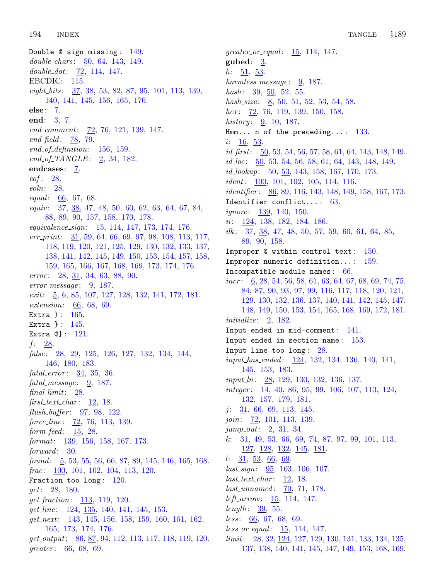Double @ sign missing : [149.](#page-52-0)  $double\_chars: 50, 64, 143, 149.$  $double\_chars: 50, 64, 143, 149.$  $double\_chars: 50, 64, 143, 149.$  $double\_chars: 50, 64, 143, 149.$  $double\_chars: 50, 64, 143, 149.$  $double\_chars: 50, 64, 143, 149.$  $double\_chars: 50, 64, 143, 149.$  $double\_chars: 50, 64, 143, 149.$  $double\_chars: 50, 64, 143, 149.$ double dot: [72,](#page-22-0) [114,](#page-38-0) [147](#page-51-0). EBCDIC: [115](#page-38-0).  $eight\_bits: \quad \underline{37}, \, 38, \, 53, \, 82, \, 87, \, 95, \, 101, \, 113, \, 139,$  $eight\_bits: \quad \underline{37}, \, 38, \, 53, \, 82, \, 87, \, 95, \, 101, \, 113, \, 139,$  $eight\_bits: \quad \underline{37}, \, 38, \, 53, \, 82, \, 87, \, 95, \, 101, \, 113, \, 139,$  $eight\_bits: \quad \underline{37}, \, 38, \, 53, \, 82, \, 87, \, 95, \, 101, \, 113, \, 139,$  $eight\_bits: \quad \underline{37}, \, 38, \, 53, \, 82, \, 87, \, 95, \, 101, \, 113, \, 139,$  $eight\_bits: \quad \underline{37}, \, 38, \, 53, \, 82, \, 87, \, 95, \, 101, \, 113, \, 139,$  $eight\_bits: \quad \underline{37}, \, 38, \, 53, \, 82, \, 87, \, 95, \, 101, \, 113, \, 139,$  $eight\_bits: \quad \underline{37}, \, 38, \, 53, \, 82, \, 87, \, 95, \, 101, \, 113, \, 139,$  $eight\_bits: \quad \underline{37}, \, 38, \, 53, \, 82, \, 87, \, 95, \, 101, \, 113, \, 139,$  $eight\_bits: \quad \underline{37}, \, 38, \, 53, \, 82, \, 87, \, 95, \, 101, \, 113, \, 139,$  $eight\_bits: \quad \underline{37}, \, 38, \, 53, \, 82, \, 87, \, 95, \, 101, \, 113, \, 139,$  $eight\_bits: \quad \underline{37}, \, 38, \, 53, \, 82, \, 87, \, 95, \, 101, \, 113, \, 139,$  $eight\_bits: \quad \underline{37}, \, 38, \, 53, \, 82, \, 87, \, 95, \, 101, \, 113, \, 139,$  $eight\_bits: \quad \underline{37}, \, 38, \, 53, \, 82, \, 87, \, 95, \, 101, \, 113, \, 139,$  $eight\_bits: \quad \underline{37}, \, 38, \, 53, \, 82, \, 87, \, 95, \, 101, \, 113, \, 139,$  $eight\_bits: \quad \underline{37}, \, 38, \, 53, \, 82, \, 87, \, 95, \, 101, \, 113, \, 139,$  $eight\_bits: \quad \underline{37}, \, 38, \, 53, \, 82, \, 87, \, 95, \, 101, \, 113, \, 139,$  $eight\_bits: \quad \underline{37}, \, 38, \, 53, \, 82, \, 87, \, 95, \, 101, \, 113, \, 139,$ [140,](#page-48-0) [141,](#page-48-0) [145,](#page-50-0) [156,](#page-54-0) [165,](#page-57-0) [170.](#page-59-0) else: [7](#page-2-0). end: [3](#page-1-0), [7.](#page-2-0) end\_comment:  $\overline{72}$  $\overline{72}$  $\overline{72}$ , [76,](#page-24-0) [121,](#page-41-0) [139](#page-47-0), [147](#page-51-0). end field:  $78, 79$  $78, 79$ . end of definition:  $156, 159$  $156, 159$  $156, 159$ .  $end\_of\_TANCE:$  [2](#page-1-0), [34](#page-11-0), [182](#page-65-0). endcases: [7](#page-2-0).  $eof: 28$ . eoln: [28](#page-9-0). equal:  $66, 67, 68$  $66, 67, 68$  $66, 67, 68$  $66, 67, 68$ . equiv: [37,](#page-12-0) [38,](#page-12-0) [47](#page-14-0), [48](#page-14-0), [50,](#page-15-0) [60,](#page-17-0) [62](#page-18-0), [63,](#page-18-0) [64,](#page-19-0) [67](#page-20-0), [84](#page-26-0), [88,](#page-27-0) [89,](#page-28-0) [90,](#page-28-0) [157,](#page-54-0) [158,](#page-55-0) [170,](#page-59-0) [178.](#page-62-0) equivalence sign: [15](#page-6-0), [114](#page-38-0), [147,](#page-51-0) [173](#page-60-0), [174](#page-61-0), [176.](#page-61-0) err print: [31](#page-10-0), [59](#page-17-0), [64](#page-19-0), [66](#page-20-0), [69](#page-21-0), [97](#page-32-0), [98](#page-32-0), [108](#page-35-0), [113](#page-37-0), [117](#page-39-0), [118,](#page-39-0) [119,](#page-40-0) [120](#page-41-0), [121](#page-41-0), [125,](#page-43-0) [129](#page-44-0), [130](#page-44-0), [132,](#page-45-0) [133,](#page-45-0) [137](#page-46-0), [138,](#page-46-0) [141,](#page-48-0) [142](#page-49-0), [145](#page-50-0), [149,](#page-52-0) [150](#page-52-0), [153](#page-53-0), [154,](#page-53-0) [157,](#page-54-0) [158](#page-55-0), [159,](#page-55-0) [165](#page-57-0), [166](#page-58-0), [167,](#page-58-0) [168,](#page-58-0) [169](#page-59-0), [173](#page-60-0), [174,](#page-61-0) [176.](#page-61-0) error : [28](#page-9-0), [31](#page-10-0), [34](#page-11-0), [63,](#page-18-0) [88,](#page-27-0) [90](#page-28-0). error message:  $9, 187$  $9, 187$  $9, 187$ .  $exit: \underline{5}, 6, 85, 107, 127, 128, 132, 141, 172, 181.$  $exit: \underline{5}, 6, 85, 107, 127, 128, 132, 141, 172, 181.$  $exit: \underline{5}, 6, 85, 107, 127, 128, 132, 141, 172, 181.$  $exit: \underline{5}, 6, 85, 107, 127, 128, 132, 141, 172, 181.$  $exit: \underline{5}, 6, 85, 107, 127, 128, 132, 141, 172, 181.$  $exit: \underline{5}, 6, 85, 107, 127, 128, 132, 141, 172, 181.$  $exit: \underline{5}, 6, 85, 107, 127, 128, 132, 141, 172, 181.$  $exit: \underline{5}, 6, 85, 107, 127, 128, 132, 141, 172, 181.$  $exit: \underline{5}, 6, 85, 107, 127, 128, 132, 141, 172, 181.$  $exit: \underline{5}, 6, 85, 107, 127, 128, 132, 141, 172, 181.$  $exit: \underline{5}, 6, 85, 107, 127, 128, 132, 141, 172, 181.$  $exit: \underline{5}, 6, 85, 107, 127, 128, 132, 141, 172, 181.$  $exit: \underline{5}, 6, 85, 107, 127, 128, 132, 141, 172, 181.$  $exit: \underline{5}, 6, 85, 107, 127, 128, 132, 141, 172, 181.$  $exit: \underline{5}, 6, 85, 107, 127, 128, 132, 141, 172, 181.$  $exit: \underline{5}, 6, 85, 107, 127, 128, 132, 141, 172, 181.$  $exit: \underline{5}, 6, 85, 107, 127, 128, 132, 141, 172, 181.$ extension: [66](#page-20-0), [68](#page-21-0), [69.](#page-21-0) Extra  $): 165.$  $): 165.$  $): 165.$ Extra } : [145](#page-50-0). Extra @} : [121.](#page-41-0)  $f: \quad 28.$  $f: \quad 28.$ false: [28](#page-9-0), [29](#page-10-0), [125](#page-43-0), [126](#page-43-0), [127,](#page-43-0) [132,](#page-45-0) [134,](#page-45-0) [144,](#page-50-0) [146,](#page-51-0) [180,](#page-63-0) [183.](#page-65-0)  $fatal_error: 34, 35, 36.$  $fatal_error: 34, 35, 36.$  $fatal_error: 34, 35, 36.$  $fatal_error: 34, 35, 36.$  $fatal_error: 34, 35, 36.$  $fatal_error: 34, 35, 36.$  $fatal_message: 9, 187.$  $fatal_message: 9, 187.$  $fatal_message: 9, 187.$  $fatal_message: 9, 187.$  $fatal_message: 9, 187.$  $final$ *limit*:  $28$ . first text char:  $12$ , [18](#page-7-0). flush\_buffer:  $97, 98, 122$  $97, 98, 122$  $97, 98, 122$  $97, 98, 122$  $97, 98, 122$ . force\_line: [72,](#page-22-0) [76](#page-24-0), [113](#page-37-0), [139.](#page-47-0)  $form\_feed:$  [15,](#page-6-0) [28.](#page-9-0) format: [139](#page-47-0), [156](#page-54-0), [158](#page-55-0), [167](#page-58-0), [173](#page-60-0). forward: [30](#page-10-0). found:  $\overline{5}$  $\overline{5}$  $\overline{5}$ , [53](#page-16-0), [55](#page-16-0), [56,](#page-16-0) [66,](#page-20-0) [87](#page-27-0), [89](#page-28-0), [145,](#page-50-0) [146,](#page-51-0) [165](#page-57-0), [168](#page-58-0). frac: [100](#page-33-0), [101](#page-33-0), [102,](#page-34-0) [104,](#page-34-0) [113,](#page-37-0) [120.](#page-41-0) Fraction too long:  $120$ . get: [28,](#page-9-0) [180.](#page-63-0) get fraction: [113,](#page-37-0) [119,](#page-40-0) [120](#page-41-0). get\_line: [124,](#page-43-0) [135,](#page-46-0) [140](#page-48-0), [141,](#page-48-0) [145,](#page-50-0) [153](#page-53-0).  $get.next: 143, 145, 156, 158, 159, 160, 161, 162,$  $get.next: 143, 145, 156, 158, 159, 160, 161, 162,$  $get.next: 143, 145, 156, 158, 159, 160, 161, 162,$  $get.next: 143, 145, 156, 158, 159, 160, 161, 162,$  $get.next: 143, 145, 156, 158, 159, 160, 161, 162,$  $get.next: 143, 145, 156, 158, 159, 160, 161, 162,$  $get.next: 143, 145, 156, 158, 159, 160, 161, 162,$  $get.next: 143, 145, 156, 158, 159, 160, 161, 162,$  $get.next: 143, 145, 156, 158, 159, 160, 161, 162,$  $get.next: 143, 145, 156, 158, 159, 160, 161, 162,$  $get.next: 143, 145, 156, 158, 159, 160, 161, 162,$  $get.next: 143, 145, 156, 158, 159, 160, 161, 162,$  $get.next: 143, 145, 156, 158, 159, 160, 161, 162,$  $get.next: 143, 145, 156, 158, 159, 160, 161, 162,$  $get.next: 143, 145, 156, 158, 159, 160, 161, 162,$  $get.next: 143, 145, 156, 158, 159, 160, 161, 162,$ [165,](#page-57-0) [173](#page-60-0), [174](#page-61-0), [176.](#page-61-0) get output: [86,](#page-26-0) [87](#page-27-0), [94,](#page-30-0) [112](#page-37-0), [113,](#page-37-0) [117,](#page-39-0) [118](#page-39-0), [119,](#page-40-0) [120](#page-41-0). greater: [66,](#page-20-0) [68,](#page-21-0) [69](#page-21-0).

 $greater_0$ r equal:  $\frac{15}{15}$ , [114](#page-38-0), [147](#page-51-0). gubed: [3.](#page-1-0) *h*:  $51, 53$  $51, 53$ . harmless\_message:  $\frac{9}{2}$ , [187.](#page-66-0) *hash*:  $39, 50, 52, 55$  $39, 50, 52, 55$  $39, 50, 52, 55$  $39, 50, 52, 55$  $39, 50, 52, 55$  $39, 50, 52, 55$  $39, 50, 52, 55$ . hash\_size:  $8, 50, 51, 52, 53, 54, 58$  $8, 50, 51, 52, 53, 54, 58$  $8, 50, 51, 52, 53, 54, 58$  $8, 50, 51, 52, 53, 54, 58$  $8, 50, 51, 52, 53, 54, 58$  $8, 50, 51, 52, 53, 54, 58$  $8, 50, 51, 52, 53, 54, 58$  $8, 50, 51, 52, 53, 54, 58$  $8, 50, 51, 52, 53, 54, 58$  $8, 50, 51, 52, 53, 54, 58$  $8, 50, 51, 52, 53, 54, 58$  $8, 50, 51, 52, 53, 54, 58$ . hex:  $\frac{72}{76}$ , [76,](#page-24-0) [119,](#page-40-0) [139,](#page-47-0) [150,](#page-52-0) [158.](#page-55-0) *history*:  $\frac{9}{20}$ , [10](#page-3-0), [187](#page-66-0). Hmm... n of the preceding...:  $133$ . i: [16](#page-7-0), [53](#page-16-0). id first: [50](#page-15-0), [53](#page-16-0), [54,](#page-16-0) [56](#page-16-0), [57](#page-17-0), [58,](#page-17-0) [61](#page-18-0), [64](#page-19-0), [143,](#page-50-0) [148,](#page-51-0) [149](#page-52-0).  $id\_loc: 50, 53, 54, 56, 58, 61, 64, 143, 148, 149.$  $id\_loc: 50, 53, 54, 56, 58, 61, 64, 143, 148, 149.$  $id\_loc: 50, 53, 54, 56, 58, 61, 64, 143, 148, 149.$  $id\_loc: 50, 53, 54, 56, 58, 61, 64, 143, 148, 149.$  $id\_loc: 50, 53, 54, 56, 58, 61, 64, 143, 148, 149.$  $id\_loc: 50, 53, 54, 56, 58, 61, 64, 143, 148, 149.$  $id\_loc: 50, 53, 54, 56, 58, 61, 64, 143, 148, 149.$  $id\_loc: 50, 53, 54, 56, 58, 61, 64, 143, 148, 149.$  $id\_loc: 50, 53, 54, 56, 58, 61, 64, 143, 148, 149.$  $id\_loc: 50, 53, 54, 56, 58, 61, 64, 143, 148, 149.$  $id\_loc: 50, 53, 54, 56, 58, 61, 64, 143, 148, 149.$  $id\_loc: 50, 53, 54, 56, 58, 61, 64, 143, 148, 149.$  $id\_loc: 50, 53, 54, 56, 58, 61, 64, 143, 148, 149.$  $id\_loc: 50, 53, 54, 56, 58, 61, 64, 143, 148, 149.$  $id\_loc: 50, 53, 54, 56, 58, 61, 64, 143, 148, 149.$  $id\_loc: 50, 53, 54, 56, 58, 61, 64, 143, 148, 149.$  $id\_loc: 50, 53, 54, 56, 58, 61, 64, 143, 148, 149.$  $id\_loc: 50, 53, 54, 56, 58, 61, 64, 143, 148, 149.$  $id\_loc: 50, 53, 54, 56, 58, 61, 64, 143, 148, 149.$  $id\_loc: 50, 53, 54, 56, 58, 61, 64, 143, 148, 149.$  $id\_loc: 50, 53, 54, 56, 58, 61, 64, 143, 148, 149.$ id lookup: [50,](#page-15-0) [53](#page-16-0), [143,](#page-50-0) [158](#page-55-0), [167,](#page-58-0) [170](#page-59-0), [173.](#page-60-0) *ident*:  $\frac{100}{101}$ ,  $\frac{101}{102}$  $\frac{101}{102}$  $\frac{101}{102}$ ,  $\frac{105}{114}$  $\frac{105}{114}$  $\frac{105}{114}$  $\frac{105}{114}$  $\frac{105}{114}$ ,  $\frac{116}{106}$ . *identifier*:  $\underline{86}$  $\underline{86}$  $\underline{86}$ , [89,](#page-28-0) [116](#page-39-0), [143](#page-50-0), [148,](#page-51-0) [149](#page-52-0), [158,](#page-55-0) [167,](#page-58-0) [173](#page-60-0). Identifier conflict... : [63.](#page-18-0) *ignore*:  $139, 140, 150$  $139, 140, 150$  $139, 140, 150$  $139, 140, 150$ . *ii*:  $124$ , [138,](#page-46-0) [182,](#page-65-0) [184](#page-65-0), [186](#page-65-0). ilk: [37](#page-12-0), [38,](#page-12-0) [47,](#page-14-0) [48](#page-14-0), [50](#page-15-0), [57,](#page-17-0) [59,](#page-17-0) [60](#page-17-0), [61](#page-18-0), [64,](#page-19-0) [85,](#page-26-0) [89,](#page-28-0) [90,](#page-28-0) [158.](#page-55-0) Improper  $@$  within control text:  $150$ . Improper numeric definition... : [159.](#page-55-0) Incompatible module names : [66.](#page-20-0)  $incr$ : [6,](#page-2-0) [28](#page-9-0), [54](#page-16-0), [56,](#page-16-0) [58](#page-17-0), [61,](#page-18-0) [63,](#page-18-0) [64](#page-19-0), [67,](#page-20-0) [68](#page-21-0), [69](#page-21-0), [74,](#page-23-0) [75](#page-23-0), [84,](#page-26-0) [87](#page-27-0), [90](#page-28-0), [93,](#page-29-0) [97](#page-32-0), [99](#page-33-0), [116,](#page-39-0) [117](#page-39-0), [118](#page-39-0), [120,](#page-41-0) [121,](#page-41-0) [129,](#page-44-0) [130,](#page-44-0) [132](#page-45-0), [136,](#page-46-0) [137,](#page-46-0) [140](#page-48-0), [141](#page-48-0), [142,](#page-49-0) [145,](#page-50-0) [147](#page-51-0), [148,](#page-51-0) [149,](#page-52-0) [150](#page-52-0), [153,](#page-53-0) [154,](#page-53-0) [165](#page-57-0), [168](#page-58-0), [169,](#page-59-0) [172,](#page-60-0) [181](#page-64-0). initialize:  $2, 182$  $2, 182$  $2, 182$ . Input ended in mid−comment : [141.](#page-48-0) Input ended in section name : [153.](#page-53-0) Input line too long : [28](#page-9-0). input has ended : [124,](#page-43-0) [132,](#page-45-0) [134,](#page-45-0) [136,](#page-46-0) [140](#page-48-0), [141](#page-48-0), [145,](#page-50-0) [153,](#page-53-0) [183.](#page-65-0) input<sub>-</sub>ln: [28](#page-9-0), [129,](#page-44-0) [130,](#page-44-0) [132](#page-45-0), [136](#page-46-0), [137.](#page-46-0) integer : [14,](#page-6-0) [40,](#page-13-0) [86,](#page-26-0) [95,](#page-31-0) [99,](#page-33-0) [106,](#page-35-0) [107,](#page-35-0) [113,](#page-37-0) [124,](#page-43-0) [132,](#page-45-0) [157](#page-54-0), [179,](#page-63-0) [181.](#page-64-0) j:  $31, 66, 69, 113, 145$  $31, 66, 69, 113, 145$  $31, 66, 69, 113, 145$  $31, 66, 69, 113, 145$  $31, 66, 69, 113, 145$  $31, 66, 69, 113, 145$  $31, 66, 69, 113, 145$  $31, 66, 69, 113, 145$  $31, 66, 69, 113, 145$ . join: [72,](#page-22-0) [101](#page-33-0), [113,](#page-37-0) [139](#page-47-0). jump\_out: [2](#page-1-0), [31,](#page-10-0) [34.](#page-11-0)  $k: \quad \underline{31}, \, \underline{49}, \, \underline{53}, \, \underline{66}, \, \underline{69}, \, \underline{74}, \, \underline{87}, \, \underline{97}, \, \underline{99}, \, \underline{101}, \, \underline{113},$  $k: \quad \underline{31}, \, \underline{49}, \, \underline{53}, \, \underline{66}, \, \underline{69}, \, \underline{74}, \, \underline{87}, \, \underline{97}, \, \underline{99}, \, \underline{101}, \, \underline{113},$  $k: \quad \underline{31}, \, \underline{49}, \, \underline{53}, \, \underline{66}, \, \underline{69}, \, \underline{74}, \, \underline{87}, \, \underline{97}, \, \underline{99}, \, \underline{101}, \, \underline{113},$  $k: \quad \underline{31}, \, \underline{49}, \, \underline{53}, \, \underline{66}, \, \underline{69}, \, \underline{74}, \, \underline{87}, \, \underline{97}, \, \underline{99}, \, \underline{101}, \, \underline{113},$  $k: \quad \underline{31}, \, \underline{49}, \, \underline{53}, \, \underline{66}, \, \underline{69}, \, \underline{74}, \, \underline{87}, \, \underline{97}, \, \underline{99}, \, \underline{101}, \, \underline{113},$  $k: \quad \underline{31}, \, \underline{49}, \, \underline{53}, \, \underline{66}, \, \underline{69}, \, \underline{74}, \, \underline{87}, \, \underline{97}, \, \underline{99}, \, \underline{101}, \, \underline{113},$  $k: \quad \underline{31}, \, \underline{49}, \, \underline{53}, \, \underline{66}, \, \underline{69}, \, \underline{74}, \, \underline{87}, \, \underline{97}, \, \underline{99}, \, \underline{101}, \, \underline{113},$  $k: \quad \underline{31}, \, \underline{49}, \, \underline{53}, \, \underline{66}, \, \underline{69}, \, \underline{74}, \, \underline{87}, \, \underline{97}, \, \underline{99}, \, \underline{101}, \, \underline{113},$  $k: \quad \underline{31}, \, \underline{49}, \, \underline{53}, \, \underline{66}, \, \underline{69}, \, \underline{74}, \, \underline{87}, \, \underline{97}, \, \underline{99}, \, \underline{101}, \, \underline{113},$  $k: \quad \underline{31}, \, \underline{49}, \, \underline{53}, \, \underline{66}, \, \underline{69}, \, \underline{74}, \, \underline{87}, \, \underline{97}, \, \underline{99}, \, \underline{101}, \, \underline{113},$  $k: \quad \underline{31}, \, \underline{49}, \, \underline{53}, \, \underline{66}, \, \underline{69}, \, \underline{74}, \, \underline{87}, \, \underline{97}, \, \underline{99}, \, \underline{101}, \, \underline{113},$ [127,](#page-43-0) [128](#page-44-0), [132](#page-45-0), [145,](#page-50-0) [181](#page-64-0).  $l: \frac{31}{2}, \frac{53}{2}, \frac{66}{2}.$  $last\_sign: 95, 103, 106, 107.$  $last\_sign: 95, 103, 106, 107.$  $last\_sign: 95, 103, 106, 107.$  $last\_sign: 95, 103, 106, 107.$  $last\_sign: 95, 103, 106, 107.$  $last\_sign: 95, 103, 106, 107.$  $last\_sign: 95, 103, 106, 107.$  $last\_sign: 95, 103, 106, 107.$  $last\_text\_char: 12, 18.$  $last\_text\_char: 12, 18.$  $last\_text\_char: 12, 18.$  $last\_text\_char: 12, 18.$  $last\_text\_char: 12, 18.$ last\_unnamed: [70,](#page-22-0) [71](#page-22-0), [178.](#page-62-0)  $left\_arrow: 15, 114, 147.$  $left\_arrow: 15, 114, 147.$  $left\_arrow: 15, 114, 147.$  $left\_arrow: 15, 114, 147.$  $left\_arrow: 15, 114, 147.$  $left\_arrow: 15, 114, 147.$  $left\_arrow: 15, 114, 147.$  $length: 39, 55.$  $length: 39, 55.$  $length: 39, 55.$  $length: 39, 55.$  $less: 66, 67, 68, 69.$  $less: 66, 67, 68, 69.$  $less: 66, 67, 68, 69.$  $less: 66, 67, 68, 69.$  $less: 66, 67, 68, 69.$  $less: 66, 67, 68, 69.$  $less: 66, 67, 68, 69.$  $less: 66, 67, 68, 69.$  $less: 66, 67, 68, 69.$  $less_{\text{or\_equal}}: 15, 114, 147.$  $less_{\text{or\_equal}}: 15, 114, 147.$  $less_{\text{or\_equal}}: 15, 114, 147.$  $less_{\text{or\_equal}}: 15, 114, 147.$  $less_{\text{or\_equal}}: 15, 114, 147.$  $less_{\text{or\_equal}}: 15, 114, 147.$  $less_{\text{or\_equal}}: 15, 114, 147.$ limit: [28](#page-9-0), [32](#page-11-0), [124,](#page-43-0) [127,](#page-43-0) [129](#page-44-0), [130](#page-44-0), [131,](#page-44-0) [133,](#page-45-0) [134](#page-45-0), [135](#page-46-0), [137,](#page-46-0) [138,](#page-46-0) [140](#page-48-0), [141,](#page-48-0) [145,](#page-50-0) [147](#page-51-0), [149](#page-52-0), [153,](#page-53-0) [168,](#page-58-0) [169](#page-59-0).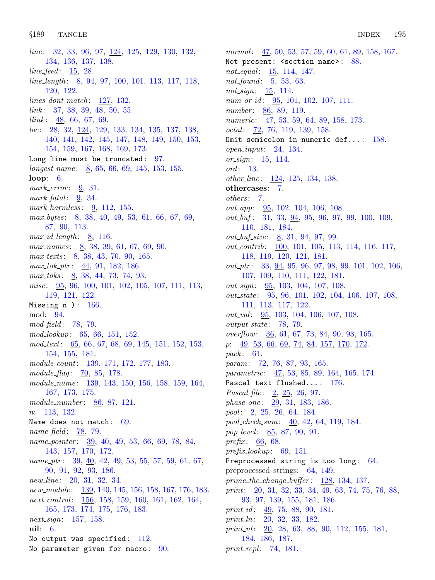nil: [6](#page-2-0).

No output was specified: [112](#page-37-0). No parameter given for macro:  $90$ .

*line*: [32,](#page-11-0) [33](#page-11-0), [96,](#page-32-0) [97](#page-32-0), <u>124</u>, [125](#page-43-0), [129](#page-44-0), [130,](#page-44-0) [132](#page-45-0), [134,](#page-45-0) [136](#page-46-0), [137](#page-46-0), [138.](#page-46-0)  $line\_feed: 15, 28.$  $line\_feed: 15, 28.$  $line\_feed: 15, 28.$  $line\_feed: 15, 28.$ line length : [8](#page-3-0), [94](#page-30-0), [97](#page-32-0), [100](#page-33-0), [101](#page-33-0), [113,](#page-37-0) [117,](#page-39-0) [118,](#page-39-0) [120,](#page-41-0) [122](#page-42-0).  $lines\_dont\_match:$  [127](#page-43-0), [132.](#page-45-0)  $link: 37, 38, 39, 48, 50, 55.$  $link: 37, 38, 39, 48, 50, 55.$  $link: 37, 38, 39, 48, 50, 55.$  $link: 37, 38, 39, 48, 50, 55.$  $link: 37, 38, 39, 48, 50, 55.$  $link: 37, 38, 39, 48, 50, 55.$  $link: 37, 38, 39, 48, 50, 55.$  $link: 37, 38, 39, 48, 50, 55.$  $link: 37, 38, 39, 48, 50, 55.$  $link: 37, 38, 39, 48, 50, 55.$  $link: 37, 38, 39, 48, 50, 55.$  $link: 37, 38, 39, 48, 50, 55.$  $link: 37, 38, 39, 48, 50, 55.$  $llink$  :  $\frac{48}{66}$  $\frac{48}{66}$  $\frac{48}{66}$ , [67](#page-20-0), [69](#page-21-0). loc: [28](#page-9-0), [32,](#page-11-0) [124,](#page-43-0) [129,](#page-44-0) [133](#page-45-0), [134](#page-45-0), [135](#page-46-0), [137,](#page-46-0) [138,](#page-46-0) [140,](#page-48-0) [141,](#page-48-0) [142,](#page-49-0) [145,](#page-50-0) [147,](#page-51-0) [148,](#page-51-0) [149,](#page-52-0) [150](#page-52-0), [153](#page-53-0), [154,](#page-53-0) [159,](#page-55-0) [167,](#page-58-0) [168,](#page-58-0) [169,](#page-59-0) [173.](#page-60-0) Long line must be truncated: [97](#page-32-0).  $longest_name: 8, 65, 66, 69, 145, 153, 155.$  $longest_name: 8, 65, 66, 69, 145, 153, 155.$  $longest_name: 8, 65, 66, 69, 145, 153, 155.$  $longest_name: 8, 65, 66, 69, 145, 153, 155.$  $longest_name: 8, 65, 66, 69, 145, 153, 155.$  $longest_name: 8, 65, 66, 69, 145, 153, 155.$  $longest_name: 8, 65, 66, 69, 145, 153, 155.$  $longest_name: 8, 65, 66, 69, 145, 153, 155.$  $longest_name: 8, 65, 66, 69, 145, 153, 155.$  $longest_name: 8, 65, 66, 69, 145, 153, 155.$  $longest_name: 8, 65, 66, 69, 145, 153, 155.$  $longest_name: 8, 65, 66, 69, 145, 153, 155.$  $longest_name: 8, 65, 66, 69, 145, 153, 155.$  $longest_name: 8, 65, 66, 69, 145, 153, 155.$ loop: [6.](#page-2-0)  $mark_error: 9, 31.$  $mark_error: 9, 31.$  $mark_error: 9, 31.$  $mark_error: 9, 31.$  $mark\_fatal:$  [9](#page-3-0), [34.](#page-11-0) mark\_harmless:  $9, 112, 155$  $9, 112, 155$  $9, 112, 155$  $9, 112, 155$  $9, 112, 155$ . max bytes: [8,](#page-3-0) [38,](#page-12-0) [40](#page-13-0), [49,](#page-14-0) [53](#page-16-0), [61,](#page-18-0) [66,](#page-20-0) [67](#page-20-0), [69,](#page-21-0) [87,](#page-27-0) [90,](#page-28-0) [113.](#page-37-0)  $max_id_length: 8, 116.$  $max_id_length: 8, 116.$  $max_id_length: 8, 116.$  $max_id_length: 8, 116.$ max\_names: [8](#page-3-0), [38,](#page-12-0) [39,](#page-12-0) [61](#page-18-0), [67](#page-20-0), [69,](#page-21-0) [90](#page-28-0). max\_texts: [8](#page-3-0), [38](#page-12-0), [43](#page-13-0), [70](#page-22-0), [90](#page-28-0), [165](#page-57-0).  $max\_tok\_ptr$ :  $44, 91, 182, 186$  $44, 91, 182, 186$  $44, 91, 182, 186$  $44, 91, 182, 186$  $44, 91, 182, 186$  $44, 91, 182, 186$  $44, 91, 182, 186$ .  $max\_toks$ :  $\underline{8}$ , 3[8,](#page-3-0) [44,](#page-13-0) [73,](#page-23-0) [74,](#page-23-0) [93.](#page-29-0) misc: <u>95</u>, [96](#page-32-0), [100](#page-33-0), [101,](#page-33-0) [102,](#page-34-0) [105](#page-34-0), [107](#page-35-0), [111,](#page-36-0) [113,](#page-37-0) [119,](#page-40-0) [121,](#page-41-0) [122.](#page-42-0) Missing  $n$  ): [166](#page-58-0). mod: [94.](#page-30-0)  $mod\_field: \underline{78}, 79.$  $mod\_field: \underline{78}, 79.$  $mod\_field: \underline{78}, 79.$ mod lookup: [65,](#page-20-0) [66,](#page-20-0) [151,](#page-52-0) [152](#page-52-0).  $mod\_text$ :  $\underline{65}$  $\underline{65}$  $\underline{65}$ , [66](#page-20-0), [67,](#page-20-0) [68](#page-21-0), [69,](#page-21-0) [145,](#page-50-0) [151](#page-52-0), [152,](#page-52-0) [153](#page-53-0), [154,](#page-53-0) [155,](#page-53-0) [181.](#page-64-0) module\_count: [139,](#page-47-0) <u>[171](#page-60-0),</u> [172,](#page-60-0) [177](#page-61-0), [183](#page-65-0). module  $flag: 70, 85, 178.$  $flag: 70, 85, 178.$  $flag: 70, 85, 178.$  $flag: 70, 85, 178.$  $flag: 70, 85, 178.$  $flag: 70, 85, 178.$  $flag: 70, 85, 178.$ module\_name: [139](#page-47-0), [143,](#page-50-0) [150](#page-52-0), [156,](#page-54-0) [158](#page-55-0), [159,](#page-55-0) [164](#page-57-0), [167,](#page-58-0) [173,](#page-60-0) [175.](#page-61-0) module\_number: [86](#page-26-0), [87](#page-27-0), [121.](#page-41-0) n: [113,](#page-37-0) [132.](#page-45-0) Name does not match: [69](#page-21-0). name\_field:  $\overline{78}$  $\overline{78}$  $\overline{78}$ , [79.](#page-25-0) name\_pointer: [39,](#page-12-0) [40](#page-13-0), [49,](#page-14-0) [53](#page-16-0), [66,](#page-20-0) [69](#page-21-0), [78,](#page-25-0) [84](#page-26-0), [143,](#page-50-0) [157](#page-54-0), [170](#page-59-0), [172.](#page-60-0) name ptr:  $39, 40, 42, 49, 53, 55, 57, 59, 61, 67,$  $39, 40, 42, 49, 53, 55, 57, 59, 61, 67,$  $39, 40, 42, 49, 53, 55, 57, 59, 61, 67,$  $39, 40, 42, 49, 53, 55, 57, 59, 61, 67,$  $39, 40, 42, 49, 53, 55, 57, 59, 61, 67,$  $39, 40, 42, 49, 53, 55, 57, 59, 61, 67,$  $39, 40, 42, 49, 53, 55, 57, 59, 61, 67,$  $39, 40, 42, 49, 53, 55, 57, 59, 61, 67,$  $39, 40, 42, 49, 53, 55, 57, 59, 61, 67,$  $39, 40, 42, 49, 53, 55, 57, 59, 61, 67,$  $39, 40, 42, 49, 53, 55, 57, 59, 61, 67,$  $39, 40, 42, 49, 53, 55, 57, 59, 61, 67,$  $39, 40, 42, 49, 53, 55, 57, 59, 61, 67,$  $39, 40, 42, 49, 53, 55, 57, 59, 61, 67,$  $39, 40, 42, 49, 53, 55, 57, 59, 61, 67,$  $39, 40, 42, 49, 53, 55, 57, 59, 61, 67,$  $39, 40, 42, 49, 53, 55, 57, 59, 61, 67,$  $39, 40, 42, 49, 53, 55, 57, 59, 61, 67,$  $39, 40, 42, 49, 53, 55, 57, 59, 61, 67,$ [90,](#page-28-0) [91](#page-28-0), [92](#page-29-0), [93,](#page-29-0) [186](#page-65-0). new line:  $20, 31, 32, 34$  $20, 31, 32, 34$  $20, 31, 32, 34$  $20, 31, 32, 34$  $20, 31, 32, 34$  $20, 31, 32, 34$ . new\_module: [139,](#page-47-0) [140,](#page-48-0) [145](#page-50-0), [156](#page-54-0), [158,](#page-55-0) [167,](#page-58-0) [176](#page-61-0), [183](#page-65-0). next\_control: [156](#page-54-0), [158](#page-55-0), [159](#page-55-0), [160,](#page-55-0) [161,](#page-55-0) [162,](#page-56-0) [164](#page-57-0), [165,](#page-57-0) [173,](#page-60-0) [174,](#page-61-0) [175,](#page-61-0) [176,](#page-61-0) [183.](#page-65-0) next sign: [157](#page-54-0), [158.](#page-55-0)

Not present: < section name>: [88.](#page-27-0) not\_equal: [15,](#page-6-0) [114](#page-38-0), [147.](#page-51-0) not found:  $\frac{5}{0}$  $\frac{5}{0}$  $\frac{5}{0}$ , [53,](#page-16-0) [63](#page-18-0). not\_sign:  $15, 114$  $15, 114$ .  $num\_or\_id$ :  $95, 101, 102, 107, 111$  $95, 101, 102, 107, 111$  $95, 101, 102, 107, 111$  $95, 101, 102, 107, 111$  $95, 101, 102, 107, 111$  $95, 101, 102, 107, 111$  $95, 101, 102, 107, 111$  $95, 101, 102, 107, 111$ . number: [86](#page-26-0), [89,](#page-28-0) [119.](#page-40-0) numeric: <u>[47](#page-14-0), [53,](#page-16-0) [59,](#page-17-0) [64](#page-19-0), [89](#page-28-0), [158,](#page-55-0) 173</u>. octal: [72](#page-22-0), [76,](#page-24-0) [119,](#page-40-0) [139](#page-47-0), [158](#page-55-0). Omit semicolon in numeric def...: [158](#page-55-0). open input: [24](#page-8-0), [134.](#page-45-0) *or\_sign*:  $15, 114$  $15, 114$  $15, 114$ . ord: [13](#page-5-0). *other\_line*:  $124, 125, 134, 138$  $124, 125, 134, 138$  $124, 125, 134, 138$  $124, 125, 134, 138$  $124, 125, 134, 138$  $124, 125, 134, 138$  $124, 125, 134, 138$ . othercases: [7.](#page-2-0) others: [7](#page-2-0). out app: [95](#page-31-0), [102,](#page-34-0) [104,](#page-34-0) [106,](#page-35-0) [108.](#page-35-0) out buf : [31,](#page-10-0) [33](#page-11-0), [94](#page-30-0), [95,](#page-31-0) [96](#page-32-0), [97,](#page-32-0) [99](#page-33-0), [100,](#page-33-0) [109,](#page-36-0) [110,](#page-36-0) [181,](#page-64-0) [184.](#page-65-0) out buf size:  $8, 31, 94, 97, 99$  $8, 31, 94, 97, 99$  $8, 31, 94, 97, 99$  $8, 31, 94, 97, 99$  $8, 31, 94, 97, 99$  $8, 31, 94, 97, 99$  $8, 31, 94, 97, 99$  $8, 31, 94, 97, 99$  $8, 31, 94, 97, 99$ .  $out\_contrib:$   $\frac{100}{101}$  $\frac{100}{101}$  $\frac{100}{101}$  $\frac{100}{101}$  $\frac{100}{101}$ , 101, [105](#page-34-0), [113](#page-37-0), [114](#page-38-0), [116,](#page-39-0) [117,](#page-39-0) [118,](#page-39-0) [119](#page-40-0), [120](#page-41-0), [121,](#page-41-0) [181](#page-64-0).  $out\_ptr$ : [33](#page-11-0), [94,](#page-30-0) [95](#page-31-0), [96](#page-32-0), [97,](#page-32-0) [98](#page-32-0), [99,](#page-33-0) [101](#page-33-0), [102,](#page-34-0) [106,](#page-35-0) [107,](#page-35-0) [109,](#page-36-0) [110,](#page-36-0) [111,](#page-36-0) [122,](#page-42-0) [181.](#page-64-0) out\_sign:  $\frac{95}{103}$ , [103,](#page-34-0) [104,](#page-34-0) [107,](#page-35-0) [108.](#page-35-0)  $out\_state$ :  $\frac{95}{96}$ ,  $\frac{96}{101}$ ,  $\frac{102}{104}$  $\frac{102}{104}$  $\frac{102}{104}$ ,  $\frac{106}{106}$  $\frac{106}{106}$  $\frac{106}{106}$ ,  $\frac{107}{108}$  $\frac{107}{108}$  $\frac{107}{108}$  $\frac{107}{108}$  $\frac{107}{108}$ [111,](#page-36-0) [113](#page-37-0), [117,](#page-39-0) [122.](#page-42-0)  $out\_val$ :  $95, 103, 104, 106, 107, 108$  $95, 103, 104, 106, 107, 108$  $95, 103, 104, 106, 107, 108$  $95, 103, 104, 106, 107, 108$  $95, 103, 104, 106, 107, 108$  $95, 103, 104, 106, 107, 108$  $95, 103, 104, 106, 107, 108$  $95, 103, 104, 106, 107, 108$  $95, 103, 104, 106, 107, 108$  $95, 103, 104, 106, 107, 108$ .  $output\_state: 78, 79.$  $output\_state: 78, 79.$  $output\_state: 78, 79.$  $output\_state: 78, 79.$  $output\_state: 78, 79.$ overflow: [36](#page-11-0), [61,](#page-18-0) [67](#page-20-0), [73,](#page-23-0) [84,](#page-26-0) [90](#page-28-0), [93,](#page-29-0) [165](#page-57-0). p: [49,](#page-14-0) [53](#page-16-0), [66,](#page-20-0) [69,](#page-21-0) [74](#page-23-0), [84,](#page-26-0) [157,](#page-54-0) [170](#page-59-0), [172.](#page-60-0)  $pack: 61.$  $pack: 61.$  $pack: 61.$ param:  $\overline{72}$ , [76,](#page-24-0) [87](#page-27-0), [93](#page-29-0), [165.](#page-57-0) parametric: [47](#page-14-0), [53,](#page-16-0) [85](#page-26-0), [89,](#page-28-0) [164](#page-57-0), [165,](#page-57-0) [174](#page-61-0). Pascal text flushed...: [176.](#page-61-0) *Pascal\_file*:  $2, 25, 26, 97$  $2, 25, 26, 97$  $2, 25, 26, 97$  $2, 25, 26, 97$  $2, 25, 26, 97$  $2, 25, 26, 97$  $2, 25, 26, 97$ . phase\_one: [29,](#page-10-0) [31](#page-10-0), [183](#page-65-0), [186.](#page-65-0) pool: [2](#page-1-0), [25,](#page-8-0) [26,](#page-9-0) [64](#page-19-0), [184.](#page-65-0) pool\_check\_sum: [40,](#page-13-0) [42](#page-13-0), [64](#page-19-0), [119,](#page-40-0) [184.](#page-65-0) pop\_level:  $85, 87, 90, 91$  $85, 87, 90, 91$  $85, 87, 90, 91$  $85, 87, 90, 91$  $85, 87, 90, 91$  $85, 87, 90, 91$ . *prefix*:  $66, 68$  $66, 68$  $66, 68$ . prefix lookup:  $69, 151$  $69, 151$ . Preprocessed string is too long: [64.](#page-19-0) preprocessed strings: [64](#page-19-0), [149](#page-52-0). prime\_the\_change\_buffer: [128,](#page-44-0) [134](#page-45-0), [137.](#page-46-0) print:  $20$ , [31](#page-10-0), [32,](#page-11-0) [33,](#page-11-0) [34](#page-11-0), [49](#page-14-0), [63,](#page-18-0) [74,](#page-23-0) [75](#page-23-0), [76](#page-24-0), [88,](#page-27-0) [93,](#page-29-0) [97](#page-32-0), [139](#page-47-0), [155](#page-53-0), [181](#page-64-0), [186.](#page-65-0) print id:  $\frac{49}{5}$  $\frac{49}{5}$  $\frac{49}{5}$ , [75](#page-23-0), [88,](#page-27-0) [90,](#page-28-0) [181](#page-64-0). print<sub>-</sub>ln: [20](#page-8-0), [32](#page-11-0), [33,](#page-11-0) [182](#page-65-0). print nl:  $\frac{20}{6}$  $\frac{20}{6}$  $\frac{20}{6}$ , [28](#page-9-0), [63](#page-18-0), [88](#page-27-0), [90](#page-28-0), [112](#page-37-0), [155](#page-53-0), [181](#page-64-0), [184,](#page-65-0) [186,](#page-65-0) [187.](#page-66-0) print repl:  $74$ , [181.](#page-64-0)

normal:  $\frac{47}{50}$  $\frac{47}{50}$  $\frac{47}{50}$ , [53](#page-16-0), [57](#page-17-0), [59,](#page-17-0) [60,](#page-17-0) [61](#page-18-0), [89](#page-28-0), [158](#page-55-0), [167.](#page-58-0)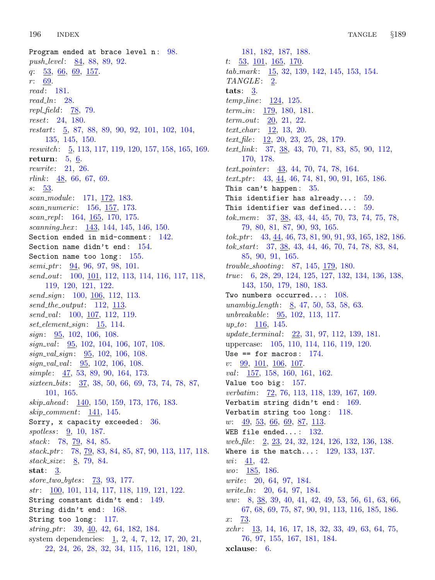Program ended at brace level  $n: 98$ . push\_level: [84](#page-26-0), [88,](#page-27-0) [89](#page-28-0), [92.](#page-29-0)  $q: \underline{53}, \underline{66}, \underline{69}, \underline{157}.$  $q: \underline{53}, \underline{66}, \underline{69}, \underline{157}.$  $q: \underline{53}, \underline{66}, \underline{69}, \underline{157}.$  $q: \underline{53}, \underline{66}, \underline{69}, \underline{157}.$  $q: \underline{53}, \underline{66}, \underline{69}, \underline{157}.$  $q: \underline{53}, \underline{66}, \underline{69}, \underline{157}.$  $q: \underline{53}, \underline{66}, \underline{69}, \underline{157}.$ r: [69](#page-21-0). read: [181](#page-64-0).  $read\_ln: 28$ . repl\_field:  $78, 79$  $78, 79$ . reset: [24](#page-8-0), [180](#page-63-0). restart: [5](#page-2-0), [87](#page-27-0), [88,](#page-27-0) [89](#page-28-0), [90,](#page-28-0) [92](#page-29-0), [101,](#page-33-0) [102](#page-34-0), [104,](#page-34-0) [135,](#page-46-0) [145,](#page-50-0) [150.](#page-52-0) reswitch : [5,](#page-2-0) [113,](#page-37-0) [117,](#page-39-0) [119,](#page-40-0) [120,](#page-41-0) [157,](#page-54-0) [158](#page-55-0), [165](#page-57-0), [169](#page-59-0). return: [5](#page-2-0), [6](#page-2-0). rewrite: [21,](#page-8-0) [26.](#page-9-0)  $rlink: \quad \underline{48}, \; 66, \; 67, \; 69.$  $rlink: \quad \underline{48}, \; 66, \; 67, \; 69.$  $rlink: \quad \underline{48}, \; 66, \; 67, \; 69.$  $rlink: \quad \underline{48}, \; 66, \; 67, \; 69.$  $rlink: \quad \underline{48}, \; 66, \; 67, \; 69.$  $rlink: \quad \underline{48}, \; 66, \; 67, \; 69.$  $rlink: \quad \underline{48}, \; 66, \; 67, \; 69.$  $rlink: \quad \underline{48}, \; 66, \; 67, \; 69.$  $rlink: \quad \underline{48}, \; 66, \; 67, \; 69.$ s: [53](#page-16-0). scan\_module: [171,](#page-60-0) [172](#page-60-0), [183](#page-65-0). scan numeric: [156,](#page-54-0) [157,](#page-54-0) [173](#page-60-0). scan\_repl:  $164, 165, 170, 175$  $164, 165, 170, 175$  $164, 165, 170, 175$  $164, 165, 170, 175$  $164, 165, 170, 175$  $164, 165, 170, 175$  $164, 165, 170, 175$ . scanning hex: [143](#page-50-0), [144,](#page-50-0) [145](#page-50-0), [146](#page-51-0), [150.](#page-52-0) Section ended in mid−comment : [142](#page-49-0). Section name didn't end: [154](#page-53-0). Section name too long: [155.](#page-53-0)  $semi\_ptr: \quad \underline{94}, \ 96, \ 97, \ 98, \ 101.$  $semi\_ptr: \quad \underline{94}, \ 96, \ 97, \ 98, \ 101.$  $semi\_ptr: \quad \underline{94}, \ 96, \ 97, \ 98, \ 101.$  $semi\_ptr: \quad \underline{94}, \ 96, \ 97, \ 98, \ 101.$  $semi\_ptr: \quad \underline{94}, \ 96, \ 97, \ 98, \ 101.$  $semi\_ptr: \quad \underline{94}, \ 96, \ 97, \ 98, \ 101.$  $semi\_ptr: \quad \underline{94}, \ 96, \ 97, \ 98, \ 101.$  $semi\_ptr: \quad \underline{94}, \ 96, \ 97, \ 98, \ 101.$  $semi\_ptr: \quad \underline{94}, \ 96, \ 97, \ 98, \ 101.$  $semi\_ptr: \quad \underline{94}, \ 96, \ 97, \ 98, \ 101.$  $semi\_ptr: \quad \underline{94}, \ 96, \ 97, \ 98, \ 101.$ send<sub>-out</sub>: [100,](#page-33-0) <u>[101](#page-33-0)</u>, [112,](#page-37-0) [113](#page-37-0), [114,](#page-38-0) [116](#page-39-0), [117,](#page-39-0) [118](#page-39-0), [119,](#page-40-0) [120](#page-41-0), [121](#page-41-0), [122.](#page-42-0) send\_sign: [100](#page-33-0), [106](#page-35-0), [112,](#page-37-0) [113.](#page-37-0)  $send\_the\_output: 112, 113.$  $send\_the\_output: 112, 113.$  $send\_the\_output: 112, 113.$  $send\_the\_output: 112, 113.$ send\_val: [100](#page-33-0), [107,](#page-35-0) [112,](#page-37-0) [119](#page-40-0).  $set\_element\_sign: 15, 114.$  $set\_element\_sign: 15, 114.$  $set\_element\_sign: 15, 114.$  $set\_element\_sign: 15, 114.$  $set\_element\_sign: 15, 114.$ sign:  $\frac{95}{102}$  $\frac{95}{102}$  $\frac{95}{102}$ , [106](#page-35-0), [108.](#page-35-0)  $signal: 95, 102, 104, 106, 107, 108.$  $signal: 95, 102, 104, 106, 107, 108.$  $signal: 95, 102, 104, 106, 107, 108.$  $signal: 95, 102, 104, 106, 107, 108.$  $signal: 95, 102, 104, 106, 107, 108.$  $signal: 95, 102, 104, 106, 107, 108.$  $signal: 95, 102, 104, 106, 107, 108.$  $signal: 95, 102, 104, 106, 107, 108.$  $signal: 95, 102, 104, 106, 107, 108.$  $signal: 95, 102, 104, 106, 107, 108.$  $signal: 95, 102, 104, 106, 107, 108.$  $signal: 95, 102, 104, 106, 107, 108.$  $signal: 95, 102, 104, 106, 107, 108.$  $sign\_val\_sign: 95, 102, 106, 108.$  $sign\_val\_sign: 95, 102, 106, 108.$  $sign\_val\_sign: 95, 102, 106, 108.$  $sign\_val\_sign: 95, 102, 106, 108.$  $sign\_val\_sign: 95, 102, 106, 108.$  $sign\_val\_sign: 95, 102, 106, 108.$  $sign\_val\_sign: 95, 102, 106, 108.$  $sign\_val\_sign: 95, 102, 106, 108.$  $sign\_val\_sign: 95, 102, 106, 108.$  $signal: 95, 102, 106, 108.$  $signal: 95, 102, 106, 108.$  $signal: 95, 102, 106, 108.$  $signal: 95, 102, 106, 108.$  $signal: 95, 102, 106, 108.$  $signal: 95, 102, 106, 108.$  $signal: 95, 102, 106, 108.$  $signal: 95, 102, 106, 108.$  $simple: \quad 47, \; 53, \; 89, \; 90, \; 164, \; 173.$  $simple: \quad 47, \; 53, \; 89, \; 90, \; 164, \; 173.$  $simple: \quad 47, \; 53, \; 89, \; 90, \; 164, \; 173.$  $simple: \quad 47, \; 53, \; 89, \; 90, \; 164, \; 173.$  $simple: \quad 47, \; 53, \; 89, \; 90, \; 164, \; 173.$  $simple: \quad 47, \; 53, \; 89, \; 90, \; 164, \; 173.$  $simple: \quad 47, \; 53, \; 89, \; 90, \; 164, \; 173.$  $simple: \quad 47, \; 53, \; 89, \; 90, \; 164, \; 173.$  $simple: \quad 47, \; 53, \; 89, \; 90, \; 164, \; 173.$  $simple: \quad 47, \; 53, \; 89, \; 90, \; 164, \; 173.$  $simple: \quad 47, \; 53, \; 89, \; 90, \; 164, \; 173.$  $simple: \quad 47, \; 53, \; 89, \; 90, \; 164, \; 173.$ sixteen\_bits: [37](#page-12-0), [38](#page-12-0), [50](#page-15-0), [66](#page-20-0), [69](#page-21-0), [73](#page-23-0), [74,](#page-23-0) [78,](#page-25-0) [87,](#page-27-0) [101,](#page-33-0) [165](#page-57-0). skip\_ahead: [140](#page-48-0), [150,](#page-52-0) [159](#page-55-0), [173,](#page-60-0) [176](#page-61-0), [183.](#page-65-0) skip comment: [141,](#page-48-0) [145](#page-50-0). Sorry, x capacity exceeded: [36.](#page-11-0) spotless:  $9, 10, 187$  $9, 10, 187$  $9, 10, 187$  $9, 10, 187$ . stack:  $78, 79, 84, 85$  $78, 79, 84, 85$  $78, 79, 84, 85$  $78, 79, 84, 85$  $78, 79, 84, 85$  $78, 79, 84, 85$ . stack ptr : [78](#page-25-0), [79](#page-25-0), [83](#page-26-0), [84](#page-26-0), [85](#page-26-0), [87](#page-27-0), [90](#page-28-0), [113](#page-37-0), [117](#page-39-0), [118](#page-39-0).  $stack\_size: 8, 79, 84.$  $stack\_size: 8, 79, 84.$  $stack\_size: 8, 79, 84.$  $stack\_size: 8, 79, 84.$  $stack\_size: 8, 79, 84.$  $stack\_size: 8, 79, 84.$  $stack\_size: 8, 79, 84.$ stat: [3](#page-1-0). store two bytes : [73,](#page-23-0) [93,](#page-29-0) [177](#page-61-0). str: [100,](#page-33-0) [101](#page-33-0), [114,](#page-38-0) [117](#page-39-0), [118,](#page-39-0) [119,](#page-40-0) [121](#page-41-0), [122.](#page-42-0) String constant didn't end: [149.](#page-52-0) String didn't end: [168.](#page-58-0) String too long: [117](#page-39-0).  $string\_ptr$ : [39](#page-12-0),  $\underline{40}$  $\underline{40}$  $\underline{40}$ , [42](#page-13-0), [64,](#page-19-0) [182,](#page-65-0) [184.](#page-65-0) system dependencies: [1](#page-1-0), [2](#page-1-0), [4,](#page-2-0) [7,](#page-2-0) [12,](#page-5-0) [17,](#page-7-0) [20,](#page-8-0) [21](#page-8-0), [22,](#page-8-0) [24](#page-8-0), [26,](#page-9-0) [28,](#page-9-0) [32](#page-11-0), [34,](#page-11-0) [115,](#page-38-0) [116](#page-39-0), [121,](#page-41-0) [180,](#page-63-0)

[181,](#page-64-0) [182](#page-65-0), [187,](#page-66-0) [188.](#page-67-0) t:  $\frac{53}{101}$  $\frac{53}{101}$  $\frac{53}{101}$ ,  $\frac{165}{162}$ ,  $\frac{170}{170}$  $\frac{170}{170}$  $\frac{170}{170}$ . tab\_mark: [15,](#page-6-0) [32](#page-11-0), [139,](#page-47-0) [142](#page-49-0), [145,](#page-50-0) [153](#page-53-0), [154.](#page-53-0)  $TANGLE: 2.$  $TANGLE: 2.$  $TANGLE: 2.$ tats: [3](#page-1-0). *temp\_line*:  $124, 125$  $124, 125$  $124, 125$ .  $term_in: 179, 180, 181.$  $term_in: 179, 180, 181.$  $term_in: 179, 180, 181.$  $term_in: 179, 180, 181.$  $term_in: 179, 180, 181.$  $term_in: 179, 180, 181.$  $term_out: 20, 21, 22.$  $term_out: 20, 21, 22.$  $term_out: 20, 21, 22.$  $term_out: 20, 21, 22.$  $term_out: 20, 21, 22.$  $term_out: 20, 21, 22.$  $term_out: 20, 21, 22.$  $text_{char}:$   $12, 13, 20.$  $12, 13, 20.$  $12, 13, 20.$  $12, 13, 20.$  $12, 13, 20.$  $12, 13, 20.$ text<sub>-file</sub>: [12](#page-5-0), [20](#page-8-0), [23](#page-8-0), [25](#page-8-0), [28](#page-9-0), [179](#page-63-0). text link : [37,](#page-12-0) [38,](#page-12-0) [43](#page-13-0), [70,](#page-22-0) [71](#page-22-0), [83,](#page-26-0) [85](#page-26-0), [90,](#page-28-0) [112](#page-37-0), [170,](#page-59-0) [178.](#page-62-0) text pointer:  $\frac{43}{43}$  $\frac{43}{43}$  $\frac{43}{43}$ , [44,](#page-13-0) [70,](#page-22-0) [74,](#page-23-0) [78](#page-25-0), [164](#page-57-0). text\_ptr:  $43, \underline{44}, 46, 74, 81, 90, 91, 165, 186.$  $43, \underline{44}, 46, 74, 81, 90, 91, 165, 186.$  $43, \underline{44}, 46, 74, 81, 90, 91, 165, 186.$  $43, \underline{44}, 46, 74, 81, 90, 91, 165, 186.$  $43, \underline{44}, 46, 74, 81, 90, 91, 165, 186.$  $43, \underline{44}, 46, 74, 81, 90, 91, 165, 186.$  $43, \underline{44}, 46, 74, 81, 90, 91, 165, 186.$  $43, \underline{44}, 46, 74, 81, 90, 91, 165, 186.$  $43, \underline{44}, 46, 74, 81, 90, 91, 165, 186.$  $43, \underline{44}, 46, 74, 81, 90, 91, 165, 186.$  $43, \underline{44}, 46, 74, 81, 90, 91, 165, 186.$  $43, \underline{44}, 46, 74, 81, 90, 91, 165, 186.$  $43, \underline{44}, 46, 74, 81, 90, 91, 165, 186.$  $43, \underline{44}, 46, 74, 81, 90, 91, 165, 186.$  $43, \underline{44}, 46, 74, 81, 90, 91, 165, 186.$  $43, \underline{44}, 46, 74, 81, 90, 91, 165, 186.$ This can't happen:  $35$ . This identifier has already...:  $59$ . This identifier was defined...:  $59$ . tok mem: [37](#page-12-0), [38](#page-12-0), [43](#page-13-0), [44,](#page-13-0) [45,](#page-13-0) [70](#page-22-0), [73](#page-23-0), [74,](#page-23-0) [75,](#page-23-0) [78](#page-25-0), [79,](#page-25-0) [80,](#page-25-0) [81](#page-25-0), [87](#page-27-0), [90](#page-28-0), [93,](#page-29-0) [165.](#page-57-0) tok ptr : [43](#page-13-0), [44,](#page-13-0) [46](#page-13-0), [73](#page-23-0), [81,](#page-25-0) [90,](#page-28-0) [91](#page-28-0), [93](#page-29-0), [165,](#page-57-0) [182,](#page-65-0) [186](#page-65-0). tok start: [37,](#page-12-0) [38,](#page-12-0) [43](#page-13-0), [44](#page-13-0), [46](#page-13-0), [70,](#page-22-0) [74,](#page-23-0) [78](#page-25-0), [83](#page-26-0), [84](#page-26-0), [85,](#page-26-0) [90,](#page-28-0) [91](#page-28-0), [165](#page-57-0). trouble\_shooting: [87](#page-27-0), [145](#page-50-0), <u>179</u>, [180.](#page-63-0) true : [6](#page-2-0), [28,](#page-9-0) [29](#page-10-0), [124](#page-43-0), [125,](#page-43-0) [127,](#page-43-0) [132](#page-45-0), [134](#page-45-0), [136,](#page-46-0) [138](#page-46-0), [143,](#page-50-0) [150](#page-52-0), [179](#page-63-0), [180,](#page-63-0) [183](#page-65-0). Two numbers occurred...:  $108$ . unambig length:  $8, 47, 50, 53, 58, 63$  $8, 47, 50, 53, 58, 63$  $8, 47, 50, 53, 58, 63$  $8, 47, 50, 53, 58, 63$  $8, 47, 50, 53, 58, 63$  $8, 47, 50, 53, 58, 63$  $8, 47, 50, 53, 58, 63$  $8, 47, 50, 53, 58, 63$  $8, 47, 50, 53, 58, 63$  $8, 47, 50, 53, 58, 63$  $8, 47, 50, 53, 58, 63$ . unbreakable:  $95, 102, 113, 117$  $95, 102, 113, 117$  $95, 102, 113, 117$  $95, 102, 113, 117$  $95, 102, 113, 117$  $95, 102, 113, 117$ .  $up\_to: 116, 145.$  $up\_to: 116, 145.$  $up\_to: 116, 145.$  $up\_to: 116, 145.$  $up\_to: 116, 145.$ update\_terminal: [22](#page-8-0), [31,](#page-10-0) [97](#page-32-0), [112,](#page-37-0) [139](#page-47-0), [181.](#page-64-0) uppercase: [105,](#page-34-0) [110](#page-36-0), [114,](#page-38-0) [116](#page-39-0), [119,](#page-40-0) [120.](#page-41-0) Use  $==$  for macros:  $174$ .  $v: \frac{99}{101}, \frac{106}{106}, \frac{107}{107}.$  $v: \frac{99}{101}, \frac{106}{106}, \frac{107}{107}.$  $v: \frac{99}{101}, \frac{106}{106}, \frac{107}{107}.$ val:  $\frac{157}{158}$  $\frac{157}{158}$  $\frac{157}{158}$ , [160,](#page-55-0) [161](#page-55-0), [162](#page-56-0). Value too big:  $157$ . verbatim: [72,](#page-22-0) [76](#page-24-0), [113](#page-37-0), [118,](#page-39-0) [139](#page-47-0), [167,](#page-58-0) [169](#page-59-0). Verbatim string didn't end: [169.](#page-59-0) Verbatim string too long:  $118$ . w:  $\frac{49}{53}$  $\frac{49}{53}$  $\frac{49}{53}$  $\frac{49}{53}$  $\frac{49}{53}$ ,  $\frac{66}{69}$  $\frac{66}{69}$  $\frac{66}{69}$ ,  $\frac{69}{87}$  $\frac{69}{87}$  $\frac{69}{87}$ ,  $\frac{113}{54}$ . WEB file ended...:  $132$ . web file: [2](#page-1-0), [23](#page-8-0), [24,](#page-8-0) [32,](#page-11-0) [124](#page-43-0), [126](#page-43-0), [132,](#page-45-0) [136,](#page-46-0) [138](#page-46-0). Where is the match...:  $129, 133, 137$  $129, 133, 137$  $129, 133, 137$  $129, 133, 137$ .  $wi: \frac{41}{9}$ , [42](#page-13-0). wo: [185](#page-65-0), [186.](#page-65-0) write: [20,](#page-8-0) [64](#page-19-0), [97,](#page-32-0) [184](#page-65-0). write ln: [20,](#page-8-0) [64,](#page-19-0) [97](#page-32-0), [184.](#page-65-0) *ww*: [8](#page-3-0), <u>[38](#page-12-0)</u>, [39,](#page-12-0) [40](#page-13-0), [41,](#page-13-0) [42](#page-13-0), [49,](#page-14-0) [53,](#page-16-0) [56](#page-16-0), [61,](#page-18-0) [63](#page-18-0), [66,](#page-20-0) [67,](#page-20-0) [68](#page-21-0), [69](#page-21-0), [75](#page-23-0), [87,](#page-27-0) [90,](#page-28-0) [91,](#page-28-0) [113](#page-37-0), [116](#page-39-0), [185](#page-65-0), [186.](#page-65-0) x: [73](#page-23-0). xchr : [13,](#page-5-0) [14,](#page-6-0) [16](#page-7-0), [17](#page-7-0), [18](#page-7-0), [32](#page-11-0), [33,](#page-11-0) [49,](#page-14-0) [63,](#page-18-0) [64,](#page-19-0) [75](#page-23-0), [76,](#page-24-0) [97](#page-32-0), [155](#page-53-0), [167](#page-58-0), [181](#page-64-0), [184.](#page-65-0) xclause: [6](#page-2-0).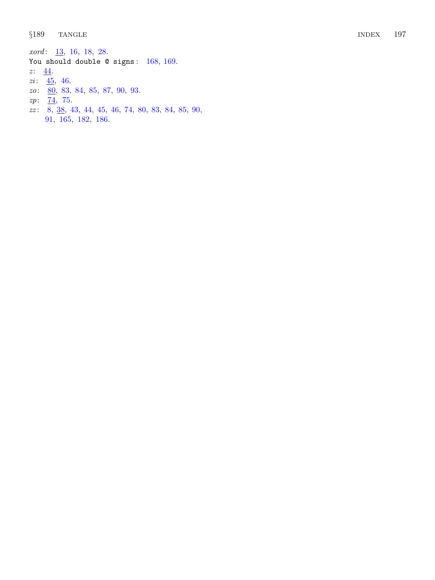```
xord13161828.
You should double @ signs: 168169.44}.45}{9}46.
80838485879093.
74}{9}75.
83843444546748083848590,
```
[91](#page-28-0) , [165](#page-57-0) , [182](#page-65-0) , [186](#page-65-0) .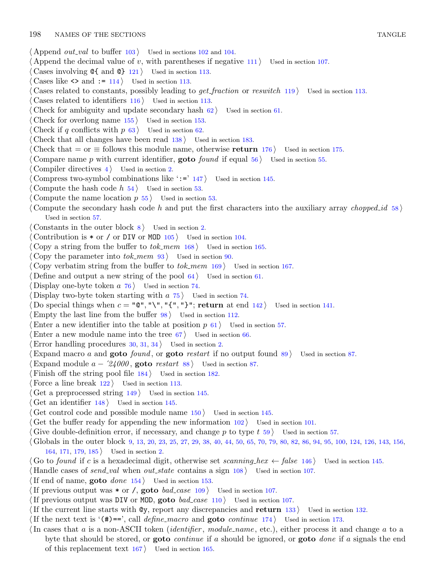$\langle$  Append *out\_val* to buffer [103](#page-34-0) ised in sections [102](#page-34-0) and [104.](#page-34-0)  $\langle$  Append the decimal value of v, with parentheses if negative [111](#page-36-0) ii Used in section [107.](#page-35-0) Cases involving  $\mathcal{C}\{\text{ and } \mathcal{C}\}\$  [121](#page-41-0) i Used in section [113.](#page-37-0) Cases like  $\langle \rangle$  and  $:= 114$  $:= 114$  Used in section [113](#page-37-0). Cases related to constants, possibly leading to get fraction or reswitch  $119$  Used in section [113](#page-37-0). Cases related to identifiers  $116$  Used in section [113](#page-37-0). Check for ambiguity and update secondary hash  $62$  Used in section [61](#page-18-0). Check for overlong name  $155$  Used in section [153.](#page-53-0) Check if q conflicts with  $p \, 63$  $p \, 63$  Used in section [62.](#page-18-0) Check that all changes have been read  $138$  Used in section [183](#page-65-0). Check that = or  $\equiv$  follows this module name, otherwise return [176](#page-61-0) is Used in section [175](#page-61-0). Compare name p with current identifier, **goto** found if equal  $56$  Used in section [55](#page-16-0). Compiler directives  $4$  Used in section [2](#page-1-0). Compress two-symbol combinations like  $\cdot$ :=' [147](#page-51-0)) Used in section [145](#page-50-0). Compute the hash code  $h$  [54](#page-16-0) in section [53.](#page-16-0) Compute the name location  $p \, 55$  $p \, 55$  Used in section [53](#page-16-0). Compute the secondary hash code h and put the first characters into the auxiliary array chopped id  $58$ Used in section [57.](#page-17-0)  $\langle$  Constants in the outer block  $8$  is Used in section [2.](#page-1-0) Contribution is  $*$  or / or DIV or MOD [105](#page-34-0) iused in section [104.](#page-34-0) Copy a string from the buffer to  $tok\_mem \ 168$  $tok\_mem \ 168$  Used in section [165.](#page-57-0) Copy the parameter into  $tok\_mem$  [93](#page-29-0) iused in section [90](#page-28-0). Copy verbatim string from the buffer to  $tok_mem$  [169](#page-59-0) is used in section [167](#page-58-0). Define and output a new string of the pool  $64$  Used in section [61.](#page-18-0) Display one-byte token  $a \ 76$  $a \ 76$  Used in section [74](#page-23-0). Display two-byte token starting with  $a$  [75](#page-23-0) iused in section [74](#page-23-0). Do special things when  $c = "\mathbb{Q}$ ", "\", "{", "}"; return at end  $\ket{142}$  $\ket{142}$  $\ket{142}$  Used in section [141](#page-48-0). Empty the last line from the buffer  $98$  Used in section [112](#page-37-0). Enter a new identifier into the table at position  $p \tbinom{61}{}$  $p \tbinom{61}{}$  $p \tbinom{61}{}$  Used in section [57.](#page-17-0) Enter a new module name into the tree  $67$  Used in section [66](#page-20-0). Error handling procedures  $30, 31, 34$  $30, 31, 34$  $30, 31, 34$  $30, 31, 34$  $30, 31, 34$  Used in section [2](#page-1-0). Expand macro a and **goto** found, or **goto** restart if no output found  $89$  Used in section [87.](#page-27-0) Expand module  $a - 24000$ , goto restart [88](#page-27-0)) Used in section [87.](#page-27-0) Finish off the string pool file  $184$  Used in section [182.](#page-65-0) Force a line break  $122$  Used in section [113.](#page-37-0) Get a preprocessed string  $149$  Used in section [145](#page-50-0). Get an identifier  $148$  Used in section [145.](#page-50-0) Get control code and possible module name  $150$  Used in section [145.](#page-50-0) Get the buffer ready for appending the new information  $102$  Used in section [101](#page-33-0). Give double-definition error, if necessary, and change p to type  $t$  [59](#page-17-0) ised in section [57](#page-17-0).

- Globals in the outer block [9](#page-3-0), [13,](#page-5-0) [20,](#page-8-0) [23](#page-8-0), [25,](#page-8-0) [27,](#page-9-0) [29](#page-10-0), [38](#page-12-0), [40,](#page-13-0) [44,](#page-13-0) [50](#page-15-0), [65,](#page-20-0) [70,](#page-22-0) [79](#page-25-0), [80](#page-25-0), [82,](#page-25-0) [86,](#page-26-0) [94](#page-30-0), [95,](#page-31-0) [100,](#page-33-0) [124,](#page-43-0) [126,](#page-43-0) [143,](#page-50-0) [156,](#page-54-0) [164,](#page-57-0) [171,](#page-60-0) [179](#page-63-0), [185](#page-65-0) Used in section [2](#page-1-0).
- (Go to found if c is a hexadecimal digit, otherwise set scanning hex  $\leftarrow$  false [146](#page-51-0)) Used in section [145](#page-50-0).
- Handle cases of send val when out state contains a sign  $108$  Used in section [107](#page-35-0).
- If end of name, **goto** done  $154$  Used in section [153](#page-53-0).
- If previous output was  $*$  or /, goto bad\_case [109](#page-36-0) ised in section [107.](#page-35-0)
- If previous output was DIV or MOD, goto  $bad\_case$  [110](#page-36-0) ised in section [107.](#page-35-0)
- If the current line starts with  $\mathbb{Q}_y$ , report any discrepancies and return [133](#page-45-0) ised in section [132](#page-45-0).
- If the next text is '(#)==', call *define macro* and **goto** *continue* [174](#page-61-0) is Used in section [173](#page-60-0).
- In cases that a is a non-ASCII token *(identifier, module name, etc.)*, either process it and change a to a byte that should be stored, or **goto** *continue* if a should be ignored, or **goto** done if a signals the end of this replacement text  $167$  Used in section [165](#page-57-0).